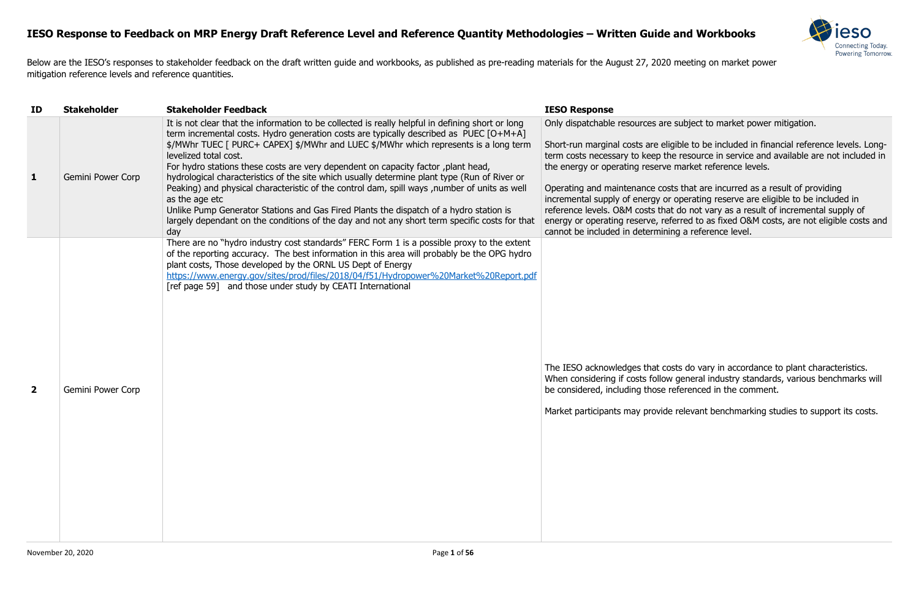

subject to market power mitigation.

ible to be included in financial reference levels. Longtersource in service and available are not included in market reference levels.

s that are incurred as a result of providing operating reserve are eligible to be included in do not vary as a result of incremental supply of erred to as fixed O&M costs, are not eligible costs and g a reference level.

ts do vary in accordance to plant characteristics. general industry standards, various benchmarks will eferenced in the comment.

relevant benchmarking studies to support its costs.

Below are the IESO's responses to stakeholder feedback on the draft written guide and workbooks, as published as pre-reading materials for the August 27, 2020 meeting on market power mitigation reference levels and reference quantities.

| ID             | <b>Stakeholder</b> | <b>Stakeholder Feedback</b>                                                                                                                                                                                                                                                                                                                                                                                                                                                                                                                                                                                                                                                                                                                                                                                          | <b>IESO Response</b>                                                                                                                                                                                                                                                                                                                   |
|----------------|--------------------|----------------------------------------------------------------------------------------------------------------------------------------------------------------------------------------------------------------------------------------------------------------------------------------------------------------------------------------------------------------------------------------------------------------------------------------------------------------------------------------------------------------------------------------------------------------------------------------------------------------------------------------------------------------------------------------------------------------------------------------------------------------------------------------------------------------------|----------------------------------------------------------------------------------------------------------------------------------------------------------------------------------------------------------------------------------------------------------------------------------------------------------------------------------------|
| 1              | Gemini Power Corp  | It is not clear that the information to be collected is really helpful in defining short or long<br>term incremental costs. Hydro generation costs are typically described as PUEC [O+M+A]<br>\$/MWhr TUEC [ PURC+ CAPEX] \$/MWhr and LUEC \$/MWhr which represents is a long term<br>levelized total cost.<br>For hydro stations these costs are very dependent on capacity factor, plant head,<br>hydrological characteristics of the site which usually determine plant type (Run of River or<br>Peaking) and physical characteristic of the control dam, spill ways, number of units as well<br>as the age etc<br>Unlike Pump Generator Stations and Gas Fired Plants the dispatch of a hydro station is<br>largely dependant on the conditions of the day and not any short term specific costs for that<br>day | Only dispatchable resources are s<br>Short-run marginal costs are eligi<br>term costs necessary to keep the<br>the energy or operating reserve r<br>Operating and maintenance costs<br>incremental supply of energy or o<br>reference levels. O&M costs that<br>energy or operating reserve, refe<br>cannot be included in determining |
| $\overline{2}$ | Gemini Power Corp  | There are no "hydro industry cost standards" FERC Form 1 is a possible proxy to the extent<br>of the reporting accuracy. The best information in this area will probably be the OPG hydro<br>plant costs, Those developed by the ORNL US Dept of Energy<br>https://www.energy.gov/sites/prod/files/2018/04/f51/Hydropower%20Market%20Report.pdf<br>[ref page 59] and those under study by CEATI International                                                                                                                                                                                                                                                                                                                                                                                                        | The IESO acknowledges that cost<br>When considering if costs follow<br>be considered, including those re<br>Market participants may provide                                                                                                                                                                                            |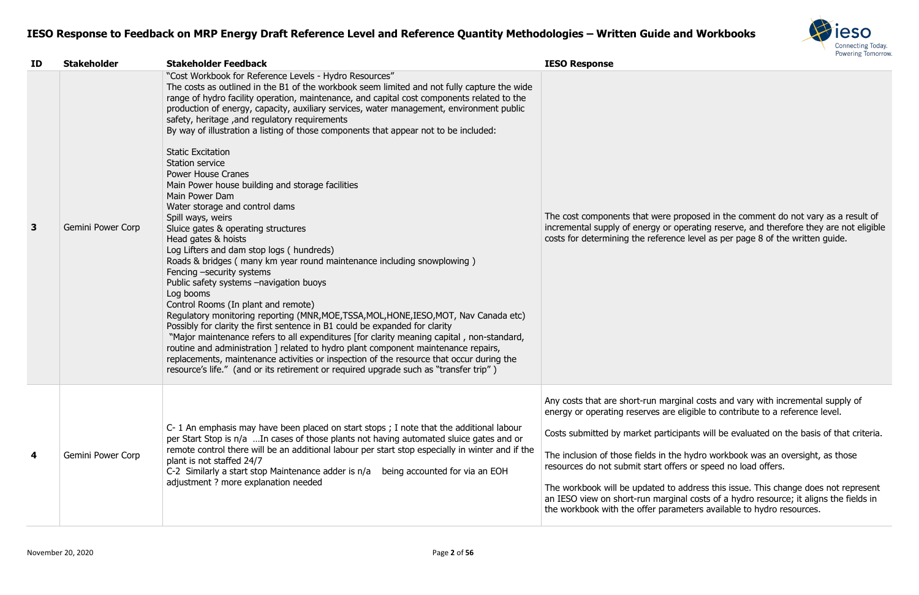

proposed in the comment do not vary as a result of operating reserve, and therefore they are not eligible nce level as per page 8 of the written guide.

rginal costs and vary with incremental supply of eligible to contribute to a reference level.

cipants will be evaluated on the basis of that criteria.

he hydro workbook was an oversight, as those fers or speed no load offers.

address this issue. This change does not represent  $\mu$ inal costs of a hydro resource; it aligns the fields in ameters available to hydro resources.

| ID                      | <b>Stakeholder</b> | <b>Stakeholder Feedback</b>                                                                                                                                                                                                                                                                                                                                                                                                                                                                                                                                                                                                                                                                                                                                                                                                                                                                                                                                                                                                                                                                                                                                                                                                                                                                                                                                                                                                                                                                                                                                               | <b>IESO Response</b>                                                                                                                                                                                                                                                                           |
|-------------------------|--------------------|---------------------------------------------------------------------------------------------------------------------------------------------------------------------------------------------------------------------------------------------------------------------------------------------------------------------------------------------------------------------------------------------------------------------------------------------------------------------------------------------------------------------------------------------------------------------------------------------------------------------------------------------------------------------------------------------------------------------------------------------------------------------------------------------------------------------------------------------------------------------------------------------------------------------------------------------------------------------------------------------------------------------------------------------------------------------------------------------------------------------------------------------------------------------------------------------------------------------------------------------------------------------------------------------------------------------------------------------------------------------------------------------------------------------------------------------------------------------------------------------------------------------------------------------------------------------------|------------------------------------------------------------------------------------------------------------------------------------------------------------------------------------------------------------------------------------------------------------------------------------------------|
| 3                       | Gemini Power Corp  | "Cost Workbook for Reference Levels - Hydro Resources"<br>The costs as outlined in the B1 of the workbook seem limited and not fully capture the wide<br>range of hydro facility operation, maintenance, and capital cost components related to the<br>production of energy, capacity, auxiliary services, water management, environment public<br>safety, heritage, and regulatory requirements<br>By way of illustration a listing of those components that appear not to be included:<br><b>Static Excitation</b><br><b>Station service</b><br><b>Power House Cranes</b><br>Main Power house building and storage facilities<br>Main Power Dam<br>Water storage and control dams<br>Spill ways, weirs<br>Sluice gates & operating structures<br>Head gates & hoists<br>Log Lifters and dam stop logs (hundreds)<br>Roads & bridges (many km year round maintenance including snowplowing)<br>Fencing -security systems<br>Public safety systems -navigation buoys<br>Log booms<br>Control Rooms (In plant and remote)<br>Regulatory monitoring reporting (MNR, MOE, TSSA, MOL, HONE, IESO, MOT, Nav Canada etc)<br>Possibly for clarity the first sentence in B1 could be expanded for clarity<br>"Major maintenance refers to all expenditures [for clarity meaning capital, non-standard,<br>routine and administration ] related to hydro plant component maintenance repairs,<br>replacements, maintenance activities or inspection of the resource that occur during the<br>resource's life." (and or its retirement or required upgrade such as "transfer trip") | The cost components that were<br>incremental supply of energy or<br>costs for determining the referer                                                                                                                                                                                          |
| $\overline{\mathbf{4}}$ | Gemini Power Corp  | C-1 An emphasis may have been placed on start stops; I note that the additional labour<br>per Start Stop is n/a In cases of those plants not having automated sluice gates and or<br>remote control there will be an additional labour per start stop especially in winter and if the<br>plant is not staffed 24/7<br>C-2 Similarly a start stop Maintenance adder is n/a<br>being accounted for via an EOH<br>adjustment ? more explanation needed                                                                                                                                                                                                                                                                                                                                                                                                                                                                                                                                                                                                                                                                                                                                                                                                                                                                                                                                                                                                                                                                                                                       | Any costs that are short-run mar<br>energy or operating reserves are<br>Costs submitted by market partio<br>The inclusion of those fields in th<br>resources do not submit start off<br>The workbook will be updated to<br>an IESO view on short-run margi<br>the workbook with the offer para |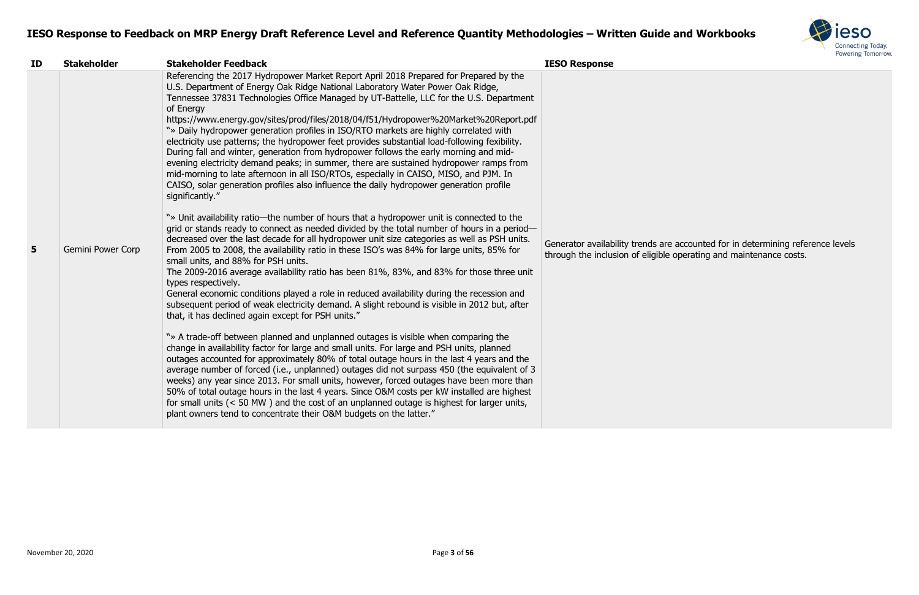

| ID             | <b>Stakeholder</b>       | <b>Stakeholder Feedback</b>                                                                                                                                                                                                                                                                                                                                                                                                                                                                                                                                                                                                                                                                                                                                                                                                                                                                                                                                                                                                                                                                                                                                                                                                                                                                                                                                                                                                                                                                                                                         | <b>IESO Response</b>                                                                                                                       |
|----------------|--------------------------|-----------------------------------------------------------------------------------------------------------------------------------------------------------------------------------------------------------------------------------------------------------------------------------------------------------------------------------------------------------------------------------------------------------------------------------------------------------------------------------------------------------------------------------------------------------------------------------------------------------------------------------------------------------------------------------------------------------------------------------------------------------------------------------------------------------------------------------------------------------------------------------------------------------------------------------------------------------------------------------------------------------------------------------------------------------------------------------------------------------------------------------------------------------------------------------------------------------------------------------------------------------------------------------------------------------------------------------------------------------------------------------------------------------------------------------------------------------------------------------------------------------------------------------------------------|--------------------------------------------------------------------------------------------------------------------------------------------|
|                |                          | Referencing the 2017 Hydropower Market Report April 2018 Prepared for Prepared by the<br>U.S. Department of Energy Oak Ridge National Laboratory Water Power Oak Ridge,<br>Tennessee 37831 Technologies Office Managed by UT-Battelle, LLC for the U.S. Department<br>of Energy<br>https://www.energy.gov/sites/prod/files/2018/04/f51/Hydropower%20Market%20Report.pdf<br>"» Daily hydropower generation profiles in ISO/RTO markets are highly correlated with<br>electricity use patterns; the hydropower feet provides substantial load-following fexibility.<br>During fall and winter, generation from hydropower follows the early morning and mid-<br>evening electricity demand peaks; in summer, there are sustained hydropower ramps from<br>mid-morning to late afternoon in all ISO/RTOs, especially in CAISO, MISO, and PJM. In<br>CAISO, solar generation profiles also influence the daily hydropower generation profile<br>significantly."                                                                                                                                                                                                                                                                                                                                                                                                                                                                                                                                                                                         |                                                                                                                                            |
| 5 <sup>5</sup> | <b>Gemini Power Corp</b> | "» Unit availability ratio—the number of hours that a hydropower unit is connected to the<br>grid or stands ready to connect as needed divided by the total number of hours in a period-<br>decreased over the last decade for all hydropower unit size categories as well as PSH units.<br>From 2005 to 2008, the availability ratio in these ISO's was 84% for large units, 85% for<br>small units, and 88% for PSH units.<br>The 2009-2016 average availability ratio has been 81%, 83%, and 83% for those three unit<br>types respectively.<br>General economic conditions played a role in reduced availability during the recession and<br>subsequent period of weak electricity demand. A slight rebound is visible in 2012 but, after<br>that, it has declined again except for PSH units."<br>"» A trade-off between planned and unplanned outages is visible when comparing the<br>change in availability factor for large and small units. For large and PSH units, planned<br>outages accounted for approximately 80% of total outage hours in the last 4 years and the<br>average number of forced (i.e., unplanned) outages did not surpass 450 (the equivalent of 3<br>weeks) any year since 2013. For small units, however, forced outages have been more than<br>50% of total outage hours in the last 4 years. Since O&M costs per kW installed are highest<br>for small units $(< 50$ MW) and the cost of an unplanned outage is highest for larger units,<br>plant owners tend to concentrate their O&M budgets on the latter." | Generator availability trends are accounted for in determining refer<br>through the inclusion of eligible operating and maintenance costs. |

Generator availability trends are accounted for in determining reference levels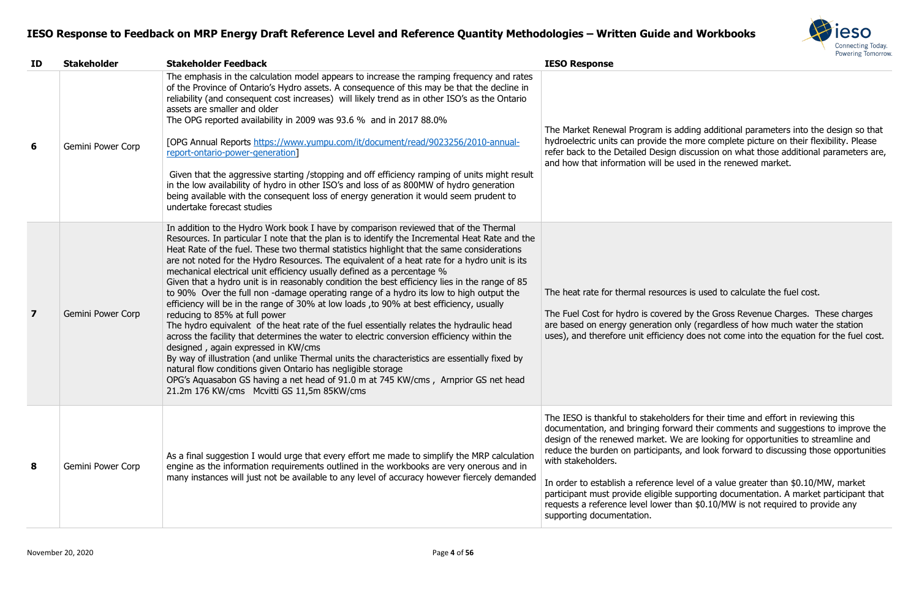

adding additional parameters into the design so that he more complete picture on their flexibility. Please discussion on what those additional parameters are, used in the renewed market.

the heat to calculate the fuel cost.

Ed by the Gross Revenue Charges. These charges. only (regardless of how much water the station ncy does not come into the equation for the fuel cost.

ders for their time and effort in reviewing this ward their comments and suggestions to improve the  $\mathsf{N}\mathsf{e}$  are looking for opportunities to streamline and ts, and look forward to discussing those opportunities

In order to be order than  $$0.10/MW$ , market supporting documentation. A market participant that than  $$0.10/MW$  is not required to provide any

| ID                      | <b>Stakeholder</b> | <b>Stakeholder Feedback</b>                                                                                                                                                                                                                                                                                                                                                                                                                                                                                                                                                                                                                                                                                                                                                                                                                                                                                                                                                                                                                                                                                                                                                                                                                                                                                                   | <b>IESO Response</b>                                                                                                                                                                                                                                                                                         |
|-------------------------|--------------------|-------------------------------------------------------------------------------------------------------------------------------------------------------------------------------------------------------------------------------------------------------------------------------------------------------------------------------------------------------------------------------------------------------------------------------------------------------------------------------------------------------------------------------------------------------------------------------------------------------------------------------------------------------------------------------------------------------------------------------------------------------------------------------------------------------------------------------------------------------------------------------------------------------------------------------------------------------------------------------------------------------------------------------------------------------------------------------------------------------------------------------------------------------------------------------------------------------------------------------------------------------------------------------------------------------------------------------|--------------------------------------------------------------------------------------------------------------------------------------------------------------------------------------------------------------------------------------------------------------------------------------------------------------|
| 6                       | Gemini Power Corp  | The emphasis in the calculation model appears to increase the ramping frequency and rates<br>of the Province of Ontario's Hydro assets. A consequence of this may be that the decline in<br>reliability (and consequent cost increases) will likely trend as in other ISO's as the Ontario<br>assets are smaller and older<br>The OPG reported availability in 2009 was 93.6 % and in 2017 88.0%<br>[OPG Annual Reports https://www.yumpu.com/it/document/read/9023256/2010-annual-<br>report-ontario-power-generation]<br>Given that the aggressive starting /stopping and off efficiency ramping of units might result<br>in the low availability of hydro in other ISO's and loss of as 800MW of hydro generation<br>being available with the consequent loss of energy generation it would seem prudent to<br>undertake forecast studies                                                                                                                                                                                                                                                                                                                                                                                                                                                                                  | The Market Renewal Program is<br>hydroelectric units can provide the<br>refer back to the Detailed Design<br>and how that information will be                                                                                                                                                                |
| $\overline{\mathbf{z}}$ | Gemini Power Corp  | In addition to the Hydro Work book I have by comparison reviewed that of the Thermal<br>Resources. In particular I note that the plan is to identify the Incremental Heat Rate and the<br>Heat Rate of the fuel. These two thermal statistics highlight that the same considerations<br>are not noted for the Hydro Resources. The equivalent of a heat rate for a hydro unit is its<br>mechanical electrical unit efficiency usually defined as a percentage %<br>Given that a hydro unit is in reasonably condition the best efficiency lies in the range of 85<br>to 90% Over the full non -damage operating range of a hydro its low to high output the<br>efficiency will be in the range of 30% at low loads, to 90% at best efficiency, usually<br>reducing to 85% at full power<br>The hydro equivalent of the heat rate of the fuel essentially relates the hydraulic head<br>across the facility that determines the water to electric conversion efficiency within the<br>designed, again expressed in KW/cms<br>By way of illustration (and unlike Thermal units the characteristics are essentially fixed by<br>natural flow conditions given Ontario has negligible storage<br>OPG's Aquasabon GS having a net head of 91.0 m at 745 KW/cms, Arnprior GS net head<br>21.2m 176 KW/cms Mcvitti GS 11,5m 85KW/cms | The heat rate for thermal resoure<br>The Fuel Cost for hydro is covere<br>are based on energy generation<br>uses), and therefore unit efficien                                                                                                                                                               |
| 8                       | Gemini Power Corp  | As a final suggestion I would urge that every effort me made to simplify the MRP calculation<br>engine as the information requirements outlined in the workbooks are very onerous and in<br>many instances will just not be available to any level of accuracy however fiercely demanded                                                                                                                                                                                                                                                                                                                                                                                                                                                                                                                                                                                                                                                                                                                                                                                                                                                                                                                                                                                                                                      | The IESO is thankful to stakehold<br>documentation, and bringing for<br>design of the renewed market. W<br>reduce the burden on participant<br>with stakeholders.<br>In order to establish a reference<br>participant must provide eligible<br>requests a reference level lower<br>supporting documentation. |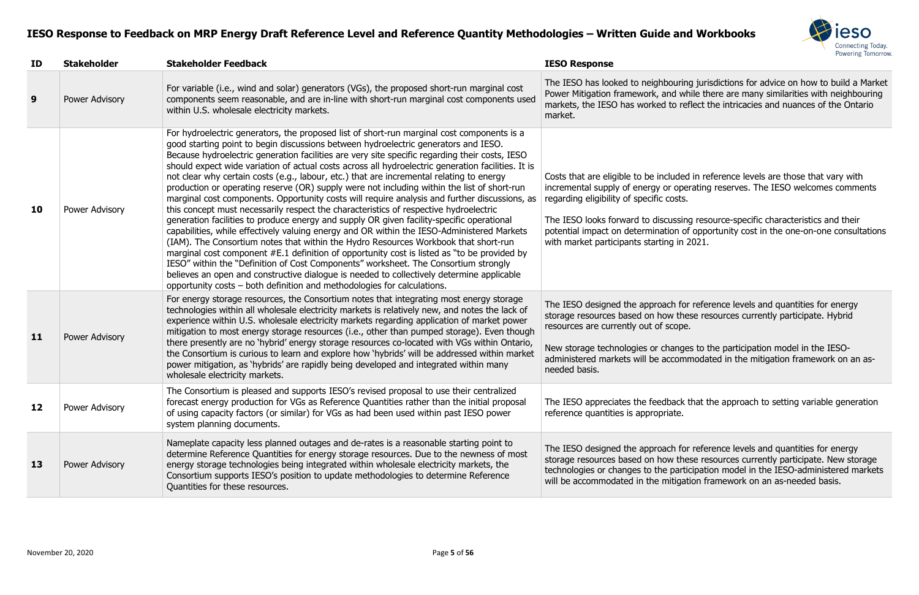

uring jurisdictions for advice on how to build a Market d while there are many similarities with neighbouring o reflect the intricacies and nuances of the Ontario

Ided in reference levels are those that vary with operating reserves. The IESO welcomes comments

ssing resource-specific characteristics and their on of opportunity cost in the one-on-one consultations  $\sin 2021$ .

I for reference levels and quantities for energy these resources currently participate. Hybrid ope.

anges to the participation model in the IESOcommodated in the mitigation framework on an as-

ack that the approach to setting variable generation

I for reference levels and quantities for energy these resources currently participate. New storage barticipation model in the IESO-administered markets tigation framework on an as-needed basis.

| ID        | <b>Stakeholder</b> | <b>Stakeholder Feedback</b>                                                                                                                                                                                                                                                                                                                                                                                                                                                                                                                                                                                                                                                                                                                                                                                                                                                                                                                                                                                                                                                                                                                                                                                                                                                                                                                                                                                                    | <b>IESO Response</b>                                                                                                                                                                                                                                 |
|-----------|--------------------|--------------------------------------------------------------------------------------------------------------------------------------------------------------------------------------------------------------------------------------------------------------------------------------------------------------------------------------------------------------------------------------------------------------------------------------------------------------------------------------------------------------------------------------------------------------------------------------------------------------------------------------------------------------------------------------------------------------------------------------------------------------------------------------------------------------------------------------------------------------------------------------------------------------------------------------------------------------------------------------------------------------------------------------------------------------------------------------------------------------------------------------------------------------------------------------------------------------------------------------------------------------------------------------------------------------------------------------------------------------------------------------------------------------------------------|------------------------------------------------------------------------------------------------------------------------------------------------------------------------------------------------------------------------------------------------------|
| 9         | Power Advisory     | For variable (i.e., wind and solar) generators (VGs), the proposed short-run marginal cost<br>components seem reasonable, and are in-line with short-run marginal cost components used<br>within U.S. wholesale electricity markets.                                                                                                                                                                                                                                                                                                                                                                                                                                                                                                                                                                                                                                                                                                                                                                                                                                                                                                                                                                                                                                                                                                                                                                                           | The IESO has looked to neighbouring<br>Power Mitigation framework, and wh<br>markets, the IESO has worked to ref<br>market.                                                                                                                          |
| <b>10</b> | Power Advisory     | For hydroelectric generators, the proposed list of short-run marginal cost components is a<br>good starting point to begin discussions between hydroelectric generators and IESO.<br>Because hydroelectric generation facilities are very site specific regarding their costs, IESO<br>should expect wide variation of actual costs across all hydroelectric generation facilities. It is<br>not clear why certain costs (e.g., labour, etc.) that are incremental relating to energy<br>production or operating reserve (OR) supply were not including within the list of short-run<br>marginal cost components. Opportunity costs will require analysis and further discussions, as<br>this concept must necessarily respect the characteristics of respective hydroelectric<br>generation facilities to produce energy and supply OR given facility-specific operational<br>capabilities, while effectively valuing energy and OR within the IESO-Administered Markets<br>(IAM). The Consortium notes that within the Hydro Resources Workbook that short-run<br>marginal cost component #E.1 definition of opportunity cost is listed as "to be provided by<br>IESO" within the "Definition of Cost Components" worksheet. The Consortium strongly<br>believes an open and constructive dialogue is needed to collectively determine applicable<br>opportunity costs – both definition and methodologies for calculations. | Costs that are eligible to be included<br>incremental supply of energy or oper<br>regarding eligibility of specific costs.<br>The IESO looks forward to discussing<br>potential impact on determination of<br>with market participants starting in 2 |
| 11        | Power Advisory     | For energy storage resources, the Consortium notes that integrating most energy storage<br>technologies within all wholesale electricity markets is relatively new, and notes the lack of<br>experience within U.S. wholesale electricity markets regarding application of market power<br>mitigation to most energy storage resources (i.e., other than pumped storage). Even though<br>there presently are no 'hybrid' energy storage resources co-located with VGs within Ontario,<br>the Consortium is curious to learn and explore how 'hybrids' will be addressed within market<br>power mitigation, as 'hybrids' are rapidly being developed and integrated within many<br>wholesale electricity markets.                                                                                                                                                                                                                                                                                                                                                                                                                                                                                                                                                                                                                                                                                                               | The IESO designed the approach for<br>storage resources based on how the<br>resources are currently out of scope.<br>New storage technologies or changes<br>administered markets will be accomn<br>needed basis.                                     |
| 12        | Power Advisory     | The Consortium is pleased and supports IESO's revised proposal to use their centralized<br>forecast energy production for VGs as Reference Quantities rather than the initial proposal<br>of using capacity factors (or similar) for VGs as had been used within past IESO power<br>system planning documents.                                                                                                                                                                                                                                                                                                                                                                                                                                                                                                                                                                                                                                                                                                                                                                                                                                                                                                                                                                                                                                                                                                                 | The IESO appreciates the feedback t<br>reference quantities is appropriate.                                                                                                                                                                          |
| 13        | Power Advisory     | Nameplate capacity less planned outages and de-rates is a reasonable starting point to<br>determine Reference Quantities for energy storage resources. Due to the newness of most<br>energy storage technologies being integrated within wholesale electricity markets, the<br>Consortium supports IESO's position to update methodologies to determine Reference<br>Quantities for these resources.                                                                                                                                                                                                                                                                                                                                                                                                                                                                                                                                                                                                                                                                                                                                                                                                                                                                                                                                                                                                                           | The IESO designed the approach for<br>storage resources based on how the<br>technologies or changes to the partic<br>will be accommodated in the mitigati                                                                                            |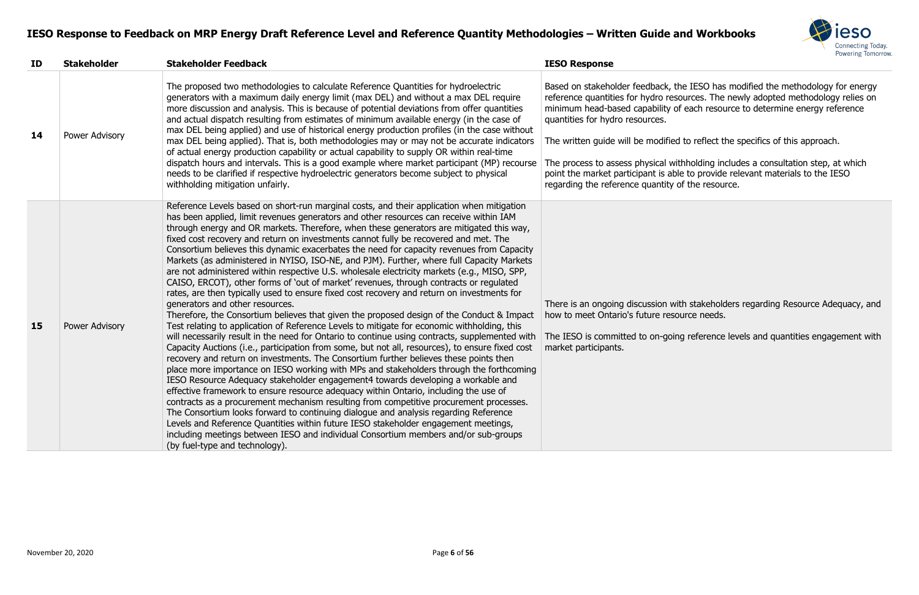

the IESO has modified the methodology for energy sources. The newly adopted methodology relies on of each resource to determine energy reference

ed to reflect the specifics of this approach.

vithholding includes a consultation step, at which ble to provide relevant materials to the IESO of the resource.

vith stakeholders regarding Resource Adequacy, and source needs.

ing reference levels and quantities engagement with

| ID | <b>Stakeholder</b> | <b>Stakeholder Feedback</b>                                                                                                                                                                                                                                                                                                                                                                                                                                                                                                                                                                                                                                                                                                                                                                                                                                                                                                                                                                                                                                                                                                                                                                                                                                                                                                                                                                                                                                                                                                                                                                                                                                                                                                                                                                                                                                                                                                                                                                                                                                   | <b>IESO Response</b>                                                                                                                                                                                                                                                                            |
|----|--------------------|---------------------------------------------------------------------------------------------------------------------------------------------------------------------------------------------------------------------------------------------------------------------------------------------------------------------------------------------------------------------------------------------------------------------------------------------------------------------------------------------------------------------------------------------------------------------------------------------------------------------------------------------------------------------------------------------------------------------------------------------------------------------------------------------------------------------------------------------------------------------------------------------------------------------------------------------------------------------------------------------------------------------------------------------------------------------------------------------------------------------------------------------------------------------------------------------------------------------------------------------------------------------------------------------------------------------------------------------------------------------------------------------------------------------------------------------------------------------------------------------------------------------------------------------------------------------------------------------------------------------------------------------------------------------------------------------------------------------------------------------------------------------------------------------------------------------------------------------------------------------------------------------------------------------------------------------------------------------------------------------------------------------------------------------------------------|-------------------------------------------------------------------------------------------------------------------------------------------------------------------------------------------------------------------------------------------------------------------------------------------------|
| 14 | Power Advisory     | The proposed two methodologies to calculate Reference Quantities for hydroelectric<br>generators with a maximum daily energy limit (max DEL) and without a max DEL require<br>more discussion and analysis. This is because of potential deviations from offer quantities<br>and actual dispatch resulting from estimates of minimum available energy (in the case of<br>max DEL being applied) and use of historical energy production profiles (in the case without<br>max DEL being applied). That is, both methodologies may or may not be accurate indicators<br>of actual energy production capability or actual capability to supply OR within real-time<br>dispatch hours and intervals. This is a good example where market participant (MP) recourse<br>needs to be clarified if respective hydroelectric generators become subject to physical<br>withholding mitigation unfairly.                                                                                                                                                                                                                                                                                                                                                                                                                                                                                                                                                                                                                                                                                                                                                                                                                                                                                                                                                                                                                                                                                                                                                                 | Based on stakeholder feedback, t<br>reference quantities for hydro res<br>minimum head-based capability o<br>quantities for hydro resources.<br>The written guide will be modifie<br>The process to assess physical w<br>point the market participant is ab<br>regarding the reference quantity |
| 15 | Power Advisory     | Reference Levels based on short-run marginal costs, and their application when mitigation<br>has been applied, limit revenues generators and other resources can receive within IAM<br>through energy and OR markets. Therefore, when these generators are mitigated this way,<br>fixed cost recovery and return on investments cannot fully be recovered and met. The<br>Consortium believes this dynamic exacerbates the need for capacity revenues from Capacity<br>Markets (as administered in NYISO, ISO-NE, and PJM). Further, where full Capacity Markets<br>are not administered within respective U.S. wholesale electricity markets (e.g., MISO, SPP,<br>CAISO, ERCOT), other forms of 'out of market' revenues, through contracts or regulated<br>rates, are then typically used to ensure fixed cost recovery and return on investments for<br>generators and other resources.<br>Therefore, the Consortium believes that given the proposed design of the Conduct & Impact<br>Test relating to application of Reference Levels to mitigate for economic withholding, this<br>will necessarily result in the need for Ontario to continue using contracts, supplemented with<br>Capacity Auctions (i.e., participation from some, but not all, resources), to ensure fixed cost<br>recovery and return on investments. The Consortium further believes these points then<br>place more importance on IESO working with MPs and stakeholders through the forthcoming<br>IESO Resource Adequacy stakeholder engagement4 towards developing a workable and<br>effective framework to ensure resource adequacy within Ontario, including the use of<br>contracts as a procurement mechanism resulting from competitive procurement processes.<br>The Consortium looks forward to continuing dialogue and analysis regarding Reference<br>Levels and Reference Quantities within future IESO stakeholder engagement meetings,<br>including meetings between IESO and individual Consortium members and/or sub-groups<br>(by fuel-type and technology). | There is an ongoing discussion w<br>how to meet Ontario's future rese<br>The IESO is committed to on-goir<br>market participants.                                                                                                                                                               |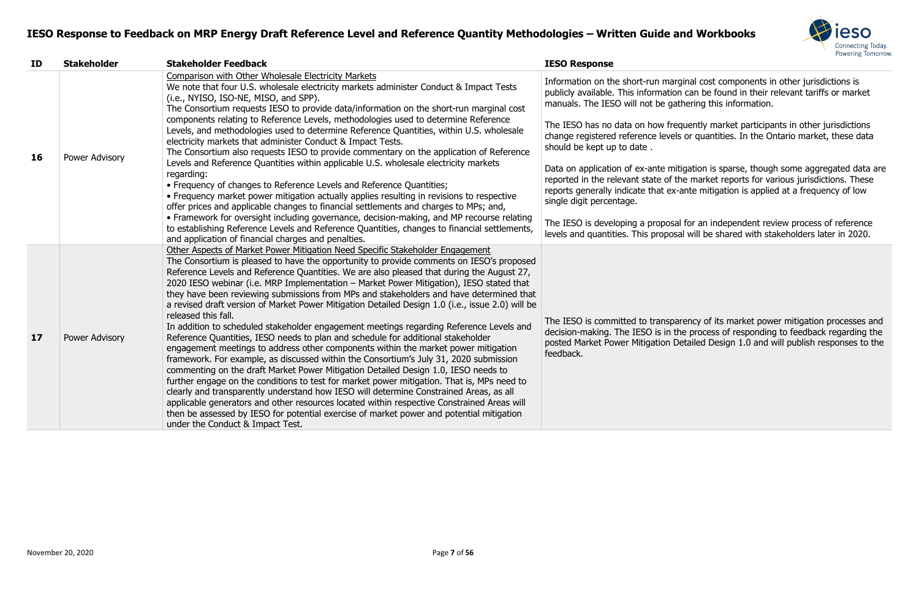

Information cost components in other jurisdictions is on can be found in their relevant tariffs or market athering this information.

equently market participants in other jurisdictions els or quantities. In the Ontario market, these data

hitigation is sparse, though some aggregated data are the market reports for various jurisdictions. These x-ante mitigation is applied at a frequency of low

sal for an independent review process of reference Isal will be shared with stakeholders later in 2020.

Darency of its market power mitigation processes and the process of responding to feedback regarding the Detailed Design 1.0 and will publish responses to the

| ID | <b>Stakeholder</b> | <b>Stakeholder Feedback</b>                                                                                                                                                                                                                                                                                                                                                                                                                                                                                                                                                                                                                                                                                                                                                                                                                                                                                                                                                                                                                                                                                                                                                                                                                                                                                                                                                                                                                                       | <b>IESO Response</b>                                                                                                                     |
|----|--------------------|-------------------------------------------------------------------------------------------------------------------------------------------------------------------------------------------------------------------------------------------------------------------------------------------------------------------------------------------------------------------------------------------------------------------------------------------------------------------------------------------------------------------------------------------------------------------------------------------------------------------------------------------------------------------------------------------------------------------------------------------------------------------------------------------------------------------------------------------------------------------------------------------------------------------------------------------------------------------------------------------------------------------------------------------------------------------------------------------------------------------------------------------------------------------------------------------------------------------------------------------------------------------------------------------------------------------------------------------------------------------------------------------------------------------------------------------------------------------|------------------------------------------------------------------------------------------------------------------------------------------|
|    |                    | Comparison with Other Wholesale Electricity Markets<br>We note that four U.S. wholesale electricity markets administer Conduct & Impact Tests<br>(i.e., NYISO, ISO-NE, MISO, and SPP).<br>The Consortium requests IESO to provide data/information on the short-run marginal cost                                                                                                                                                                                                                                                                                                                                                                                                                                                                                                                                                                                                                                                                                                                                                                                                                                                                                                                                                                                                                                                                                                                                                                                 | Information on the short-run ma<br>publicly available. This informatio<br>manuals. The IESO will not be ga                               |
| 16 |                    | components relating to Reference Levels, methodologies used to determine Reference<br>Levels, and methodologies used to determine Reference Quantities, within U.S. wholesale<br>electricity markets that administer Conduct & Impact Tests.<br>The Consortium also requests IESO to provide commentary on the application of Reference                                                                                                                                                                                                                                                                                                                                                                                                                                                                                                                                                                                                                                                                                                                                                                                                                                                                                                                                                                                                                                                                                                                           | The IESO has no data on how fre<br>change registered reference leve<br>should be kept up to date.                                        |
|    | Power Advisory     | Levels and Reference Quantities within applicable U.S. wholesale electricity markets<br>regarding:<br>• Frequency of changes to Reference Levels and Reference Quantities;<br>• Frequency market power mitigation actually applies resulting in revisions to respective<br>offer prices and applicable changes to financial settlements and charges to MPs; and,                                                                                                                                                                                                                                                                                                                                                                                                                                                                                                                                                                                                                                                                                                                                                                                                                                                                                                                                                                                                                                                                                                  | Data on application of ex-ante m<br>reported in the relevant state of<br>reports generally indicate that ex-<br>single digit percentage. |
|    |                    | • Framework for oversight including governance, decision-making, and MP recourse relating<br>to establishing Reference Levels and Reference Quantities, changes to financial settlements,<br>and application of financial charges and penalties.                                                                                                                                                                                                                                                                                                                                                                                                                                                                                                                                                                                                                                                                                                                                                                                                                                                                                                                                                                                                                                                                                                                                                                                                                  | The IESO is developing a propos<br>levels and quantities. This propos                                                                    |
| 17 | Power Advisory     | Other Aspects of Market Power Mitigation Need Specific Stakeholder Engagement<br>The Consortium is pleased to have the opportunity to provide comments on IESO's proposed<br>Reference Levels and Reference Quantities. We are also pleased that during the August 27,<br>2020 IESO webinar (i.e. MRP Implementation - Market Power Mitigation), IESO stated that<br>they have been reviewing submissions from MPs and stakeholders and have determined that<br>a revised draft version of Market Power Mitigation Detailed Design 1.0 (i.e., issue 2.0) will be<br>released this fall.<br>In addition to scheduled stakeholder engagement meetings regarding Reference Levels and<br>Reference Quantities, IESO needs to plan and schedule for additional stakeholder<br>engagement meetings to address other components within the market power mitigation<br>framework. For example, as discussed within the Consortium's July 31, 2020 submission<br>commenting on the draft Market Power Mitigation Detailed Design 1.0, IESO needs to<br>further engage on the conditions to test for market power mitigation. That is, MPs need to<br>clearly and transparently understand how IESO will determine Constrained Areas, as all<br>applicable generators and other resources located within respective Constrained Areas will<br>then be assessed by IESO for potential exercise of market power and potential mitigation<br>under the Conduct & Impact Test. | The IESO is committed to transp<br>decision-making. The IESO is in t<br>posted Market Power Mitigation I<br>feedback.                    |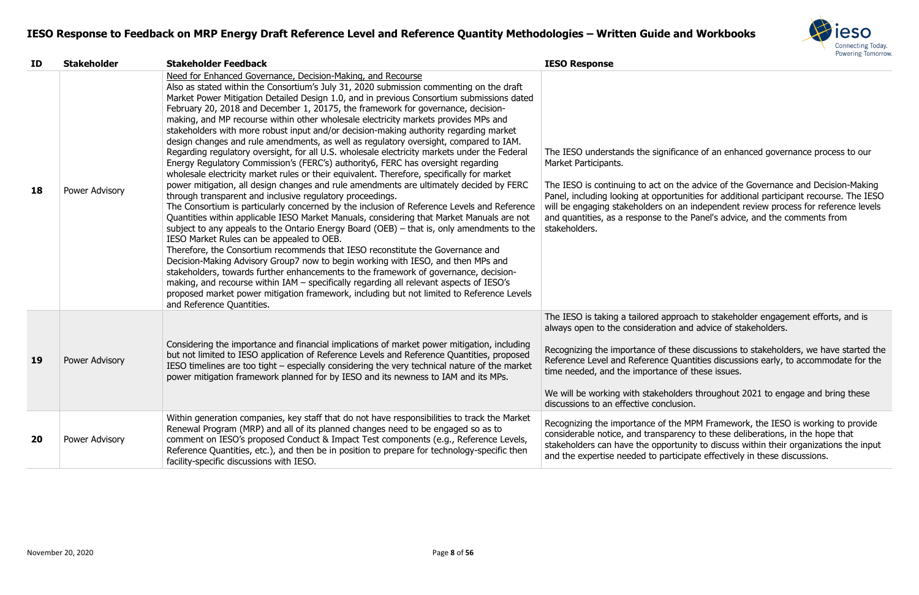

Ticance of an enhanced governance process to our

the advice of the Governance and Decision-Making rtunities for additional participant recourse. The IESO an independent review process for reference levels the Panel's advice, and the comments from

proach to stakeholder engagement efforts, and is  $\overline{\phantom{a}}$  and advice of stakeholders.

hese discussions to stakeholders, we have started the Quantities discussions early, to accommodate for the the of these issues.

Iders throughout 2021 to engage and bring these usion.

he MPM Framework, the IESO is working to provide arency to these deliberations, in the hope that rtunity to discuss within their organizations the input ticipate effectively in these discussions.

| ID        | <b>Stakeholder</b>    | <b>Stakeholder Feedback</b>                                                                                                                                                                                                                                                                                                                                                                                                                                                                                                                                                                                                                                                                                                                                                                                                                                                                                                                                                                                                                                                                                                                                                                                                                                                                                                                                                                                                                                                                                                                                                                                                                                                                                                                                                                                                                                                            | <b>IESO Response</b>                                                                                                                                                                                                                                      |
|-----------|-----------------------|----------------------------------------------------------------------------------------------------------------------------------------------------------------------------------------------------------------------------------------------------------------------------------------------------------------------------------------------------------------------------------------------------------------------------------------------------------------------------------------------------------------------------------------------------------------------------------------------------------------------------------------------------------------------------------------------------------------------------------------------------------------------------------------------------------------------------------------------------------------------------------------------------------------------------------------------------------------------------------------------------------------------------------------------------------------------------------------------------------------------------------------------------------------------------------------------------------------------------------------------------------------------------------------------------------------------------------------------------------------------------------------------------------------------------------------------------------------------------------------------------------------------------------------------------------------------------------------------------------------------------------------------------------------------------------------------------------------------------------------------------------------------------------------------------------------------------------------------------------------------------------------|-----------------------------------------------------------------------------------------------------------------------------------------------------------------------------------------------------------------------------------------------------------|
| 18        | Power Advisory        | Need for Enhanced Governance, Decision-Making, and Recourse<br>Also as stated within the Consortium's July 31, 2020 submission commenting on the draft<br>Market Power Mitigation Detailed Design 1.0, and in previous Consortium submissions dated<br>February 20, 2018 and December 1, 20175, the framework for governance, decision-<br>making, and MP recourse within other wholesale electricity markets provides MPs and<br>stakeholders with more robust input and/or decision-making authority regarding market<br>design changes and rule amendments, as well as regulatory oversight, compared to IAM.<br>Regarding regulatory oversight, for all U.S. wholesale electricity markets under the Federal<br>Energy Regulatory Commission's (FERC's) authority6, FERC has oversight regarding<br>wholesale electricity market rules or their equivalent. Therefore, specifically for market<br>power mitigation, all design changes and rule amendments are ultimately decided by FERC<br>through transparent and inclusive regulatory proceedings.<br>The Consortium is particularly concerned by the inclusion of Reference Levels and Reference<br>Quantities within applicable IESO Market Manuals, considering that Market Manuals are not<br>subject to any appeals to the Ontario Energy Board (OEB) $-$ that is, only amendments to the<br>IESO Market Rules can be appealed to OEB.<br>Therefore, the Consortium recommends that IESO reconstitute the Governance and<br>Decision-Making Advisory Group7 now to begin working with IESO, and then MPs and<br>stakeholders, towards further enhancements to the framework of governance, decision-<br>making, and recourse within IAM - specifically regarding all relevant aspects of IESO's<br>proposed market power mitigation framework, including but not limited to Reference Levels<br>and Reference Quantities. | The IESO understands the signifi<br>Market Participants.<br>The IESO is continuing to act on<br>Panel, including looking at oppor<br>will be engaging stakeholders on<br>and quantities, as a response to<br>stakeholders.                                |
| <b>19</b> | Power Advisory        | Considering the importance and financial implications of market power mitigation, including<br>but not limited to IESO application of Reference Levels and Reference Quantities, proposed<br>IESO timelines are too tight – especially considering the very technical nature of the market<br>power mitigation framework planned for by IESO and its newness to IAM and its MPs.                                                                                                                                                                                                                                                                                                                                                                                                                                                                                                                                                                                                                                                                                                                                                                                                                                                                                                                                                                                                                                                                                                                                                                                                                                                                                                                                                                                                                                                                                                       | The IESO is taking a tailored app<br>always open to the consideration<br>Recognizing the importance of th<br>Reference Level and Reference O<br>time needed, and the importance<br>We will be working with stakehol<br>discussions to an effective conclu |
| <b>20</b> | <b>Power Advisory</b> | Within generation companies, key staff that do not have responsibilities to track the Market<br>Renewal Program (MRP) and all of its planned changes need to be engaged so as to<br>comment on IESO's proposed Conduct & Impact Test components (e.g., Reference Levels,<br>Reference Quantities, etc.), and then be in position to prepare for technology-specific then<br>facility-specific discussions with IESO.                                                                                                                                                                                                                                                                                                                                                                                                                                                                                                                                                                                                                                                                                                                                                                                                                                                                                                                                                                                                                                                                                                                                                                                                                                                                                                                                                                                                                                                                   | Recognizing the importance of th<br>considerable notice, and transpa<br>stakeholders can have the oppor<br>and the expertise needed to part                                                                                                               |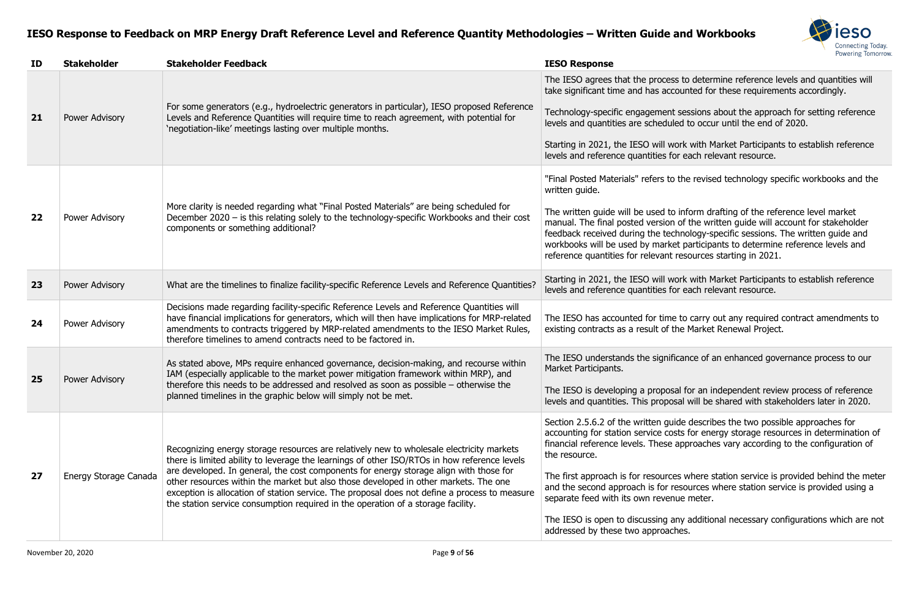

ss to determine reference levels and quantities will to significant time and time accordingly.

sessions about the approach for setting reference led to occur until the end of 2020.

ork with Market Participants to establish reference or each relevant resource.

the revised technology specific workbooks and the

inform drafting of the reference level market of the written guide will account for stakeholder chnology-specific sessions. The written guide and et participants to determine reference levels and resources starting in 2021.

**23** Pork with Market Participants to establish reference or each relevant resource.

e to carry out any required contract amendments to the Market Renewal Project.

Tre IES is an enhanced governance process to our

al for an independent review process of reference Isal will be shared with stakeholders later in 2020.

ide describes the two possible approaches for acts for energy storage resources in determination of approaches vary according to the configuration of

es where station service is provided behind the meter resources where station service is provided using a nue meter.

any additional necessary configurations which are not

| ID | <b>Stakeholder</b>    | <b>Stakeholder Feedback</b>                                                                                                                                                                                                                                                                                                                                                                                                                                                                                                                                     | <b>IESO Response</b>                                                                                                                                                                                                                                                                                                                            |
|----|-----------------------|-----------------------------------------------------------------------------------------------------------------------------------------------------------------------------------------------------------------------------------------------------------------------------------------------------------------------------------------------------------------------------------------------------------------------------------------------------------------------------------------------------------------------------------------------------------------|-------------------------------------------------------------------------------------------------------------------------------------------------------------------------------------------------------------------------------------------------------------------------------------------------------------------------------------------------|
| 21 | Power Advisory        | For some generators (e.g., hydroelectric generators in particular), IESO proposed Reference<br>Levels and Reference Quantities will require time to reach agreement, with potential for<br>'negotiation-like' meetings lasting over multiple months.                                                                                                                                                                                                                                                                                                            | The IESO agrees that the process to<br>take significant time and has accoun<br>Technology-specific engagement ses<br>levels and quantities are scheduled t<br>Starting in 2021, the IESO will work<br>levels and reference quantities for ea                                                                                                    |
| 22 | Power Advisory        | More clarity is needed regarding what "Final Posted Materials" are being scheduled for<br>December 2020 – is this relating solely to the technology-specific Workbooks and their cost<br>components or something additional?                                                                                                                                                                                                                                                                                                                                    | "Final Posted Materials" refers to the<br>written guide.<br>The written guide will be used to info<br>manual. The final posted version of t<br>feedback received during the techno<br>workbooks will be used by market pa<br>reference quantities for relevant reso                                                                             |
| 23 | Power Advisory        | What are the timelines to finalize facility-specific Reference Levels and Reference Quantities?                                                                                                                                                                                                                                                                                                                                                                                                                                                                 | Starting in 2021, the IESO will work<br>levels and reference quantities for ea                                                                                                                                                                                                                                                                  |
| 24 | Power Advisory        | Decisions made regarding facility-specific Reference Levels and Reference Quantities will<br>have financial implications for generators, which will then have implications for MRP-related<br>amendments to contracts triggered by MRP-related amendments to the IESO Market Rules,<br>therefore timelines to amend contracts need to be factored in.                                                                                                                                                                                                           | The IESO has accounted for time to<br>existing contracts as a result of the N                                                                                                                                                                                                                                                                   |
| 25 | Power Advisory        | As stated above, MPs require enhanced governance, decision-making, and recourse within<br>IAM (especially applicable to the market power mitigation framework within MRP), and<br>therefore this needs to be addressed and resolved as soon as possible $-$ otherwise the<br>planned timelines in the graphic below will simply not be met.                                                                                                                                                                                                                     | The IESO understands the significan<br>Market Participants.<br>The IESO is developing a proposal fo<br>levels and quantities. This proposal v                                                                                                                                                                                                   |
| 27 | Energy Storage Canada | Recognizing energy storage resources are relatively new to wholesale electricity markets<br>there is limited ability to leverage the learnings of other ISO/RTOs in how reference levels<br>are developed. In general, the cost components for energy storage align with those for<br>other resources within the market but also those developed in other markets. The one<br>exception is allocation of station service. The proposal does not define a process to measure<br>the station service consumption required in the operation of a storage facility. | Section 2.5.6.2 of the written guide<br>accounting for station service costs f<br>financial reference levels. These app<br>the resource.<br>The first approach is for resources w<br>and the second approach is for resou<br>separate feed with its own revenue r<br>The IESO is open to discussing any a<br>addressed by these two approaches. |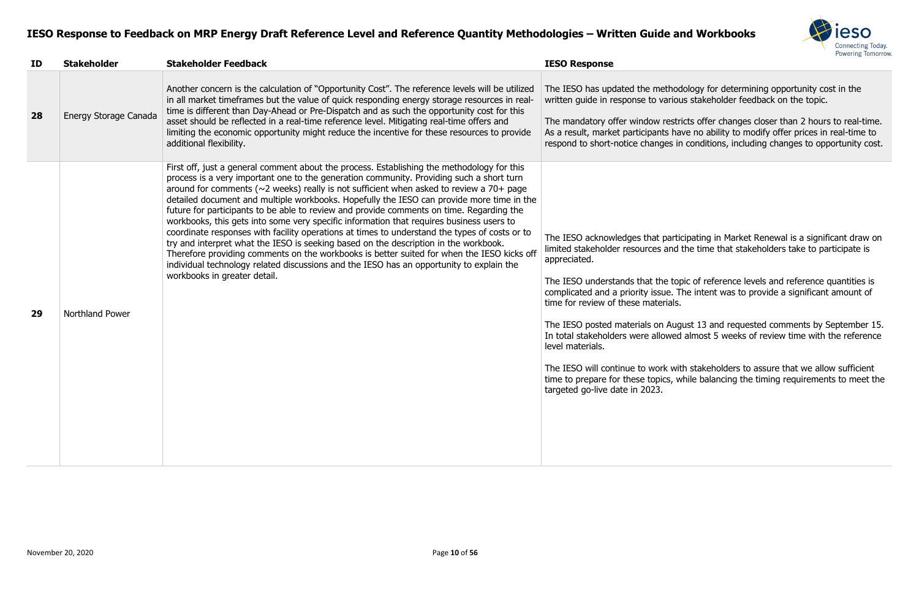

odology for determining opportunity cost in the  $\frac{3}{2}$  ous stakeholder feedback on the topic.

tricts offer changes closer than 2 hours to real-time. ave no ability to modify offer prices in real-time to in conditions, including changes to opportunity cost.

rticipating in Market Renewal is a significant draw on In the time that stakeholders take to participate is

opic of reference levels and reference quantities is The intent was to provide a significant amount of

Igust 13 and requested comments by September 15. In total most 5 weeks of review time with the reference

vith stakeholders to assure that we allow sufficient while balancing the timing requirements to meet the

| ID | <b>Stakeholder</b>    | <b>Stakeholder Feedback</b>                                                                                                                                                                                                                                                                                                                                                                                                                                                                                                                                                                                                                                                                                                                                                                                                                                                                                                                                                                      | <b>IESO Response</b>                                                                                                                                                                                                                                                                                                                                                                                                        |
|----|-----------------------|--------------------------------------------------------------------------------------------------------------------------------------------------------------------------------------------------------------------------------------------------------------------------------------------------------------------------------------------------------------------------------------------------------------------------------------------------------------------------------------------------------------------------------------------------------------------------------------------------------------------------------------------------------------------------------------------------------------------------------------------------------------------------------------------------------------------------------------------------------------------------------------------------------------------------------------------------------------------------------------------------|-----------------------------------------------------------------------------------------------------------------------------------------------------------------------------------------------------------------------------------------------------------------------------------------------------------------------------------------------------------------------------------------------------------------------------|
| 28 | Energy Storage Canada | Another concern is the calculation of "Opportunity Cost". The reference levels will be utilized<br>in all market timeframes but the value of quick responding energy storage resources in real-<br>time is different than Day-Ahead or Pre-Dispatch and as such the opportunity cost for this<br>asset should be reflected in a real-time reference level. Mitigating real-time offers and<br>limiting the economic opportunity might reduce the incentive for these resources to provide<br>additional flexibility.                                                                                                                                                                                                                                                                                                                                                                                                                                                                             | The IESO has updated the method<br>written guide in response to variou<br>The mandatory offer window restri<br>As a result, market participants have<br>respond to short-notice changes in                                                                                                                                                                                                                                  |
| 29 | Northland Power       | First off, just a general comment about the process. Establishing the methodology for this<br>process is a very important one to the generation community. Providing such a short turn<br>around for comments ( $\sim$ 2 weeks) really is not sufficient when asked to review a 70+ page<br>detailed document and multiple workbooks. Hopefully the IESO can provide more time in the<br>future for participants to be able to review and provide comments on time. Regarding the<br>workbooks, this gets into some very specific information that requires business users to<br>coordinate responses with facility operations at times to understand the types of costs or to<br>try and interpret what the IESO is seeking based on the description in the workbook.<br>Therefore providing comments on the workbooks is better suited for when the IESO kicks off<br>individual technology related discussions and the IESO has an opportunity to explain the<br>workbooks in greater detail. | The IESO acknowledges that partic<br>limited stakeholder resources and t<br>appreciated.<br>The IESO understands that the top<br>complicated and a priority issue. Th<br>time for review of these materials.<br>The IESO posted materials on Augu<br>In total stakeholders were allowed<br>level materials.<br>The IESO will continue to work with<br>time to prepare for these topics, w<br>targeted go-live date in 2023. |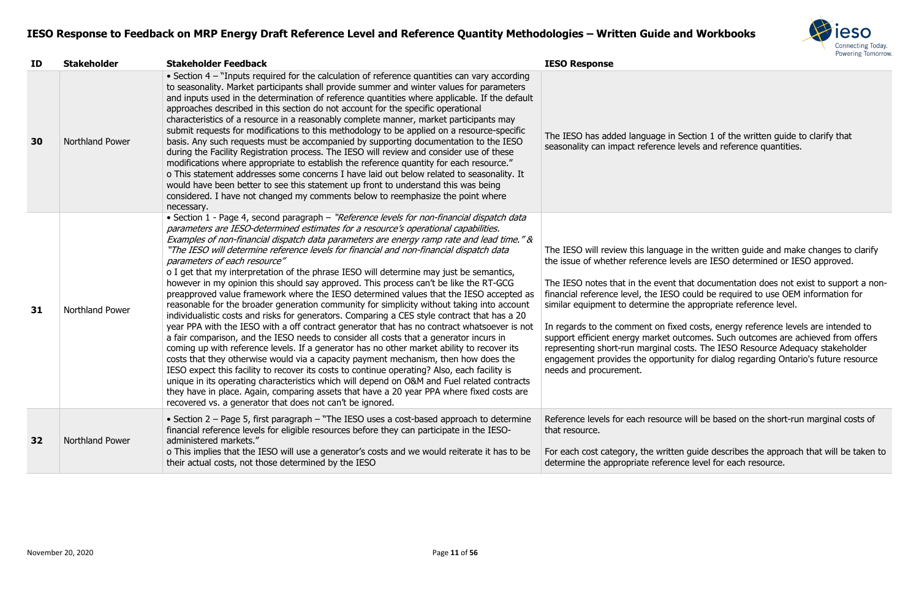

Section 1 of the written guide to clarify that levels and reference quantities.

age in the written guide and make changes to clarify evels are IESO determined or IESO approved.

that documentation does not exist to support a non-Fig. of could be required to use OEM information for the appropriate reference level.

xed costs, energy reference levels are intended to outcomes. Such outcomes are achieved from offers costs. The IESO Resource Adequacy stakeholder tunity for dialog regarding Ontario's future resource

ce will be based on the short-run marginal costs of

ten guide describes the approach that will be taken to ence level for each resource.

| ID | <b>Stakeholder</b>     | <b>Stakeholder Feedback</b>                                                                                                                                                                                                                                                                                                                                                                                                                                                                                                                                                                                                                                                                                                                                                                                                                                                                                                                                                                                                                                                                                                                                                                                                                                                                                                                                                                                                                                                                                                                                                                                                  | <b>IESO Response</b>                                                                                                                                                                                                                                                                                                                                          |
|----|------------------------|------------------------------------------------------------------------------------------------------------------------------------------------------------------------------------------------------------------------------------------------------------------------------------------------------------------------------------------------------------------------------------------------------------------------------------------------------------------------------------------------------------------------------------------------------------------------------------------------------------------------------------------------------------------------------------------------------------------------------------------------------------------------------------------------------------------------------------------------------------------------------------------------------------------------------------------------------------------------------------------------------------------------------------------------------------------------------------------------------------------------------------------------------------------------------------------------------------------------------------------------------------------------------------------------------------------------------------------------------------------------------------------------------------------------------------------------------------------------------------------------------------------------------------------------------------------------------------------------------------------------------|---------------------------------------------------------------------------------------------------------------------------------------------------------------------------------------------------------------------------------------------------------------------------------------------------------------------------------------------------------------|
| 30 | Northland Power        | • Section 4 - "Inputs required for the calculation of reference quantities can vary according<br>to seasonality. Market participants shall provide summer and winter values for parameters<br>and inputs used in the determination of reference quantities where applicable. If the default<br>approaches described in this section do not account for the specific operational<br>characteristics of a resource in a reasonably complete manner, market participants may<br>submit requests for modifications to this methodology to be applied on a resource-specific<br>basis. Any such requests must be accompanied by supporting documentation to the IESO<br>during the Facility Registration process. The IESO will review and consider use of these<br>modifications where appropriate to establish the reference quantity for each resource."<br>o This statement addresses some concerns I have laid out below related to seasonality. It<br>would have been better to see this statement up front to understand this was being<br>considered. I have not changed my comments below to reemphasize the point where<br>necessary.                                                                                                                                                                                                                                                                                                                                                                                                                                                                                   | The IESO has added language in<br>seasonality can impact reference                                                                                                                                                                                                                                                                                            |
| 31 | Northland Power        | • Section 1 - Page 4, second paragraph - "Reference levels for non-financial dispatch data<br>parameters are IESO-determined estimates for a resource's operational capabilities.<br>Examples of non-financial dispatch data parameters are energy ramp rate and lead time." &<br>"The IESO will determine reference levels for financial and non-financial dispatch data<br>parameters of each resource"<br>o I get that my interpretation of the phrase IESO will determine may just be semantics,<br>however in my opinion this should say approved. This process can't be like the RT-GCG<br>preapproved value framework where the IESO determined values that the IESO accepted as<br>reasonable for the broader generation community for simplicity without taking into account<br>individualistic costs and risks for generators. Comparing a CES style contract that has a 20<br>year PPA with the IESO with a off contract generator that has no contract whatsoever is not<br>a fair comparison, and the IESO needs to consider all costs that a generator incurs in<br>coming up with reference levels. If a generator has no other market ability to recover its<br>costs that they otherwise would via a capacity payment mechanism, then how does the<br>IESO expect this facility to recover its costs to continue operating? Also, each facility is<br>unique in its operating characteristics which will depend on O&M and Fuel related contracts<br>they have in place. Again, comparing assets that have a 20 year PPA where fixed costs are<br>recovered vs. a generator that does not can't be ignored. | The IESO will review this language<br>the issue of whether reference le<br>The IESO notes that in the event<br>financial reference level, the IES<br>similar equipment to determine t<br>In regards to the comment on fix<br>support efficient energy market o<br>representing short-run marginal<br>engagement provides the opport<br>needs and procurement. |
| 32 | <b>Northland Power</b> | • Section 2 – Page 5, first paragraph – "The IESO uses a cost-based approach to determine<br>financial reference levels for eligible resources before they can participate in the IESO-<br>administered markets."<br>o This implies that the IESO will use a generator's costs and we would reiterate it has to be<br>their actual costs, not those determined by the IESO                                                                                                                                                                                                                                                                                                                                                                                                                                                                                                                                                                                                                                                                                                                                                                                                                                                                                                                                                                                                                                                                                                                                                                                                                                                   | Reference levels for each resoure<br>that resource.<br>For each cost category, the writte<br>determine the appropriate refere                                                                                                                                                                                                                                 |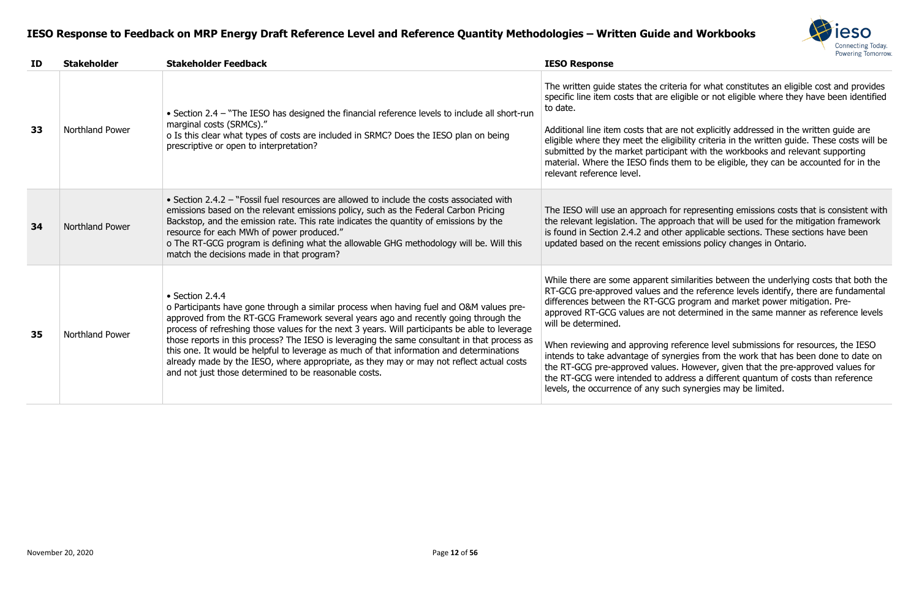

eria for what constitutes an eligible cost and provides eligible or not eligible where they have been identified

e not explicitly addressed in the written guide are gibility criteria in the written guide. These costs will be bant with the workbooks and relevant supporting them to be eligible, they can be accounted for in the

or representing emissions costs that is consistent with roach that will be used for the mitigation framework ier applicable sections. These sections have been nissions policy changes in Ontario.

similarities between the underlying costs that both the d the reference levels identify, there are fundamental program and market power mitigation. Predetermined in the same manner as reference levels

reference level submissions for resources, the IESO nergies from the work that has been done to date on s. However, given that the pre-approved values for ddress a different quantum of costs than reference ch synergies may be limited.

| ID | <b>Stakeholder</b>     | <b>Stakeholder Feedback</b>                                                                                                                                                                                                                                                                                                                                                                                                                                                                                                                                                                                                                                  | <b>IESO Response</b>                                                                                                                                                                                                                                                                                                                        |
|----|------------------------|--------------------------------------------------------------------------------------------------------------------------------------------------------------------------------------------------------------------------------------------------------------------------------------------------------------------------------------------------------------------------------------------------------------------------------------------------------------------------------------------------------------------------------------------------------------------------------------------------------------------------------------------------------------|---------------------------------------------------------------------------------------------------------------------------------------------------------------------------------------------------------------------------------------------------------------------------------------------------------------------------------------------|
| 33 | Northland Power        | • Section 2.4 - "The IESO has designed the financial reference levels to include all short-run<br>marginal costs (SRMCs)."<br>o Is this clear what types of costs are included in SRMC? Does the IESO plan on being<br>prescriptive or open to interpretation?                                                                                                                                                                                                                                                                                                                                                                                               | The written guide states the crite<br>specific line item costs that are e<br>to date.<br>Additional line item costs that are<br>eligible where they meet the elig<br>submitted by the market particip<br>material. Where the IESO finds t<br>relevant reference level.                                                                      |
| 34 | <b>Northland Power</b> | • Section 2.4.2 – "Fossil fuel resources are allowed to include the costs associated with<br>emissions based on the relevant emissions policy, such as the Federal Carbon Pricing<br>Backstop, and the emission rate. This rate indicates the quantity of emissions by the<br>resource for each MWh of power produced."<br>o The RT-GCG program is defining what the allowable GHG methodology will be. Will this<br>match the decisions made in that program?                                                                                                                                                                                               | The IESO will use an approach fo<br>the relevant legislation. The appr<br>is found in Section 2.4.2 and oth<br>updated based on the recent em                                                                                                                                                                                               |
| 35 | <b>Northland Power</b> | $\bullet$ Section 2.4.4<br>o Participants have gone through a similar process when having fuel and O&M values pre-<br>approved from the RT-GCG Framework several years ago and recently going through the<br>process of refreshing those values for the next 3 years. Will participants be able to leverage<br>those reports in this process? The IESO is leveraging the same consultant in that process as<br>this one. It would be helpful to leverage as much of that information and determinations<br>already made by the IESO, where appropriate, as they may or may not reflect actual costs<br>and not just those determined to be reasonable costs. | While there are some apparent s<br>RT-GCG pre-approved values and<br>differences between the RT-GCG<br>approved RT-GCG values are not<br>will be determined.<br>When reviewing and approving r<br>intends to take advantage of syn<br>the RT-GCG pre-approved values<br>the RT-GCG were intended to ad<br>levels, the occurrence of any suc |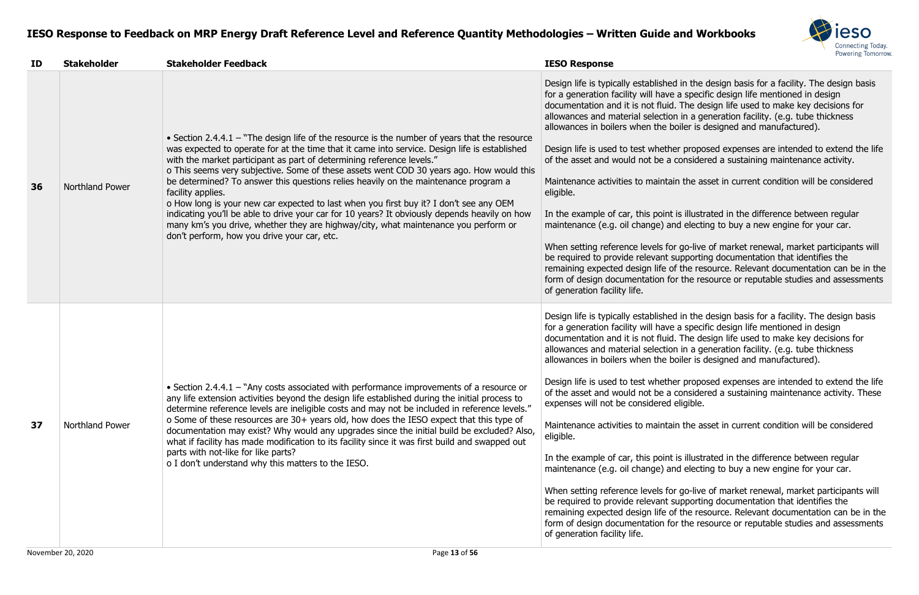

I in the design basis for a facility. The design basis a specific design life mentioned in design . The design life used to make key decisions for in a generation facility. (e.g. tube thickness oiler is designed and manufactured).

er proposed expenses are intended to extend the life considered a sustaining maintenance activity.

n the asset in current condition will be considered

is illustrated in the difference between regular d electing to buy a new engine for your car.

go-live of market renewal, market participants will upporting documentation that identifies the  $f$ the resource. Relevant documentation can be in the  $\cdot$  the resource or reputable studies and assessments

in the design basis for a facility. The design basis a specific design life mentioned in design . The design life used to make key decisions for  $\alpha$  in a generation facility. (e.g. tube thickness oiler is designed and manufactured).

er proposed expenses are intended to extend the life considered a sustaining maintenance activity. These eligible.

in the asset in current condition will be considered

is illustrated in the difference between regular d electing to buy a new engine for your car.

go-live of market renewal, market participants will upporting documentation that identifies the the resource. Relevant documentation can be in the r the resource or reputable studies and assessments

| ID | <b>Stakeholder</b> | <b>Stakeholder Feedback</b>                                                                                                                                                                                                                                                                                                                                                                                                                                                                                                                                                                                                                                                                                                                                                                                        | <b>IESO Response</b>                                                                                                                                                                                                                                                                                                                                                                                                                                                                                                                                                                                                        |
|----|--------------------|--------------------------------------------------------------------------------------------------------------------------------------------------------------------------------------------------------------------------------------------------------------------------------------------------------------------------------------------------------------------------------------------------------------------------------------------------------------------------------------------------------------------------------------------------------------------------------------------------------------------------------------------------------------------------------------------------------------------------------------------------------------------------------------------------------------------|-----------------------------------------------------------------------------------------------------------------------------------------------------------------------------------------------------------------------------------------------------------------------------------------------------------------------------------------------------------------------------------------------------------------------------------------------------------------------------------------------------------------------------------------------------------------------------------------------------------------------------|
| 36 | Northland Power    | • Section 2.4.4.1 $-$ "The design life of the resource is the number of years that the resource<br>was expected to operate for at the time that it came into service. Design life is established<br>with the market participant as part of determining reference levels."<br>o This seems very subjective. Some of these assets went COD 30 years ago. How would this<br>be determined? To answer this questions relies heavily on the maintenance program a<br>facility applies.<br>o How long is your new car expected to last when you first buy it? I don't see any OEM<br>indicating you'll be able to drive your car for 10 years? It obviously depends heavily on how<br>many km's you drive, whether they are highway/city, what maintenance you perform or<br>don't perform, how you drive your car, etc. | Design life is typically established<br>for a generation facility will have<br>documentation and it is not fluid.<br>allowances and material selection<br>allowances in boilers when the bo<br>Design life is used to test whethe<br>of the asset and would not be a o<br>Maintenance activities to maintair<br>eligible.<br>In the example of car, this point<br>maintenance (e.g. oil change) an<br>When setting reference levels for<br>be required to provide relevant su<br>remaining expected design life of<br>form of design documentation for<br>of generation facility life.                                      |
| 37 | Northland Power    | • Section 2.4.4.1 – "Any costs associated with performance improvements of a resource or<br>any life extension activities beyond the design life established during the initial process to<br>determine reference levels are ineligible costs and may not be included in reference levels."<br>o Some of these resources are 30+ years old, how does the IESO expect that this type of<br>documentation may exist? Why would any upgrades since the initial build be excluded? Also,<br>what if facility has made modification to its facility since it was first build and swapped out<br>parts with not-like for like parts?<br>o I don't understand why this matters to the IESO.                                                                                                                               | Design life is typically established<br>for a generation facility will have<br>documentation and it is not fluid.<br>allowances and material selection<br>allowances in boilers when the bo<br>Design life is used to test whethe<br>of the asset and would not be a o<br>expenses will not be considered e<br>Maintenance activities to maintair<br>eligible.<br>In the example of car, this point<br>maintenance (e.g. oil change) an<br>When setting reference levels for<br>be required to provide relevant su<br>remaining expected design life of<br>form of design documentation for<br>of generation facility life. |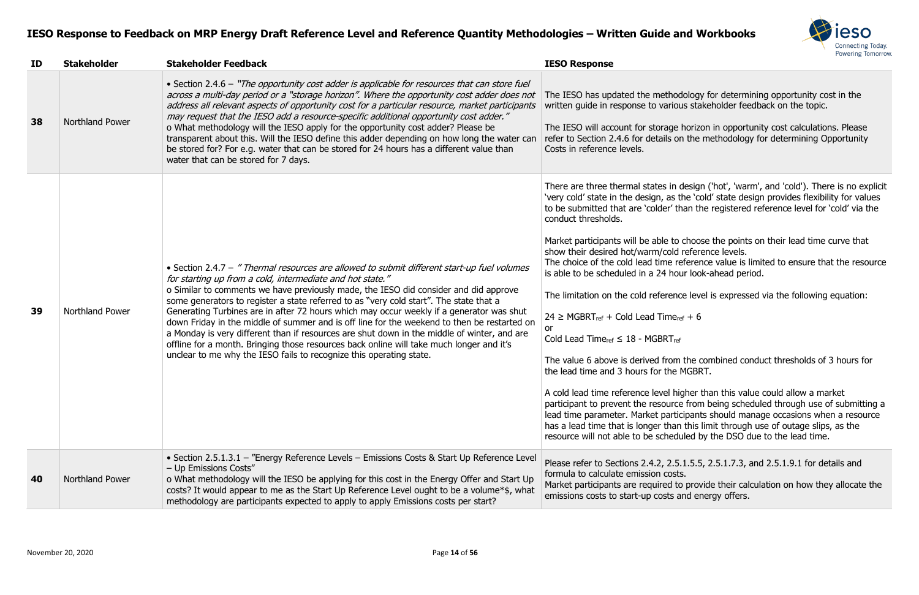

odology for determining opportunity cost in the ous stakeholder feedback on the topic.

E horizon in opportunity cost calculations. Please on the methodology for determining Opportunity

design ('hot', 'warm', and 'cold'). There is no explicit the 'cold' state design provides flexibility for values than the registered reference level for 'cold' via the

to choose the points on their lead time curve that d reference levels.

reference value is limited to ensure that the resource iour look-ahead period.

nce level is expressed via the following equation:

 $e_{ref} + 6$ 

m the combined conduct thresholds of 3 hours for MGBRT.

h cold allow a market rce from being scheduled through use of submitting a ticipants should manage occasions when a resource an this limit through use of outage slips, as the duled by the DSO due to the lead time.

5.1.5.5, 2.5.1.7.3, and 2.5.1.9.1 for details and

to provide their calculation on how they allocate the and energy offers.

| ID | <b>Stakeholder</b>     | <b>Stakeholder Feedback</b>                                                                                                                                                                                                                                                                                                                                                                                                                                                                                                                                                                                                                                                                                                                                                                            | <b>IESO Response</b>                                                                                                                                                                                                                                                                                                                                                                                                                                                                                                                                                                                                                                                                                                                                                                  |
|----|------------------------|--------------------------------------------------------------------------------------------------------------------------------------------------------------------------------------------------------------------------------------------------------------------------------------------------------------------------------------------------------------------------------------------------------------------------------------------------------------------------------------------------------------------------------------------------------------------------------------------------------------------------------------------------------------------------------------------------------------------------------------------------------------------------------------------------------|---------------------------------------------------------------------------------------------------------------------------------------------------------------------------------------------------------------------------------------------------------------------------------------------------------------------------------------------------------------------------------------------------------------------------------------------------------------------------------------------------------------------------------------------------------------------------------------------------------------------------------------------------------------------------------------------------------------------------------------------------------------------------------------|
| 38 | <b>Northland Power</b> | • Section 2.4.6 – "The opportunity cost adder is applicable for resources that can store fuel<br>across a multi-day period or a "storage horizon". Where the opportunity cost adder does not<br>address all relevant aspects of opportunity cost for a particular resource, market participants<br>may request that the IESO add a resource-specific additional opportunity cost adder."<br>o What methodology will the IESO apply for the opportunity cost adder? Please be<br>transparent about this. Will the IESO define this adder depending on how long the water can<br>be stored for? For e.g. water that can be stored for 24 hours has a different value than<br>water that can be stored for 7 days.                                                                                        | The IESO has updated the methodo<br>written guide in response to various<br>The IESO will account for storage h<br>refer to Section 2.4.6 for details on<br>Costs in reference levels.                                                                                                                                                                                                                                                                                                                                                                                                                                                                                                                                                                                                |
| 39 | Northland Power        | • Section 2.4.7 - "Thermal resources are allowed to submit different start-up fuel volumes<br>for starting up from a cold, intermediate and hot state."<br>o Similar to comments we have previously made, the IESO did consider and did approve<br>some generators to register a state referred to as "very cold start". The state that a<br>Generating Turbines are in after 72 hours which may occur weekly if a generator was shut<br>down Friday in the middle of summer and is off line for the weekend to then be restarted on<br>a Monday is very different than if resources are shut down in the middle of winter, and are<br>offline for a month. Bringing those resources back online will take much longer and it's<br>unclear to me why the IESO fails to recognize this operating state. | There are three thermal states in de<br>'very cold' state in the design, as th<br>to be submitted that are 'colder' that<br>conduct thresholds.<br>Market participants will be able to c<br>show their desired hot/warm/cold re<br>The choice of the cold lead time ref<br>is able to be scheduled in a 24 hour<br>The limitation on the cold reference<br>$24 \geq MGBRT_{ref} + Cold$ Lead Time <sub>ref</sub><br><b>or</b><br>Cold Lead Time <sub>ref</sub> $\leq$ 18 - MGBRT <sub>ref</sub><br>The value 6 above is derived from t<br>the lead time and 3 hours for the M<br>A cold lead time reference level high<br>participant to prevent the resource<br>lead time parameter. Market partici<br>has a lead time that is longer than t<br>resource will not able to be schedul |
| 40 | <b>Northland Power</b> | • Section 2.5.1.3.1 - "Energy Reference Levels - Emissions Costs & Start Up Reference Level<br>- Up Emissions Costs"<br>o What methodology will the IESO be applying for this cost in the Energy Offer and Start Up<br>costs? It would appear to me as the Start Up Reference Level ought to be a volume*\$, what<br>methodology are participants expected to apply to apply Emissions costs per start?                                                                                                                                                                                                                                                                                                                                                                                                | Please refer to Sections 2.4.2, 2.5.1<br>formula to calculate emission costs.<br>Market participants are required to<br>emissions costs to start-up costs an                                                                                                                                                                                                                                                                                                                                                                                                                                                                                                                                                                                                                          |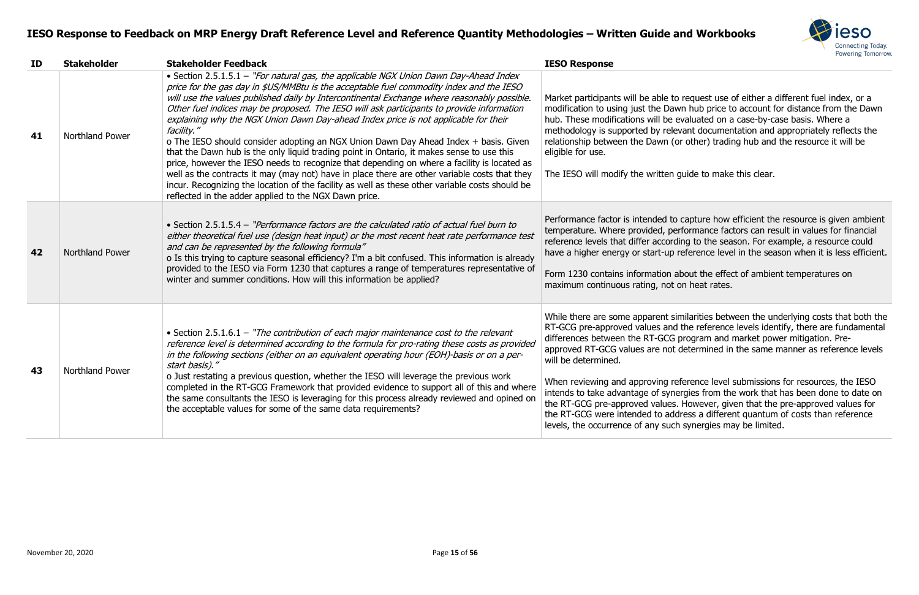

o request use of either a different fuel index, or a wn hub price to account for distance from the Dawn evaluated on a case-by-case basis. Where a evant documentation and appropriately reflects the (or other) trading hub and the resource it will be

guide to make this clear.

Performance is given ambient to capture how efficient the resource is given ambient erformance factors can result in values for financial ding to the season. For example, a resource could reference level in the season when it is less efficient.

about the effect of ambient temperatures on on heat rates.

imilarities between the underlying costs that both the I the reference levels identify, there are fundamental program and market power mitigation. Predetermined in the same manner as reference levels

eference level submissions for resources, the IESO iergies from the work that has been done to date on the Rowever, given that the pre-approved values for dress a different quantum of costs than reference ch synergies may be limited.

| ID | <b>Stakeholder</b>     | <b>Stakeholder Feedback</b>                                                                                                                                                                                                                                                                                                                                                                                                                                                                                                                                                                                                                                                                                                                                                                                                                                                                                                                                                                                                        | <b>IESO Response</b>                                                                                                                                                                                                                                                                                                                             |
|----|------------------------|------------------------------------------------------------------------------------------------------------------------------------------------------------------------------------------------------------------------------------------------------------------------------------------------------------------------------------------------------------------------------------------------------------------------------------------------------------------------------------------------------------------------------------------------------------------------------------------------------------------------------------------------------------------------------------------------------------------------------------------------------------------------------------------------------------------------------------------------------------------------------------------------------------------------------------------------------------------------------------------------------------------------------------|--------------------------------------------------------------------------------------------------------------------------------------------------------------------------------------------------------------------------------------------------------------------------------------------------------------------------------------------------|
| 41 | <b>Northland Power</b> | • Section 2.5.1.5.1 - "For natural gas, the applicable NGX Union Dawn Day-Ahead Index<br>price for the gas day in \$US/MMBtu is the acceptable fuel commodity index and the IESO<br>will use the values published daily by Intercontinental Exchange where reasonably possible.<br>Other fuel indices may be proposed. The IESO will ask participants to provide information<br>explaining why the NGX Union Dawn Day-ahead Index price is not applicable for their<br>facility."<br>o The IESO should consider adopting an NGX Union Dawn Day Ahead Index + basis. Given<br>that the Dawn hub is the only liquid trading point in Ontario, it makes sense to use this<br>price, however the IESO needs to recognize that depending on where a facility is located as<br>well as the contracts it may (may not) have in place there are other variable costs that they<br>incur. Recognizing the location of the facility as well as these other variable costs should be<br>reflected in the adder applied to the NGX Dawn price. | Market participants will be able to<br>modification to using just the Day<br>hub. These modifications will be<br>methodology is supported by rele<br>relationship between the Dawn (o<br>eligible for use.<br>The IESO will modify the written                                                                                                   |
| 42 | <b>Northland Power</b> | • Section 2.5.1.5.4 - "Performance factors are the calculated ratio of actual fuel burn to<br>either theoretical fuel use (design heat input) or the most recent heat rate performance test<br>and can be represented by the following formula"<br>o Is this trying to capture seasonal efficiency? I'm a bit confused. This information is already<br>provided to the IESO via Form 1230 that captures a range of temperatures representative of<br>winter and summer conditions. How will this information be applied?                                                                                                                                                                                                                                                                                                                                                                                                                                                                                                           | Performance factor is intended to<br>temperature. Where provided, pe<br>reference levels that differ accord<br>have a higher energy or start-up<br>Form 1230 contains information a<br>maximum continuous rating, not                                                                                                                            |
| 43 | Northland Power        | • Section 2.5.1.6.1 – "The contribution of each major maintenance cost to the relevant<br>reference level is determined according to the formula for pro-rating these costs as provided<br>in the following sections (either on an equivalent operating hour (EOH)-basis or on a per-<br>start basis)."<br>o Just restating a previous question, whether the IESO will leverage the previous work<br>completed in the RT-GCG Framework that provided evidence to support all of this and where<br>the same consultants the IESO is leveraging for this process already reviewed and opined on<br>the acceptable values for some of the same data requirements?                                                                                                                                                                                                                                                                                                                                                                     | While there are some apparent si<br>RT-GCG pre-approved values and<br>differences between the RT-GCG<br>approved RT-GCG values are not<br>will be determined.<br>When reviewing and approving re<br>intends to take advantage of syne<br>the RT-GCG pre-approved values<br>the RT-GCG were intended to add<br>levels, the occurrence of any sucl |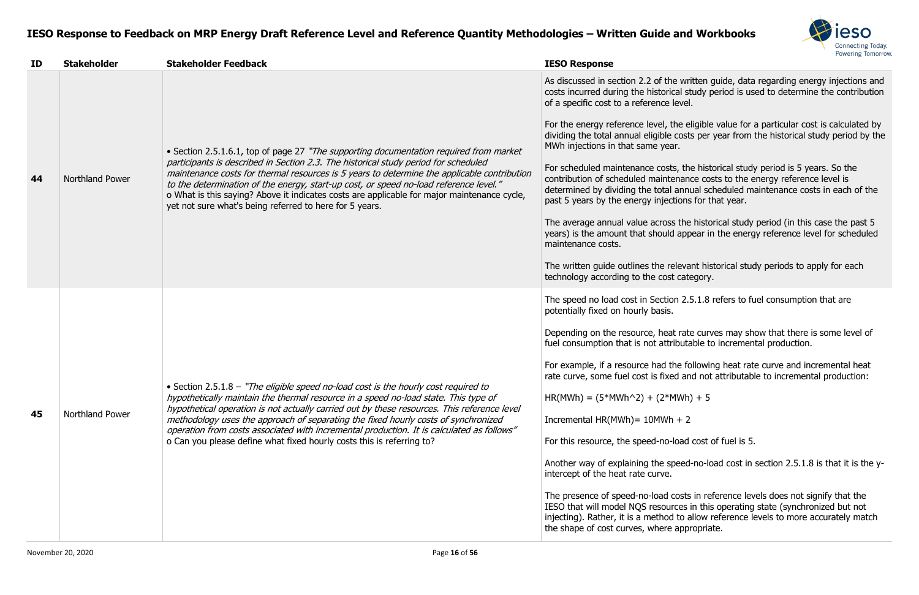

as written guide, data regarding energy injections and cal study period is used to determine the contribution

he eligible value for a particular cost is calculated by costs per year from the historical study period by the

s, the historical study period is 5 years. So the nance costs to the energy reference level is annual scheduled maintenance costs in each of the ions for that year.

the historical study period (in this case the past 5 appear in the energy reference level for scheduled

levant historical study periods to apply for each category.

In 2.5.1.8 refers to fuel consumption that are

nother curves may show that there is some level of ibutable to incremental production.

ne following heat rate curve and incremental heat rd and not attributable to incremental production:

 $IWh$ ) + 5

load cost of fuel is 5.

eed-no-load cost in section 2.5.1.8 is that it is the y-

tosts in reference levels does not signify that the ces in this operating state (synchronized but not to allow reference levels to more accurately match appropriate.

| ID | <b>Stakeholder</b> | <b>Stakeholder Feedback</b>                                                                                                                                                                                                                                                                                                                                                                                                                                                                                                           | <b>IESO Response</b>                                                                                                                                                                                                                                                                                                                                                                                                                                                                                                                                                                                                          |
|----|--------------------|---------------------------------------------------------------------------------------------------------------------------------------------------------------------------------------------------------------------------------------------------------------------------------------------------------------------------------------------------------------------------------------------------------------------------------------------------------------------------------------------------------------------------------------|-------------------------------------------------------------------------------------------------------------------------------------------------------------------------------------------------------------------------------------------------------------------------------------------------------------------------------------------------------------------------------------------------------------------------------------------------------------------------------------------------------------------------------------------------------------------------------------------------------------------------------|
| 44 | Northland Power    | • Section 2.5.1.6.1, top of page 27 "The supporting documentation required from market<br>participants is described in Section 2.3. The historical study period for scheduled<br>maintenance costs for thermal resources is 5 years to determine the applicable contribution<br>to the determination of the energy, start-up cost, or speed no-load reference level."<br>o What is this saying? Above it indicates costs are applicable for major maintenance cycle,<br>yet not sure what's being referred to here for 5 years.       | As discussed in section 2.2 of the writ<br>costs incurred during the historical stu<br>of a specific cost to a reference level.<br>For the energy reference level, the eli-<br>dividing the total annual eligible costs<br>MWh injections in that same year.<br>For scheduled maintenance costs, the<br>contribution of scheduled maintenance<br>determined by dividing the total annua<br>past 5 years by the energy injections<br>The average annual value across the I<br>years) is the amount that should appe<br>maintenance costs.<br>The written guide outlines the relevan<br>technology according to the cost cate   |
| 45 | Northland Power    | • Section 2.5.1.8 - "The eligible speed no-load cost is the hourly cost required to<br>hypothetically maintain the thermal resource in a speed no-load state. This type of<br>hypothetical operation is not actually carried out by these resources. This reference level<br>methodology uses the approach of separating the fixed hourly costs of synchronized<br>operation from costs associated with incremental production. It is calculated as follows"<br>o Can you please define what fixed hourly costs this is referring to? | The speed no load cost in Section 2.5.<br>potentially fixed on hourly basis.<br>Depending on the resource, heat rate<br>fuel consumption that is not attributat<br>For example, if a resource had the foll<br>rate curve, some fuel cost is fixed and<br>$HR(MWh) = (5*MWh^2) + (2*MWh)$<br>Incremental $HR(MWh) = 10MWh + 2$<br>For this resource, the speed-no-load c<br>Another way of explaining the speed-r<br>intercept of the heat rate curve.<br>The presence of speed-no-load costs i<br>IESO that will model NQS resources in<br>injecting). Rather, it is a method to all<br>the shape of cost curves, where appro |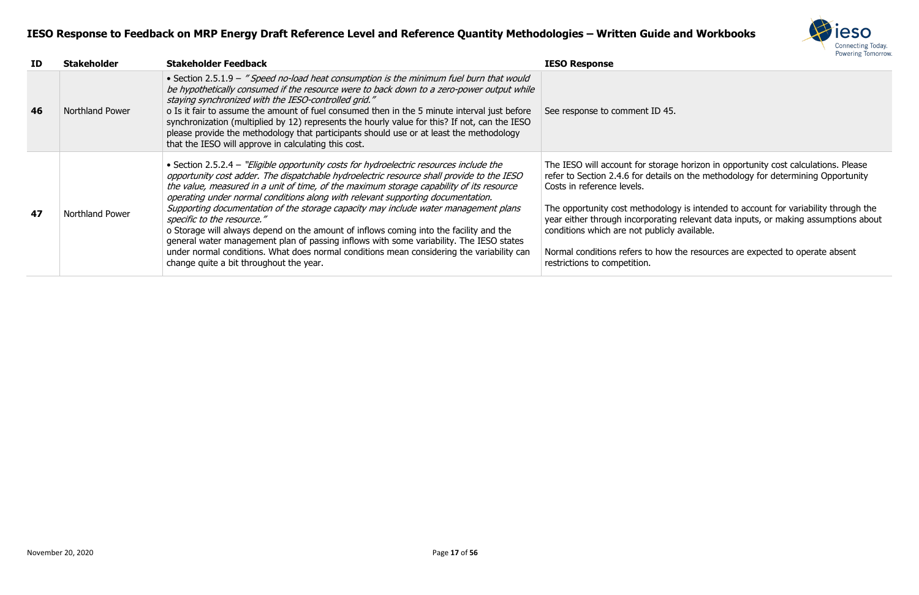

| ID | <b>Stakeholder</b>     | <b>Stakeholder Feedback</b>                                                                                                                                                                                                                                                                                                                                                                                                                                                                                                                                                                                                                                                                                                                                                                                           | <b>IESO Response</b>                                                                                                                                                                                                                                                                       |
|----|------------------------|-----------------------------------------------------------------------------------------------------------------------------------------------------------------------------------------------------------------------------------------------------------------------------------------------------------------------------------------------------------------------------------------------------------------------------------------------------------------------------------------------------------------------------------------------------------------------------------------------------------------------------------------------------------------------------------------------------------------------------------------------------------------------------------------------------------------------|--------------------------------------------------------------------------------------------------------------------------------------------------------------------------------------------------------------------------------------------------------------------------------------------|
| 46 | <b>Northland Power</b> | • Section 2.5.1.9 - "Speed no-load heat consumption is the minimum fuel burn that would<br>be hypothetically consumed if the resource were to back down to a zero-power output while<br>staying synchronized with the IESO-controlled grid."<br>o Is it fair to assume the amount of fuel consumed then in the 5 minute interval just before<br>synchronization (multiplied by 12) represents the hourly value for this? If not, can the IESO<br>please provide the methodology that participants should use or at least the methodology<br>that the IESO will approve in calculating this cost.                                                                                                                                                                                                                      | See response to comment ID 45.                                                                                                                                                                                                                                                             |
| 47 | <b>Northland Power</b> | • Section 2.5.2.4 – "Eligible opportunity costs for hydroelectric resources include the<br>opportunity cost adder. The dispatchable hydroelectric resource shall provide to the IESO<br>the value, measured in a unit of time, of the maximum storage capability of its resource<br>operating under normal conditions along with relevant supporting documentation.<br>Supporting documentation of the storage capacity may include water management plans<br>specific to the resource."<br>o Storage will always depend on the amount of inflows coming into the facility and the<br>general water management plan of passing inflows with some variability. The IESO states<br>under normal conditions. What does normal conditions mean considering the variability can<br>change quite a bit throughout the year. | The IESO will account for storage<br>refer to Section 2.4.6 for details o<br>Costs in reference levels.<br>The opportunity cost methodolog<br>year either through incorporating<br>conditions which are not publicly<br>Normal conditions refers to how to<br>restrictions to competition. |

The IESO will account for storage horizon in opportunity cost calculations. Please refer to Section 2.4.6 for details on the methodology for determining Opportunity

> gy is intended to account for variability through the  $\widetilde{y}$  relevant data inputs, or making assumptions about available.

the resources are expected to operate absent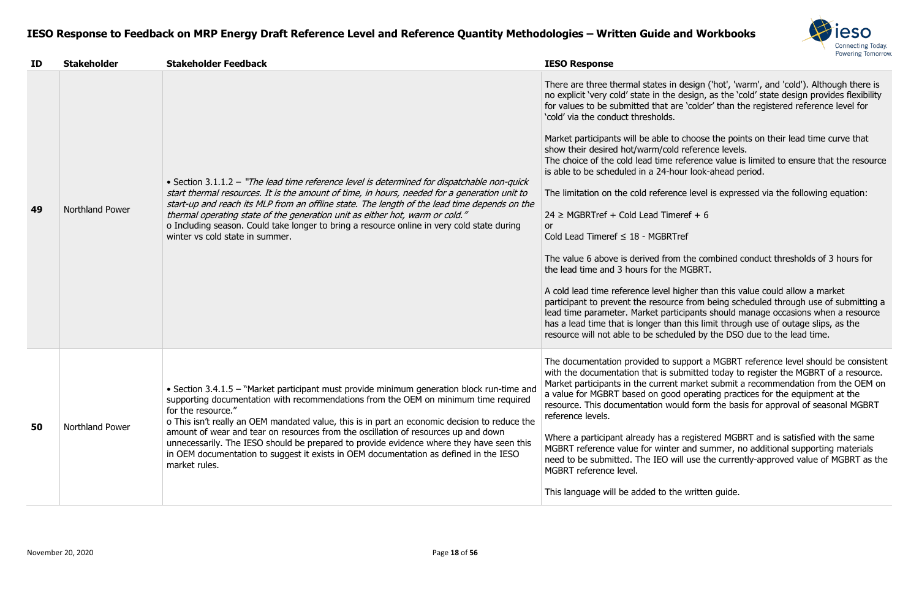

n design ('hot', 'warm', and 'cold'). Although there is design, as the 'cold' state design provides flexibility are 'colder' than the registered reference level for

to choose the points on their lead time curve that d reference levels.

reference value is limited to ensure that the resource iour look-ahead period.

nce level is expressed via the following equation:

 $neref + 6$ 

m the combined conduct thresholds of 3 hours for e MGBRT.

higher than this value could allow a market rce from being scheduled through use of submitting a ticipants should manage occasions when a resource an this limit through use of outage slips, as the duled by the DSO due to the lead time.

support a MGBRT reference level should be consistent submitted today to register the MGBRT of a resource. It market submit a recommendation from the OEM on od operating practices for the equipment at the ould form the basis for approval of seasonal MGBRT

a registered MGBRT and is satisfied with the same er and summer, no additional supporting materials will use the currently-approved value of MGBRT as the

he written guide.

| ID | <b>Stakeholder</b> | <b>Stakeholder Feedback</b>                                                                                                                                                                                                                                                                                                                                                                                                                                                                                                                                                                          | <b>IESO Response</b>                                                                                                                                                                                                                                                                                                                                                                                                                                                                                                                                                                                                                                                                                                                                                 |
|----|--------------------|------------------------------------------------------------------------------------------------------------------------------------------------------------------------------------------------------------------------------------------------------------------------------------------------------------------------------------------------------------------------------------------------------------------------------------------------------------------------------------------------------------------------------------------------------------------------------------------------------|----------------------------------------------------------------------------------------------------------------------------------------------------------------------------------------------------------------------------------------------------------------------------------------------------------------------------------------------------------------------------------------------------------------------------------------------------------------------------------------------------------------------------------------------------------------------------------------------------------------------------------------------------------------------------------------------------------------------------------------------------------------------|
| 49 | Northland Power    | • Section 3.1.1.2 – "The lead time reference level is determined for dispatchable non-quick<br>start thermal resources. It is the amount of time, in hours, needed for a generation unit to<br>start-up and reach its MLP from an offline state. The length of the lead time depends on the<br>thermal operating state of the generation unit as either hot, warm or cold."<br>o Including season. Could take longer to bring a resource online in very cold state during<br>winter vs cold state in summer.                                                                                         | There are three thermal states in des<br>no explicit 'very cold' state in the des<br>for values to be submitted that are 'o<br>'cold' via the conduct thresholds.<br>Market participants will be able to ch<br>show their desired hot/warm/cold ret<br>The choice of the cold lead time refe<br>is able to be scheduled in a 24-hour<br>The limitation on the cold reference<br>$24 \geq MGBRTref + Cold$ Lead Timeref<br>or<br>Cold Lead Timeref $\leq$ 18 - MGBRTref<br>The value 6 above is derived from th<br>the lead time and 3 hours for the MG<br>A cold lead time reference level high<br>participant to prevent the resource fi<br>lead time parameter. Market particip<br>has a lead time that is longer than th<br>resource will not able to be schedule |
| 50 | Northland Power    | • Section 3.4.1.5 – "Market participant must provide minimum generation block run-time and<br>supporting documentation with recommendations from the OEM on minimum time required<br>for the resource."<br>o This isn't really an OEM mandated value, this is in part an economic decision to reduce the<br>amount of wear and tear on resources from the oscillation of resources up and down<br>unnecessarily. The IESO should be prepared to provide evidence where they have seen this<br>in OEM documentation to suggest it exists in OEM documentation as defined in the IESO<br>market rules. | The documentation provided to supp<br>with the documentation that is subm<br>Market participants in the current ma<br>a value for MGBRT based on good op<br>resource. This documentation would<br>reference levels.<br>Where a participant already has a rea<br>MGBRT reference value for winter ar<br>need to be submitted. The IEO will u<br>MGBRT reference level.<br>This language will be added to the w                                                                                                                                                                                                                                                                                                                                                        |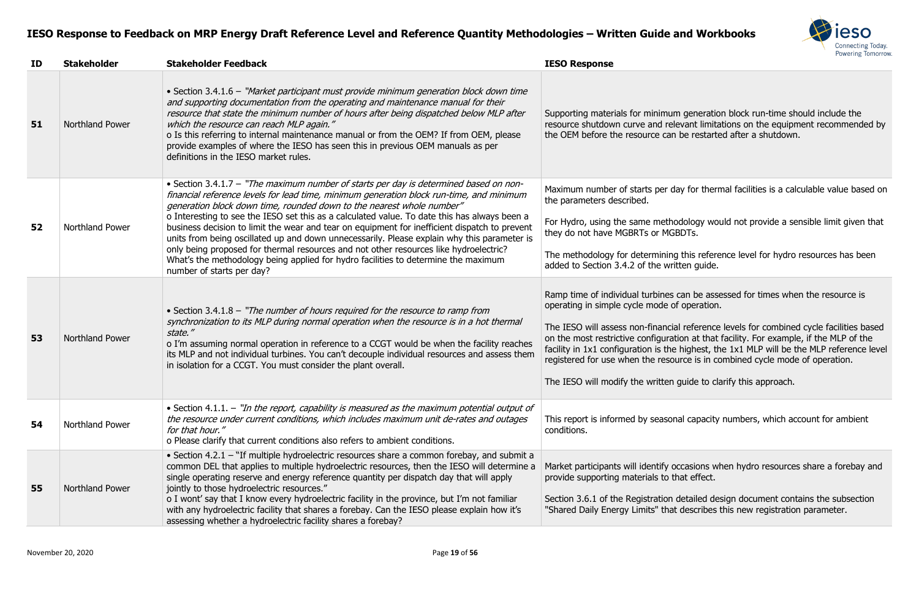

m generation block run-time should include the levant limitations on the equipment recommended by be restarted after a shutdown.

day for thermal facilities is a calculable value based on

odology would not provide a sensible limit given that **BDTs.** 

g this reference level for hydro resources has been itten guide.

can be assessed for times when the resource is of operation.

al reference levels for combined cycle facilities based tion at that facility. For example, if the MLP of the  $\epsilon$  highest, the 1x1 MLP will be the MLP reference level ource is in combined cycle mode of operation.

guide to clarify this approach.

nal capacity numbers, which account for ambient

occasions when hydro resources share a forebay and that effect.

detailed design document contains the subsection t describes this new registration parameter.

| ID | <b>Stakeholder</b>     | <b>Stakeholder Feedback</b>                                                                                                                                                                                                                                                                                                                                                                                                                                                                                                                                                                                                                                                                                                                                            | <b>IESO Response</b>                                                                                                                                                                                                                                            |
|----|------------------------|------------------------------------------------------------------------------------------------------------------------------------------------------------------------------------------------------------------------------------------------------------------------------------------------------------------------------------------------------------------------------------------------------------------------------------------------------------------------------------------------------------------------------------------------------------------------------------------------------------------------------------------------------------------------------------------------------------------------------------------------------------------------|-----------------------------------------------------------------------------------------------------------------------------------------------------------------------------------------------------------------------------------------------------------------|
| 51 | Northland Power        | • Section 3.4.1.6 - "Market participant must provide minimum generation block down time<br>and supporting documentation from the operating and maintenance manual for their<br>resource that state the minimum number of hours after being dispatched below MLP after<br>which the resource can reach MLP again."<br>o Is this referring to internal maintenance manual or from the OEM? If from OEM, please<br>provide examples of where the IESO has seen this in previous OEM manuals as per<br>definitions in the IESO market rules.                                                                                                                                                                                                                               | Supporting materials for minimur<br>resource shutdown curve and rel<br>the OEM before the resource can                                                                                                                                                          |
| 52 | Northland Power        | • Section 3.4.1.7 - "The maximum number of starts per day is determined based on non-<br>financial reference levels for lead time, minimum generation block run-time, and minimum<br>generation block down time, rounded down to the nearest whole number"<br>o Interesting to see the IESO set this as a calculated value. To date this has always been a<br>business decision to limit the wear and tear on equipment for inefficient dispatch to prevent<br>units from being oscillated up and down unnecessarily. Please explain why this parameter is<br>only being proposed for thermal resources and not other resources like hydroelectric?<br>What's the methodology being applied for hydro facilities to determine the maximum<br>number of starts per day? | Maximum number of starts per d<br>the parameters described.<br>For Hydro, using the same metho<br>they do not have MGBRTs or MG<br>The methodology for determining<br>added to Section 3.4.2 of the wri                                                         |
| 53 | <b>Northland Power</b> | • Section 3.4.1.8 – "The number of hours required for the resource to ramp from<br>synchronization to its MLP during normal operation when the resource is in a hot thermal<br>state."<br>o I'm assuming normal operation in reference to a CCGT would be when the facility reaches<br>its MLP and not individual turbines. You can't decouple individual resources and assess them<br>in isolation for a CCGT. You must consider the plant overall.                                                                                                                                                                                                                                                                                                                   | Ramp time of individual turbines<br>operating in simple cycle mode o<br>The IESO will assess non-financia<br>on the most restrictive configurat<br>facility in 1x1 configuration is the<br>registered for use when the reso<br>The IESO will modify the written |
| 54 | <b>Northland Power</b> | • Section 4.1.1. - "In the report, capability is measured as the maximum potential output of<br>the resource under current conditions, which includes maximum unit de-rates and outages<br>for that hour."<br>o Please clarify that current conditions also refers to ambient conditions.                                                                                                                                                                                                                                                                                                                                                                                                                                                                              | This report is informed by seasor<br>conditions.                                                                                                                                                                                                                |
| 55 | Northland Power        | • Section 4.2.1 – "If multiple hydroelectric resources share a common forebay, and submit a<br>common DEL that applies to multiple hydroelectric resources, then the IESO will determine a<br>single operating reserve and energy reference quantity per dispatch day that will apply<br>jointly to those hydroelectric resources."<br>o I wont' say that I know every hydroelectric facility in the province, but I'm not familiar<br>with any hydroelectric facility that shares a forebay. Can the IESO please explain how it's<br>assessing whether a hydroelectric facility shares a forebay?                                                                                                                                                                     | Market participants will identify on<br>provide supporting materials to t<br>Section 3.6.1 of the Registration<br>"Shared Daily Energy Limits" that                                                                                                             |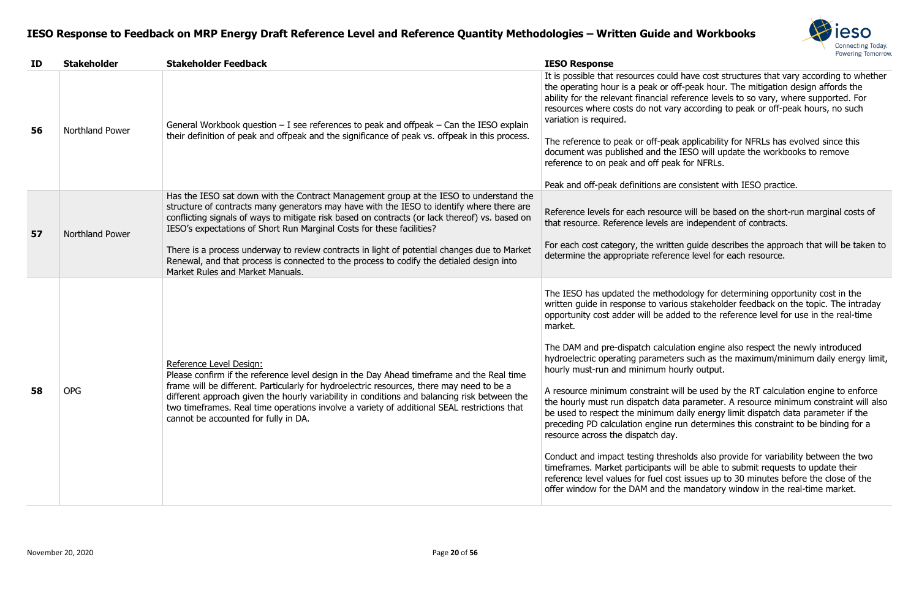

Id have cost structures that vary according to whether off-peak hour. The mitigation design affords the reference levels to so vary, where supported. For iry according to peak or off-peak hours, no such

ak applicability for NFRLs has evolved since this document iESO will update the workbooks to remove ak for NFRLs.

ex consistent with IESO practice.

ce will be based on the short-run marginal costs of are independent of contracts.

For guide describes the approach that will be taken to nce level for each resource.

odology for determining opportunity cost in the ious stakeholder feedback on the topic. The intraday ded to the reference level for use in the real-time

lation engine also respect the newly introduced ers such as the maximum/minimum daily energy limit, ourly output.

will be used by the RT calculation engine to enforce ta parameter. A resource minimum constraint will also daily energy limit dispatch data parameter if the run determines this constraint to be binding for a

sholds also provide for variability between the two will be able to submit requests to update their ost issues up to 30 minutes before the close of the ne mandatory window in the real-time market.

| ID | <b>Stakeholder</b>     | <b>Stakeholder Feedback</b>                                                                                                                                                                                                                                                                                                                                                                                                                                                                                                                                                                   | <b>IESO Response</b>                                                                                                                                                                                                                                                                                                                                                                                                                                                                                                                                                     |
|----|------------------------|-----------------------------------------------------------------------------------------------------------------------------------------------------------------------------------------------------------------------------------------------------------------------------------------------------------------------------------------------------------------------------------------------------------------------------------------------------------------------------------------------------------------------------------------------------------------------------------------------|--------------------------------------------------------------------------------------------------------------------------------------------------------------------------------------------------------------------------------------------------------------------------------------------------------------------------------------------------------------------------------------------------------------------------------------------------------------------------------------------------------------------------------------------------------------------------|
| 56 | <b>Northland Power</b> | General Workbook question $-$ I see references to peak and offpeak $-$ Can the IESO explain<br>their definition of peak and offpeak and the significance of peak vs. offpeak in this process.                                                                                                                                                                                                                                                                                                                                                                                                 | It is possible that resources could<br>the operating hour is a peak or of<br>ability for the relevant financial re<br>resources where costs do not var<br>variation is required.<br>The reference to peak or off-peak<br>document was published and the<br>reference to on peak and off peak<br>Peak and off-peak definitions are                                                                                                                                                                                                                                        |
| 57 | Northland Power        | Has the IESO sat down with the Contract Management group at the IESO to understand the<br>structure of contracts many generators may have with the IESO to identify where there are<br>conflicting signals of ways to mitigate risk based on contracts (or lack thereof) vs. based on<br>IESO's expectations of Short Run Marginal Costs for these facilities?<br>There is a process underway to review contracts in light of potential changes due to Market<br>Renewal, and that process is connected to the process to codify the detialed design into<br>Market Rules and Market Manuals. | Reference levels for each resourc<br>that resource. Reference levels ar<br>For each cost category, the writte<br>determine the appropriate referer                                                                                                                                                                                                                                                                                                                                                                                                                       |
| 58 | <b>OPG</b>             | Reference Level Design:<br>Please confirm if the reference level design in the Day Ahead timeframe and the Real time<br>frame will be different. Particularly for hydroelectric resources, there may need to be a<br>different approach given the hourly variability in conditions and balancing risk between the<br>two timeframes. Real time operations involve a variety of additional SEAL restrictions that<br>cannot be accounted for fully in DA.                                                                                                                                      | The IESO has updated the metho<br>written guide in response to vario<br>opportunity cost adder will be add<br>market.<br>The DAM and pre-dispatch calcula<br>hydroelectric operating parameter<br>hourly must-run and minimum ho<br>A resource minimum constraint w<br>the hourly must run dispatch data<br>be used to respect the minimum<br>preceding PD calculation engine r<br>resource across the dispatch day.<br>Conduct and impact testing thres<br>timeframes. Market participants v<br>reference level values for fuel cos<br>offer window for the DAM and the |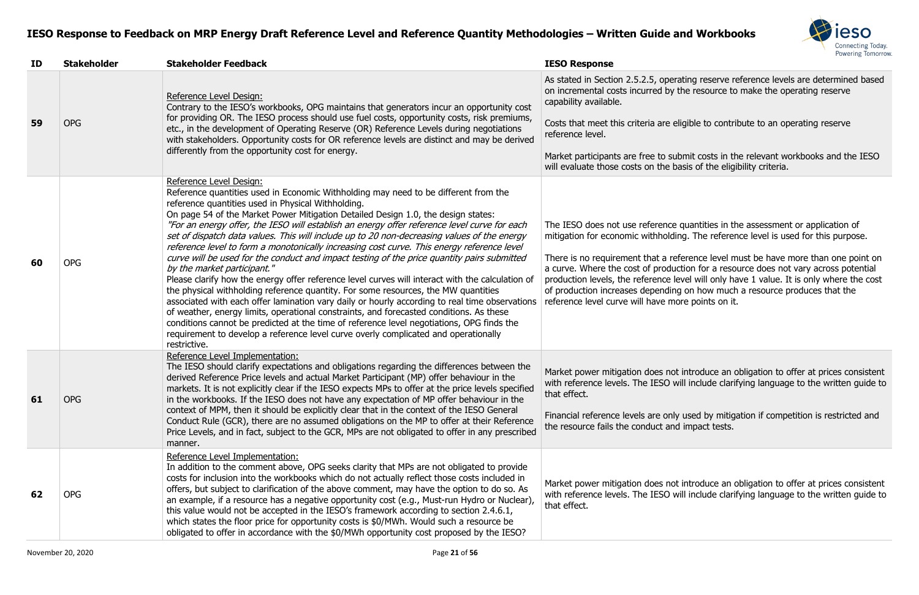

rating reserve reference levels are determined based the resource to make the operating reserve

eligible to contribute to an operating reserve

ubmit costs in the relevant workbooks and the IESO basis of the eligibility criteria.

e quantities in the assessment or application of ding. The reference level is used for this purpose.

eference level must be have more than one point on uction for a resource does not vary across potential level will only have 1 value. It is only where the cost ng on how much a resource produces that the nore points on it.

ot introduce an obligation to offer at prices consistent will include clarifying language to the written guide to

ly used by mitigation if competition is restricted and nd impact tests.

ot introduce an obligation to offer at prices consistent will include clarifying language to the written guide to

| ID | <b>Stakeholder</b> | <b>Stakeholder Feedback</b>                                                                                                                                                                                                                                                                                                                                                                                                                                                                                                                                                                                                                                                                                                                                                                                                                                                                                                                                                                                                                                                                                                                                                                                                                                                     | <b>IESO Response</b>                                                                                                                                                                                                                                        |
|----|--------------------|---------------------------------------------------------------------------------------------------------------------------------------------------------------------------------------------------------------------------------------------------------------------------------------------------------------------------------------------------------------------------------------------------------------------------------------------------------------------------------------------------------------------------------------------------------------------------------------------------------------------------------------------------------------------------------------------------------------------------------------------------------------------------------------------------------------------------------------------------------------------------------------------------------------------------------------------------------------------------------------------------------------------------------------------------------------------------------------------------------------------------------------------------------------------------------------------------------------------------------------------------------------------------------|-------------------------------------------------------------------------------------------------------------------------------------------------------------------------------------------------------------------------------------------------------------|
| 59 | <b>OPG</b>         | Reference Level Design:<br>Contrary to the IESO's workbooks, OPG maintains that generators incur an opportunity cost<br>for providing OR. The IESO process should use fuel costs, opportunity costs, risk premiums,<br>etc., in the development of Operating Reserve (OR) Reference Levels during negotiations<br>with stakeholders. Opportunity costs for OR reference levels are distinct and may be derived                                                                                                                                                                                                                                                                                                                                                                                                                                                                                                                                                                                                                                                                                                                                                                                                                                                                  | As stated in Section 2.5.2.5, oper<br>on incremental costs incurred by<br>capability available.<br>Costs that meet this criteria are a<br>reference level.                                                                                                  |
|    |                    | differently from the opportunity cost for energy.                                                                                                                                                                                                                                                                                                                                                                                                                                                                                                                                                                                                                                                                                                                                                                                                                                                                                                                                                                                                                                                                                                                                                                                                                               | Market participants are free to su<br>will evaluate those costs on the b                                                                                                                                                                                    |
| 60 | <b>OPG</b>         | Reference Level Design:<br>Reference quantities used in Economic Withholding may need to be different from the<br>reference quantities used in Physical Withholding.<br>On page 54 of the Market Power Mitigation Detailed Design 1.0, the design states:<br>"For an energy offer, the IESO will establish an energy offer reference level curve for each<br>set of dispatch data values. This will include up to 20 non-decreasing values of the energy<br>reference level to form a monotonically increasing cost curve. This energy reference level<br>curve will be used for the conduct and impact testing of the price quantity pairs submitted<br>by the market participant."<br>Please clarify how the energy offer reference level curves will interact with the calculation of<br>the physical withholding reference quantity. For some resources, the MW quantities<br>associated with each offer lamination vary daily or hourly according to real time observations<br>of weather, energy limits, operational constraints, and forecasted conditions. As these<br>conditions cannot be predicted at the time of reference level negotiations, OPG finds the<br>requirement to develop a reference level curve overly complicated and operationally<br>restrictive. | The IESO does not use reference<br>mitigation for economic withhold<br>There is no requirement that a re<br>a curve. Where the cost of produ<br>production levels, the reference I<br>of production increases dependir<br>reference level curve will have m |
| 61 | <b>OPG</b>         | Reference Level Implementation:<br>The IESO should clarify expectations and obligations regarding the differences between the<br>derived Reference Price levels and actual Market Participant (MP) offer behaviour in the<br>markets. It is not explicitly clear if the IESO expects MPs to offer at the price levels specified<br>in the workbooks. If the IESO does not have any expectation of MP offer behaviour in the<br>context of MPM, then it should be explicitly clear that in the context of the IESO General<br>Conduct Rule (GCR), there are no assumed obligations on the MP to offer at their Reference<br>Price Levels, and in fact, subject to the GCR, MPs are not obligated to offer in any prescribed<br>manner.                                                                                                                                                                                                                                                                                                                                                                                                                                                                                                                                           | Market power mitigation does no<br>with reference levels. The IESO \<br>that effect.<br>Financial reference levels are onl<br>the resource fails the conduct an                                                                                             |
| 62 | <b>OPG</b>         | Reference Level Implementation:<br>In addition to the comment above, OPG seeks clarity that MPs are not obligated to provide<br>costs for inclusion into the workbooks which do not actually reflect those costs included in<br>offers, but subject to clarification of the above comment, may have the option to do so. As<br>an example, if a resource has a negative opportunity cost (e.g., Must-run Hydro or Nuclear),<br>this value would not be accepted in the IESO's framework according to section 2.4.6.1,<br>which states the floor price for opportunity costs is \$0/MWh. Would such a resource be<br>obligated to offer in accordance with the \$0/MWh opportunity cost proposed by the IESO?                                                                                                                                                                                                                                                                                                                                                                                                                                                                                                                                                                    | Market power mitigation does no<br>with reference levels. The IESO \<br>that effect.                                                                                                                                                                        |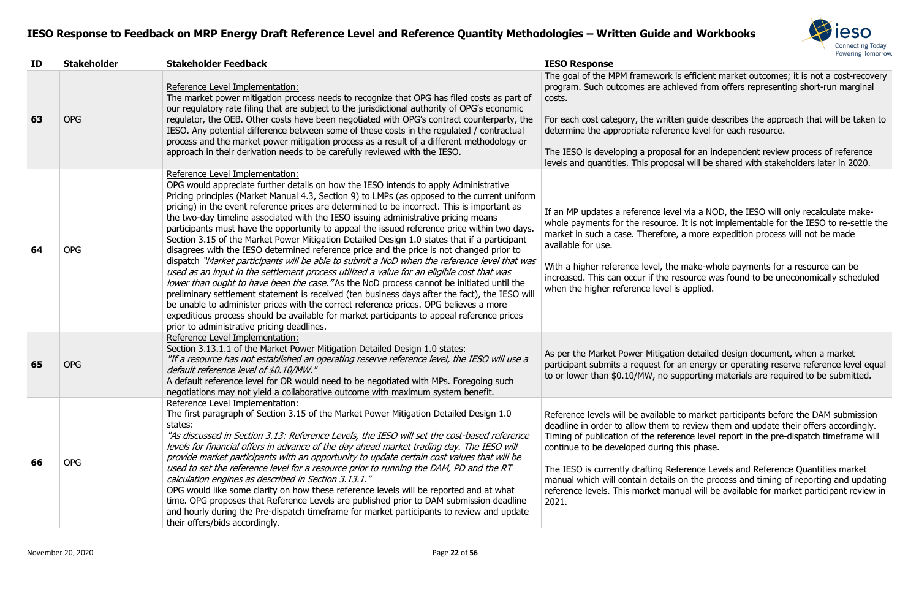

is efficient market outcomes; it is not a cost-recovery hieved from offers representing short-run marginal

ten guide describes the approach that will be taken to ence level for each resource.

al for an independent review process of reference Isal will be shared with stakeholders later in 2020.

rel via a NOD, the IESO will only recalculate makee. It is not implementable for the IESO to re-settle the e, a more expedition process will not be made

e make-whole payments for a resource can be resource was found to be uneconomically scheduled is applied.

ion detailed design document, when a market an energy or operating reserve reference level equal supporting materials are required to be submitted.

to market participants before the DAM submission to review them and update their offers accordingly. rence level report in the pre-dispatch timeframe will this phase.

eference Levels and Reference Quantities market on the process and timing of reporting and updating anual will be available for market participant review in

| ID | <b>Stakeholder</b> | <b>Stakeholder Feedback</b>                                                                                                                                                                                                                                                                                                                                                                                                                                                                                                                                                                                                                                                                                                                                                                                                                                                                                                                                                                                                                                                                                                                                                                                                                                                                                                               | <b>IESO Response</b>                                                                                                                                                                                                                                                    |
|----|--------------------|-------------------------------------------------------------------------------------------------------------------------------------------------------------------------------------------------------------------------------------------------------------------------------------------------------------------------------------------------------------------------------------------------------------------------------------------------------------------------------------------------------------------------------------------------------------------------------------------------------------------------------------------------------------------------------------------------------------------------------------------------------------------------------------------------------------------------------------------------------------------------------------------------------------------------------------------------------------------------------------------------------------------------------------------------------------------------------------------------------------------------------------------------------------------------------------------------------------------------------------------------------------------------------------------------------------------------------------------|-------------------------------------------------------------------------------------------------------------------------------------------------------------------------------------------------------------------------------------------------------------------------|
| 63 | <b>OPG</b>         | Reference Level Implementation:<br>The market power mitigation process needs to recognize that OPG has filed costs as part of<br>our regulatory rate filing that are subject to the jurisdictional authority of OPG's economic<br>regulator, the OEB. Other costs have been negotiated with OPG's contract counterparty, the<br>IESO. Any potential difference between some of these costs in the regulated / contractual<br>process and the market power mitigation process as a result of a different methodology or<br>approach in their derivation needs to be carefully reviewed with the IESO.                                                                                                                                                                                                                                                                                                                                                                                                                                                                                                                                                                                                                                                                                                                                      | The goal of the MPM framework<br>program. Such outcomes are ach<br>costs.<br>For each cost category, the writt<br>determine the appropriate refere<br>The IESO is developing a propos<br>levels and quantities. This propo:                                             |
| 64 | <b>OPG</b>         | Reference Level Implementation:<br>OPG would appreciate further details on how the IESO intends to apply Administrative<br>Pricing principles (Market Manual 4.3, Section 9) to LMPs (as opposed to the current uniform<br>pricing) in the event reference prices are determined to be incorrect. This is important as<br>the two-day timeline associated with the IESO issuing administrative pricing means<br>participants must have the opportunity to appeal the issued reference price within two days.<br>Section 3.15 of the Market Power Mitigation Detailed Design 1.0 states that if a participant<br>disagrees with the IESO determined reference price and the price is not changed prior to<br>dispatch "Market participants will be able to submit a NoD when the reference level that was<br>used as an input in the settlement process utilized a value for an eligible cost that was<br>lower than ought to have been the case. "As the NoD process cannot be initiated until the<br>preliminary settlement statement is received (ten business days after the fact), the IESO will<br>be unable to administer prices with the correct reference prices. OPG believes a more<br>expeditious process should be available for market participants to appeal reference prices<br>prior to administrative pricing deadlines. | If an MP updates a reference lev<br>whole payments for the resource<br>market in such a case. Therefore<br>available for use.<br>With a higher reference level, the<br>increased. This can occur if the r<br>when the higher reference level                            |
| 65 | <b>OPG</b>         | Reference Level Implementation:<br>Section 3.13.1.1 of the Market Power Mitigation Detailed Design 1.0 states:<br>"If a resource has not established an operating reserve reference level, the IESO will use a<br>default reference level of \$0.10/MW."<br>A default reference level for OR would need to be negotiated with MPs. Foregoing such<br>negotiations may not yield a collaborative outcome with maximum system benefit.                                                                                                                                                                                                                                                                                                                                                                                                                                                                                                                                                                                                                                                                                                                                                                                                                                                                                                      | As per the Market Power Mitigati<br>participant submits a request for<br>to or lower than \$0.10/MW, no s                                                                                                                                                               |
| 66 | <b>OPG</b>         | Reference Level Implementation:<br>The first paragraph of Section 3.15 of the Market Power Mitigation Detailed Design 1.0<br>states:<br>"As discussed in Section 3.13: Reference Levels, the IESO will set the cost-based reference<br>levels for financial offers in advance of the day ahead market trading day. The IESO will<br>provide market participants with an opportunity to update certain cost values that will be<br>used to set the reference level for a resource prior to running the DAM, PD and the RT<br>calculation engines as described in Section 3.13.1."<br>OPG would like some clarity on how these reference levels will be reported and at what<br>time. OPG proposes that Reference Levels are published prior to DAM submission deadline<br>and hourly during the Pre-dispatch timeframe for market participants to review and update<br>their offers/bids accordingly.                                                                                                                                                                                                                                                                                                                                                                                                                                      | Reference levels will be available<br>deadline in order to allow them t<br>Timing of publication of the refer<br>continue to be developed during<br>The IESO is currently drafting Re<br>manual which will contain details<br>reference levels. This market ma<br>2021. |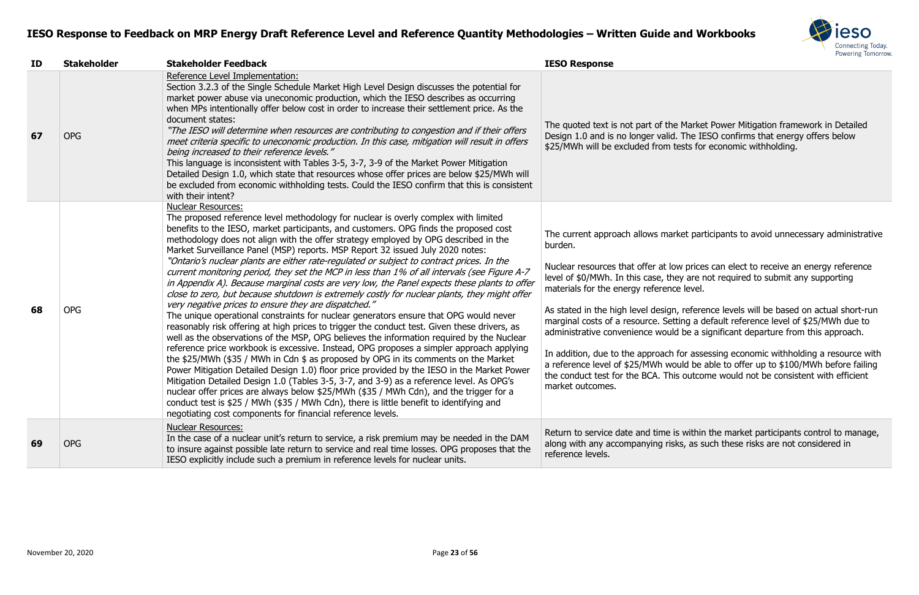

e Market Power Mitigation framework in Detailed 1. The IESO confirms that energy offers below tests for economic withholding.

rket participants to avoid unnecessary administrative

ow prices can elect to receive an energy reference ley are not required to submit any supporting ce level.

, reference levels will be based on actual short-run tting a default reference level of \$25/MWh due to Id be a significant departure from this approach.

If or assessing economic withholding a resource with ould be able to offer up to  $$100/MWh$  before failing is outcome would not be consistent with efficient

is within the market participants control to manage,  $s$ ks, as such these risks are not considered in

| ID | <b>Stakeholder</b> | <b>Stakeholder Feedback</b>                                                                                                                                                                                                                                                                                                                                                                                                                                                                                                                                                                                                                                                                                                                                                                                                                                                                                                                                                                                                                                                                                                                                                                                                                                                                                                                                                                                                                                                                                                                                                                                                                                                                                                                                    | <b>IESO Response</b>                                                                                                                                                                                                                                                                                                                                                                                          |
|----|--------------------|----------------------------------------------------------------------------------------------------------------------------------------------------------------------------------------------------------------------------------------------------------------------------------------------------------------------------------------------------------------------------------------------------------------------------------------------------------------------------------------------------------------------------------------------------------------------------------------------------------------------------------------------------------------------------------------------------------------------------------------------------------------------------------------------------------------------------------------------------------------------------------------------------------------------------------------------------------------------------------------------------------------------------------------------------------------------------------------------------------------------------------------------------------------------------------------------------------------------------------------------------------------------------------------------------------------------------------------------------------------------------------------------------------------------------------------------------------------------------------------------------------------------------------------------------------------------------------------------------------------------------------------------------------------------------------------------------------------------------------------------------------------|---------------------------------------------------------------------------------------------------------------------------------------------------------------------------------------------------------------------------------------------------------------------------------------------------------------------------------------------------------------------------------------------------------------|
| 67 | <b>OPG</b>         | Reference Level Implementation:<br>Section 3.2.3 of the Single Schedule Market High Level Design discusses the potential for<br>market power abuse via uneconomic production, which the IESO describes as occurring<br>when MPs intentionally offer below cost in order to increase their settlement price. As the<br>document states:<br>"The IESO will determine when resources are contributing to congestion and if their offers<br>meet criteria specific to uneconomic production. In this case, mitigation will result in offers<br>being increased to their reference levels."<br>This language is inconsistent with Tables 3-5, 3-7, 3-9 of the Market Power Mitigation<br>Detailed Design 1.0, which state that resources whose offer prices are below \$25/MWh will<br>be excluded from economic withholding tests. Could the IESO confirm that this is consistent<br>with their intent?                                                                                                                                                                                                                                                                                                                                                                                                                                                                                                                                                                                                                                                                                                                                                                                                                                                            | The quoted text is not part of the<br>Design 1.0 and is no longer valid<br>\$25/MWh will be excluded from t                                                                                                                                                                                                                                                                                                   |
| 68 | <b>OPG</b>         | <b>Nuclear Resources:</b><br>The proposed reference level methodology for nuclear is overly complex with limited<br>benefits to the IESO, market participants, and customers. OPG finds the proposed cost<br>methodology does not align with the offer strategy employed by OPG described in the<br>Market Surveillance Panel (MSP) reports. MSP Report 32 issued July 2020 notes:<br>"Ontario's nuclear plants are either rate-regulated or subject to contract prices. In the<br>current monitoring period, they set the MCP in less than 1% of all intervals (see Figure A-7<br>in Appendix A). Because marginal costs are very low, the Panel expects these plants to offer<br>close to zero, but because shutdown is extremely costly for nuclear plants, they might offer<br>very negative prices to ensure they are dispatched."<br>The unique operational constraints for nuclear generators ensure that OPG would never<br>reasonably risk offering at high prices to trigger the conduct test. Given these drivers, as<br>well as the observations of the MSP, OPG believes the information required by the Nuclear<br>reference price workbook is excessive. Instead, OPG proposes a simpler approach applying<br>the \$25/MWh (\$35 / MWh in Cdn \$ as proposed by OPG in its comments on the Market<br>Power Mitigation Detailed Design 1.0) floor price provided by the IESO in the Market Power<br>Mitigation Detailed Design 1.0 (Tables 3-5, 3-7, and 3-9) as a reference level. As OPG's<br>nuclear offer prices are always below \$25/MWh (\$35 / MWh Cdn), and the trigger for a<br>conduct test is \$25 / MWh (\$35 / MWh Cdn), there is little benefit to identifying and<br>negotiating cost components for financial reference levels. | The current approach allows mar<br>burden.<br>Nuclear resources that offer at lo<br>level of \$0/MWh. In this case, the<br>materials for the energy reference<br>As stated in the high level design<br>marginal costs of a resource. Set<br>administrative convenience would<br>In addition, due to the approach<br>a reference level of \$25/MWh wo<br>the conduct test for the BCA. Thi<br>market outcomes. |
| 69 | <b>OPG</b>         | <b>Nuclear Resources:</b><br>In the case of a nuclear unit's return to service, a risk premium may be needed in the DAM<br>to insure against possible late return to service and real time losses. OPG proposes that the<br>IESO explicitly include such a premium in reference levels for nuclear units.                                                                                                                                                                                                                                                                                                                                                                                                                                                                                                                                                                                                                                                                                                                                                                                                                                                                                                                                                                                                                                                                                                                                                                                                                                                                                                                                                                                                                                                      | Return to service date and time i<br>along with any accompanying ris<br>reference levels.                                                                                                                                                                                                                                                                                                                     |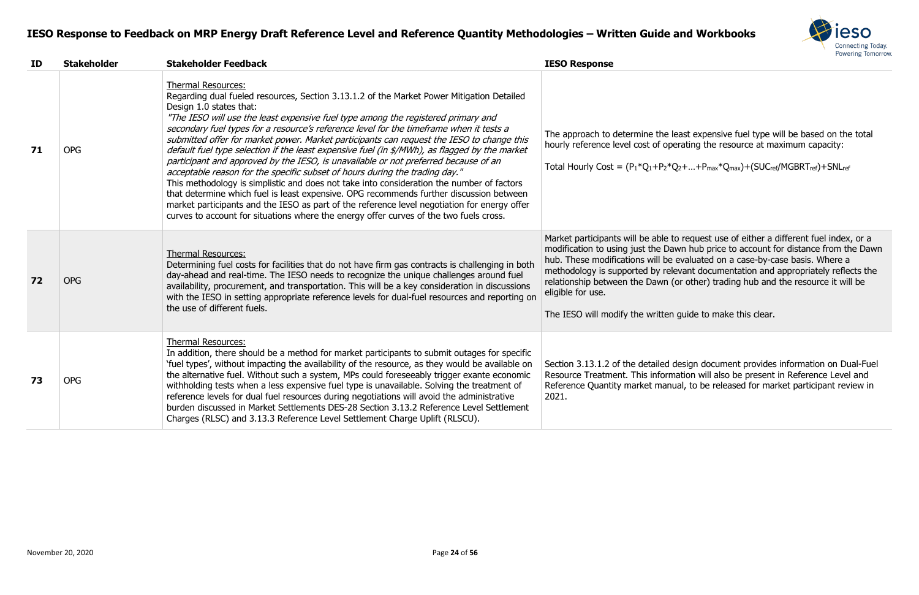

least expensive fuel type will be based on the total erating the resource at maximum capacity:

 $Q_2 + ... + P_{max} * Q_{max}) + (SUC_{ref}/MGBRT_{ref}) + SNL_{ref}$ 

to request use of either a different fuel index, or a awn hub price to account for distance from the Dawn evaluated on a case-by-case basis. Where a levant documentation and appropriately reflects the (or other) trading hub and the resource it will be

guide to make this clear.

design document provides information on Dual-Fuel nation will also be present in Reference Level and ual, to be released for market participant review in

| ID | <b>Stakeholder</b> | <b>Stakeholder Feedback</b>                                                                                                                                                                                                                                                                                                                                                                                                                                                                                                                                                                                                                                                                                                                                                                                                                                                                                                                                                                                                                                                             | <b>IESO Response</b>                                                                                                                                                                                                                          |
|----|--------------------|-----------------------------------------------------------------------------------------------------------------------------------------------------------------------------------------------------------------------------------------------------------------------------------------------------------------------------------------------------------------------------------------------------------------------------------------------------------------------------------------------------------------------------------------------------------------------------------------------------------------------------------------------------------------------------------------------------------------------------------------------------------------------------------------------------------------------------------------------------------------------------------------------------------------------------------------------------------------------------------------------------------------------------------------------------------------------------------------|-----------------------------------------------------------------------------------------------------------------------------------------------------------------------------------------------------------------------------------------------|
| 71 | <b>OPG</b>         | <b>Thermal Resources:</b><br>Regarding dual fueled resources, Section 3.13.1.2 of the Market Power Mitigation Detailed<br>Design 1.0 states that:<br>"The IESO will use the least expensive fuel type among the registered primary and<br>secondary fuel types for a resource's reference level for the timeframe when it tests a<br>submitted offer for market power. Market participants can request the IESO to change this<br>default fuel type selection if the least expensive fuel (in \$/MWh), as flagged by the market<br>participant and approved by the IESO, is unavailable or not preferred because of an<br>acceptable reason for the specific subset of hours during the trading day."<br>This methodology is simplistic and does not take into consideration the number of factors<br>that determine which fuel is least expensive. OPG recommends further discussion between<br>market participants and the IESO as part of the reference level negotiation for energy offer<br>curves to account for situations where the energy offer curves of the two fuels cross. | The approach to determine the le<br>hourly reference level cost of ope<br>Total Hourly Cost = $(P_1*Q_1+P_2*C)$                                                                                                                               |
| 72 | <b>OPG</b>         | <b>Thermal Resources:</b><br>Determining fuel costs for facilities that do not have firm gas contracts is challenging in both<br>day-ahead and real-time. The IESO needs to recognize the unique challenges around fuel<br>availability, procurement, and transportation. This will be a key consideration in discussions<br>with the IESO in setting appropriate reference levels for dual-fuel resources and reporting on<br>the use of different fuels.                                                                                                                                                                                                                                                                                                                                                                                                                                                                                                                                                                                                                              | Market participants will be able to<br>modification to using just the Day<br>hub. These modifications will be<br>methodology is supported by rele<br>relationship between the Dawn (<br>eligible for use.<br>The IESO will modify the written |
| 73 | <b>OPG</b>         | <b>Thermal Resources:</b><br>In addition, there should be a method for market participants to submit outages for specific<br>'fuel types', without impacting the availability of the resource, as they would be available on<br>the alternative fuel. Without such a system, MPs could foreseeably trigger exante economic<br>withholding tests when a less expensive fuel type is unavailable. Solving the treatment of<br>reference levels for dual fuel resources during negotiations will avoid the administrative<br>burden discussed in Market Settlements DES-28 Section 3.13.2 Reference Level Settlement<br>Charges (RLSC) and 3.13.3 Reference Level Settlement Charge Uplift (RLSCU).                                                                                                                                                                                                                                                                                                                                                                                        | Section 3.13.1.2 of the detailed of<br>Resource Treatment. This inform<br>Reference Quantity market manu<br>2021.                                                                                                                             |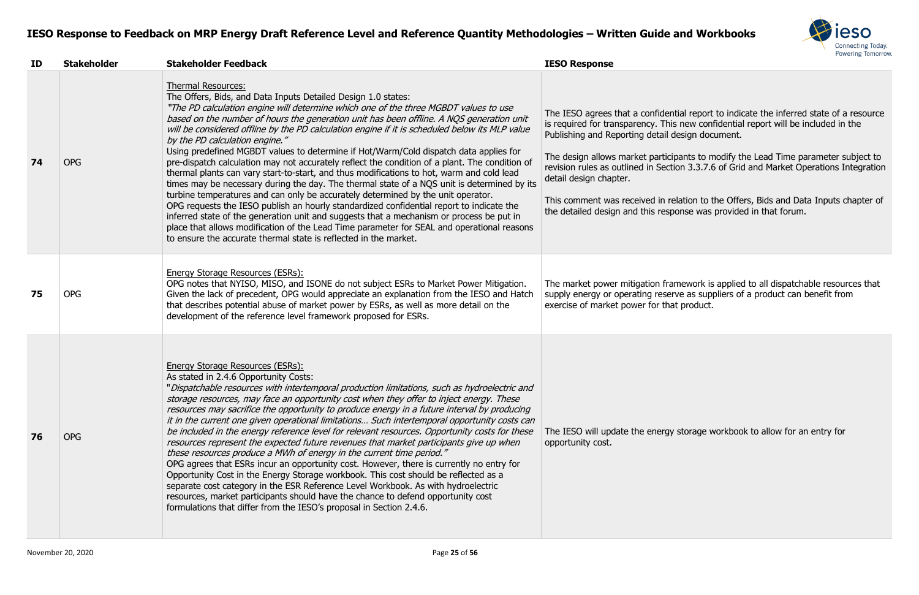

tial report to indicate the inferred state of a resource is new confidential report will be included in the lesign document.

pants to modify the Lead Time parameter subject to on 3.3.7.6 of Grid and Market Operations Integration

lation to the Offers, Bids and Data Inputs chapter of onse was provided in that forum.

mework is applied to all dispatchable resources that ve as suppliers of a product can benefit from t product.

storage workbook to allow for an entry for

| ID | <b>Stakeholder</b> | <b>Stakeholder Feedback</b>                                                                                                                                                                                                                                                                                                                                                                                                                                                                                                                                                                                                                                                                                                                                                                                                                                                                                                                                                                                                                                                                                                                                                                                                                             | <b>IESO Response</b>                                                                                                                                                                                                                                                                          |
|----|--------------------|---------------------------------------------------------------------------------------------------------------------------------------------------------------------------------------------------------------------------------------------------------------------------------------------------------------------------------------------------------------------------------------------------------------------------------------------------------------------------------------------------------------------------------------------------------------------------------------------------------------------------------------------------------------------------------------------------------------------------------------------------------------------------------------------------------------------------------------------------------------------------------------------------------------------------------------------------------------------------------------------------------------------------------------------------------------------------------------------------------------------------------------------------------------------------------------------------------------------------------------------------------|-----------------------------------------------------------------------------------------------------------------------------------------------------------------------------------------------------------------------------------------------------------------------------------------------|
| 74 | <b>OPG</b>         | <b>Thermal Resources:</b><br>The Offers, Bids, and Data Inputs Detailed Design 1.0 states:<br>"The PD calculation engine will determine which one of the three MGBDT values to use<br>based on the number of hours the generation unit has been offline. A NQS generation unit<br>will be considered offline by the PD calculation engine if it is scheduled below its MLP value<br>by the PD calculation engine."<br>Using predefined MGBDT values to determine if Hot/Warm/Cold dispatch data applies for<br>pre-dispatch calculation may not accurately reflect the condition of a plant. The condition of<br>thermal plants can vary start-to-start, and thus modifications to hot, warm and cold lead<br>times may be necessary during the day. The thermal state of a NQS unit is determined by its<br>turbine temperatures and can only be accurately determined by the unit operator.<br>OPG requests the IESO publish an hourly standardized confidential report to indicate the<br>inferred state of the generation unit and suggests that a mechanism or process be put in<br>place that allows modification of the Lead Time parameter for SEAL and operational reasons<br>to ensure the accurate thermal state is reflected in the market. | The IESO agrees that a confident<br>is required for transparency. This<br>Publishing and Reporting detail de<br>The design allows market particip<br>revision rules as outlined in Section<br>detail design chapter.<br>This comment was received in re<br>the detailed design and this respo |
| 75 | <b>OPG</b>         | <b>Energy Storage Resources (ESRs):</b><br>OPG notes that NYISO, MISO, and ISONE do not subject ESRs to Market Power Mitigation.<br>Given the lack of precedent, OPG would appreciate an explanation from the IESO and Hatch<br>that describes potential abuse of market power by ESRs, as well as more detail on the<br>development of the reference level framework proposed for ESRs.                                                                                                                                                                                                                                                                                                                                                                                                                                                                                                                                                                                                                                                                                                                                                                                                                                                                | The market power mitigation fran<br>supply energy or operating reserv<br>exercise of market power for that                                                                                                                                                                                    |
| 76 | <b>OPG</b>         | Energy Storage Resources (ESRs):<br>As stated in 2.4.6 Opportunity Costs:<br>"Dispatchable resources with intertemporal production limitations, such as hydroelectric and<br>storage resources, may face an opportunity cost when they offer to inject energy. These<br>resources may sacrifice the opportunity to produce energy in a future interval by producing<br>it in the current one given operational limitations Such intertemporal opportunity costs can<br>be included in the energy reference level for relevant resources. Opportunity costs for these<br>resources represent the expected future revenues that market participants give up when<br>these resources produce a MWh of energy in the current time period."<br>OPG agrees that ESRs incur an opportunity cost. However, there is currently no entry for<br>Opportunity Cost in the Energy Storage workbook. This cost should be reflected as a<br>separate cost category in the ESR Reference Level Workbook. As with hydroelectric<br>resources, market participants should have the chance to defend opportunity cost<br>formulations that differ from the IESO's proposal in Section 2.4.6.                                                                               | The IESO will update the energy<br>opportunity cost.                                                                                                                                                                                                                                          |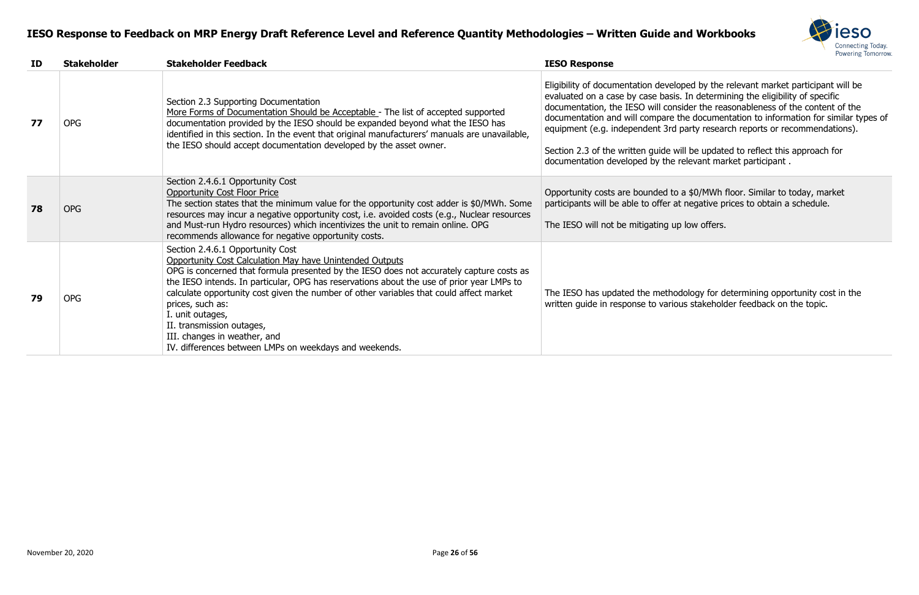

Eligibility of documentation developed by the relevant market participant will be evaluated on a case by case basis. In determining the eligibility of specific documentation, the IESO will consider the reasonableness of the content of the documentation and will compare the documentation to information for similar types of equipment (e.g. independent 3rd party research reports or recommendations).

Section 2.3 of the written guide will be updated to reflect this approach for

#### **ID Stakeholder Stakeholder Feedback IESO Response 77** OPG Section 2.3 Supporting Documentation More Forms of Documentation Should be Acceptable - The list of accepted supported documentation provided by the IESO should be expanded beyond what the IESO has identified in this section. In the event that original manufacturers' manuals are unavailable, the IESO should accept documentation developed by the asset owner. documentation developed by the relevant market participant . **78** OPG Section 2.4.6.1 Opportunity Cost Opportunity Cost Floor Price The section states that the minimum value for the opportunity cost adder is \$0/MWh. Some resources may incur a negative opportunity cost, i.e. avoided costs (e.g., Nuclear resources and Must-run Hydro resources) which incentivizes the unit to remain online. OPG recommends allowance for negative opportunity costs. The IESO will not be mitigating up low offers. **79** OPG Section 2.4.6.1 Opportunity Cost Opportunity Cost Calculation May have Unintended Outputs OPG is concerned that formula presented by the IESO does not accurately capture costs as the IESO intends. In particular, OPG has reservations about the use of prior year LMPs to calculate opportunity cost given the number of other variables that could affect market prices, such as: I. unit outages, II. transmission outages, III. changes in weather, and IV. differences between LMPs on weekdays and weekends.

Opportunity costs are bounded to a \$0/MWh floor. Similar to today, market participants will be able to offer at negative prices to obtain a schedule.

The IESO has updated the methodology for determining opportunity cost in the written guide in response to various stakeholder feedback on the topic.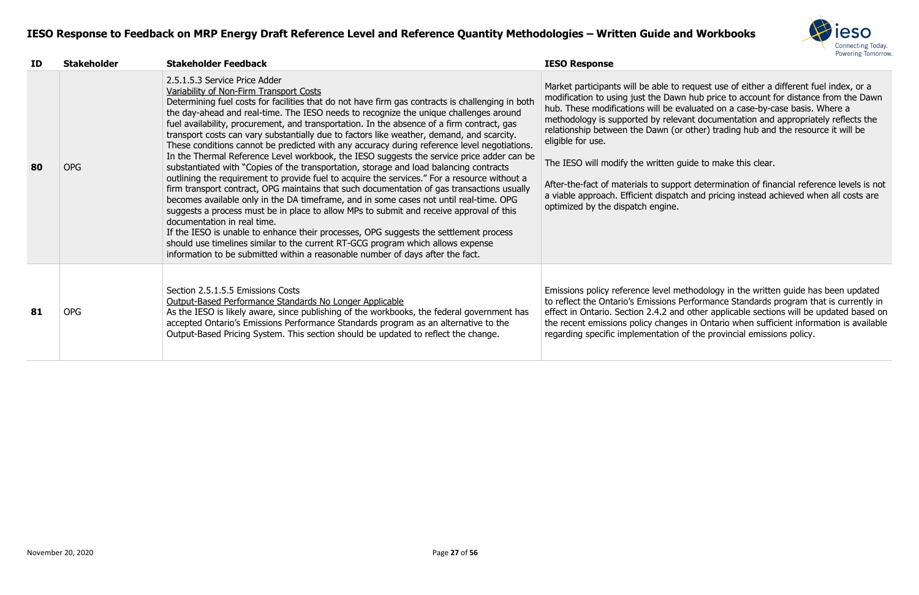

o request use of either a different fuel index, or a wn hub price to account for distance from the Dawn evaluated on a case-by-case basis. Where a evant documentation and appropriately reflects the or other) trading hub and the resource it will be

guide to make this clear.

port determination of financial reference levels is not atch and pricing instead achieved when all costs are

methodology in the written guide has been updated Performance Standards program that is currently in nd other applicable sections will be updated based on ges in Ontario when sufficient information is available on of the provincial emissions policy.

| ID | <b>Stakeholder</b> | <b>Stakeholder Feedback</b>                                                                                                                                                                                                                                                                                                                                                                                                                                                                                                                                                                                                                                                                                                                                                                                                                                                                                                                                                                                                                                                                                                                                                                                                                                                                                                                                                                                                            | <b>IESO Response</b>                                                                                                                                                                                                                                                                                                                                                       |
|----|--------------------|----------------------------------------------------------------------------------------------------------------------------------------------------------------------------------------------------------------------------------------------------------------------------------------------------------------------------------------------------------------------------------------------------------------------------------------------------------------------------------------------------------------------------------------------------------------------------------------------------------------------------------------------------------------------------------------------------------------------------------------------------------------------------------------------------------------------------------------------------------------------------------------------------------------------------------------------------------------------------------------------------------------------------------------------------------------------------------------------------------------------------------------------------------------------------------------------------------------------------------------------------------------------------------------------------------------------------------------------------------------------------------------------------------------------------------------|----------------------------------------------------------------------------------------------------------------------------------------------------------------------------------------------------------------------------------------------------------------------------------------------------------------------------------------------------------------------------|
| 80 | <b>OPG</b>         | 2.5.1.5.3 Service Price Adder<br>Variability of Non-Firm Transport Costs<br>Determining fuel costs for facilities that do not have firm gas contracts is challenging in both<br>the day-ahead and real-time. The IESO needs to recognize the unique challenges around<br>fuel availability, procurement, and transportation. In the absence of a firm contract, gas<br>transport costs can vary substantially due to factors like weather, demand, and scarcity.<br>These conditions cannot be predicted with any accuracy during reference level negotiations.<br>In the Thermal Reference Level workbook, the IESO suggests the service price adder can be<br>substantiated with "Copies of the transportation, storage and load balancing contracts<br>outlining the requirement to provide fuel to acquire the services." For a resource without a<br>firm transport contract, OPG maintains that such documentation of gas transactions usually<br>becomes available only in the DA timeframe, and in some cases not until real-time. OPG<br>suggests a process must be in place to allow MPs to submit and receive approval of this<br>documentation in real time.<br>If the IESO is unable to enhance their processes, OPG suggests the settlement process<br>should use timelines similar to the current RT-GCG program which allows expense<br>information to be submitted within a reasonable number of days after the fact. | Market participants will be able to<br>modification to using just the Daw<br>hub. These modifications will be ev<br>methodology is supported by relev<br>relationship between the Dawn (or<br>eligible for use.<br>The IESO will modify the written g<br>After-the-fact of materials to suppo<br>a viable approach. Efficient dispate<br>optimized by the dispatch engine. |
| 81 | <b>OPG</b>         | Section 2.5.1.5.5 Emissions Costs<br>Output-Based Performance Standards No Longer Applicable<br>As the IESO is likely aware, since publishing of the workbooks, the federal government has<br>accepted Ontario's Emissions Performance Standards program as an alternative to the<br>Output-Based Pricing System. This section should be updated to reflect the change.                                                                                                                                                                                                                                                                                                                                                                                                                                                                                                                                                                                                                                                                                                                                                                                                                                                                                                                                                                                                                                                                | Emissions policy reference level me<br>to reflect the Ontario's Emissions F<br>effect in Ontario. Section 2.4.2 and<br>the recent emissions policy change<br>regarding specific implementation                                                                                                                                                                             |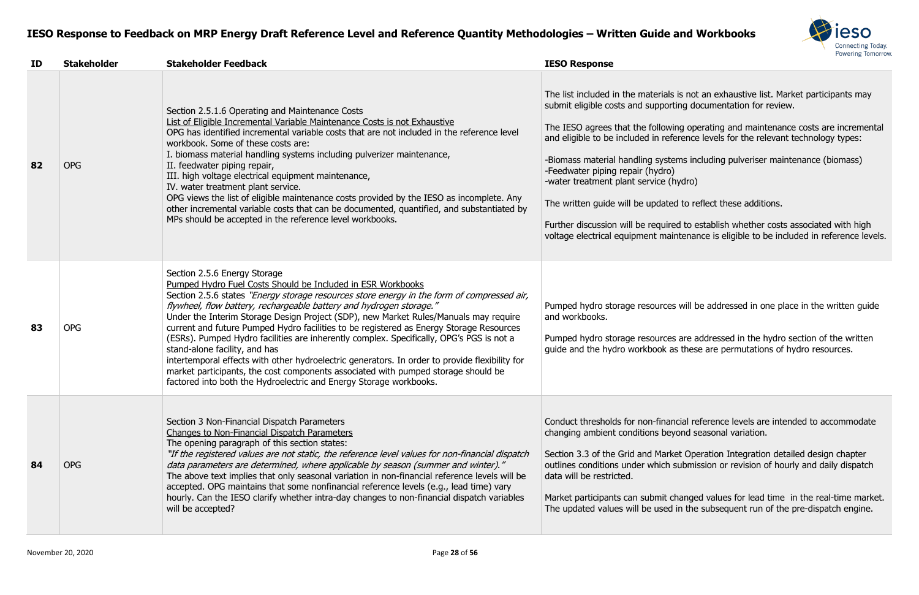

is not an exhaustive list. Market participants may ing documentation for review.

ng operating and maintenance costs are incremental erence levels for the relevant technology types:

ms including pulveriser maintenance (biomass)

rydro)

I to reflect these additions.

d to establish whether costs associated with high ntenance is eligible to be included in reference levels.

will be addressed in one place in the written guide

are addressed in the hydro section of the written s these are permutations of hydro resources.

cial reference levels are intended to accommodate ond seasonal variation.

et Operation Integration detailed design chapter submission or revision of hourly and daily dispatch

hanged values for lead time in the real-time market. in the subsequent run of the pre-dispatch engine.

| ID | <b>Stakeholder</b> | <b>Stakeholder Feedback</b>                                                                                                                                                                                                                                                                                                                                                                                                                                                                                                                                                                                                                                                                                                                                                                                                                   | <b>IESO Response</b>                                                                                                                                                                                                                                                                                                                                                                |
|----|--------------------|-----------------------------------------------------------------------------------------------------------------------------------------------------------------------------------------------------------------------------------------------------------------------------------------------------------------------------------------------------------------------------------------------------------------------------------------------------------------------------------------------------------------------------------------------------------------------------------------------------------------------------------------------------------------------------------------------------------------------------------------------------------------------------------------------------------------------------------------------|-------------------------------------------------------------------------------------------------------------------------------------------------------------------------------------------------------------------------------------------------------------------------------------------------------------------------------------------------------------------------------------|
| 82 | <b>OPG</b>         | Section 2.5.1.6 Operating and Maintenance Costs<br>List of Eligible Incremental Variable Maintenance Costs is not Exhaustive<br>OPG has identified incremental variable costs that are not included in the reference level<br>workbook. Some of these costs are:<br>I. biomass material handling systems including pulverizer maintenance,<br>II. feedwater piping repair,<br>III. high voltage electrical equipment maintenance,<br>IV. water treatment plant service.<br>OPG views the list of eligible maintenance costs provided by the IESO as incomplete. Any<br>other incremental variable costs that can be documented, quantified, and substantiated by<br>MPs should be accepted in the reference level workbooks.                                                                                                                  | The list included in the materials<br>submit eligible costs and supporti<br>The IESO agrees that the followir<br>and eligible to be included in refer<br>-Biomass material handling syster<br>-Feedwater piping repair (hydro)<br>-water treatment plant service (h<br>The written guide will be updated<br>Further discussion will be require<br>voltage electrical equipment main |
| 83 | <b>OPG</b>         | Section 2.5.6 Energy Storage<br>Pumped Hydro Fuel Costs Should be Included in ESR Workbooks<br>Section 2.5.6 states "Energy storage resources store energy in the form of compressed air,<br>flywheel, flow battery, rechargeable battery and hydrogen storage."<br>Under the Interim Storage Design Project (SDP), new Market Rules/Manuals may require<br>current and future Pumped Hydro facilities to be registered as Energy Storage Resources<br>(ESRs). Pumped Hydro facilities are inherently complex. Specifically, OPG's PGS is not a<br>stand-alone facility, and has<br>intertemporal effects with other hydroelectric generators. In order to provide flexibility for<br>market participants, the cost components associated with pumped storage should be<br>factored into both the Hydroelectric and Energy Storage workbooks. | Pumped hydro storage resources<br>and workbooks.<br>Pumped hydro storage resources<br>guide and the hydro workbook as                                                                                                                                                                                                                                                               |
| 84 | <b>OPG</b>         | Section 3 Non-Financial Dispatch Parameters<br><b>Changes to Non-Financial Dispatch Parameters</b><br>The opening paragraph of this section states:<br>"If the registered values are not static, the reference level values for non-financial dispatch<br>data parameters are determined, where applicable by season (summer and winter)."<br>The above text implies that only seasonal variation in non-financial reference levels will be<br>accepted. OPG maintains that some nonfinancial reference levels (e.g., lead time) vary<br>hourly. Can the IESO clarify whether intra-day changes to non-financial dispatch variables<br>will be accepted?                                                                                                                                                                                      | Conduct thresholds for non-finane<br>changing ambient conditions bey<br>Section 3.3 of the Grid and Marke<br>outlines conditions under which s<br>data will be restricted.<br>Market participants can submit ch<br>The updated values will be used                                                                                                                                  |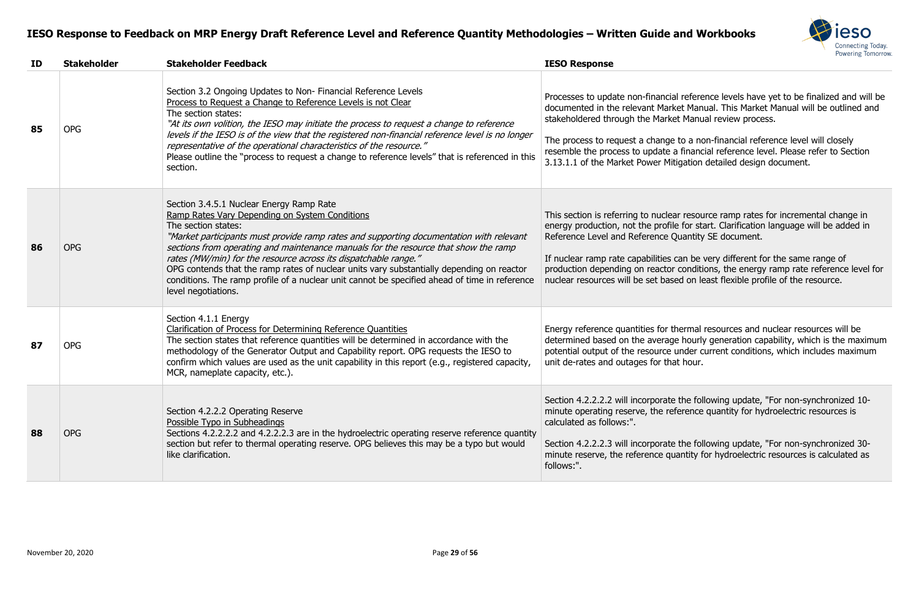

al reference levels have yet to be finalized and will be ket Manual. This Market Manual will be outlined and et Manual review process.

to a non-financial reference level will closely a financial reference level. Please refer to Section tigation detailed design document.

ar resource ramp rates for incremental change in le for start. Clarification language will be added in Quantity SE document.

can be very different for the same range of conditions, the energy ramp rate reference level for ed on least flexible profile of the resource.

hermal resources and nuclear resources will be je hourly generation capability, which is the maximum under current conditions, which includes maximum at hour.

the following update, "For non-synchronized 10ference quantity for hydroelectric resources is

the following update, "For non-synchronized 30uantity for hydroelectric resources is calculated as

| ID | <b>Stakeholder</b> | <b>Stakeholder Feedback</b>                                                                                                                                                                                                                                                                                                                                                                                                                                                                                                                                                                 | <b>IESO Response</b>                                                                                                                                                                                                       |
|----|--------------------|---------------------------------------------------------------------------------------------------------------------------------------------------------------------------------------------------------------------------------------------------------------------------------------------------------------------------------------------------------------------------------------------------------------------------------------------------------------------------------------------------------------------------------------------------------------------------------------------|----------------------------------------------------------------------------------------------------------------------------------------------------------------------------------------------------------------------------|
| 85 | <b>OPG</b>         | Section 3.2 Ongoing Updates to Non-Financial Reference Levels<br>Process to Request a Change to Reference Levels is not Clear<br>The section states:<br>"At its own volition, the IESO may initiate the process to request a change to reference<br>levels if the IESO is of the view that the registered non-financial reference level is no longer<br>representative of the operational characteristics of the resource."<br>Please outline the "process to request a change to reference levels" that is referenced in this<br>section.                                                  | Processes to update non-financia<br>documented in the relevant Mark<br>stakeholdered through the Marke<br>The process to request a change<br>resemble the process to update a<br>3.13.1.1 of the Market Power Mit          |
| 86 | <b>OPG</b>         | Section 3.4.5.1 Nuclear Energy Ramp Rate<br>Ramp Rates Vary Depending on System Conditions<br>The section states:<br>"Market participants must provide ramp rates and supporting documentation with relevant<br>sections from operating and maintenance manuals for the resource that show the ramp<br>rates (MW/min) for the resource across its dispatchable range."<br>OPG contends that the ramp rates of nuclear units vary substantially depending on reactor<br>conditions. The ramp profile of a nuclear unit cannot be specified ahead of time in reference<br>level negotiations. | This section is referring to nuclea<br>energy production, not the profile<br>Reference Level and Reference Q<br>If nuclear ramp rate capabilities<br>production depending on reactor<br>nuclear resources will be set base |
| 87 | <b>OPG</b>         | Section 4.1.1 Energy<br>Clarification of Process for Determining Reference Quantities<br>The section states that reference quantities will be determined in accordance with the<br>methodology of the Generator Output and Capability report. OPG requests the IESO to<br>confirm which values are used as the unit capability in this report (e.g., registered capacity,<br>MCR, nameplate capacity, etc.).                                                                                                                                                                                | Energy reference quantities for tl<br>determined based on the average<br>potential output of the resource<br>unit de-rates and outages for tha                                                                             |
| 88 | <b>OPG</b>         | Section 4.2.2.2 Operating Reserve<br>Possible Typo in Subheadings<br>Sections 4.2.2.2.2 and 4.2.2.2.3 are in the hydroelectric operating reserve reference quantity<br>section but refer to thermal operating reserve. OPG believes this may be a typo but would<br>like clarification.                                                                                                                                                                                                                                                                                                     | Section 4.2.2.2.2 will incorporate<br>minute operating reserve, the ret<br>calculated as follows:".<br>Section 4.2.2.2.3 will incorporate<br>minute reserve, the reference qu<br>follows:".                                |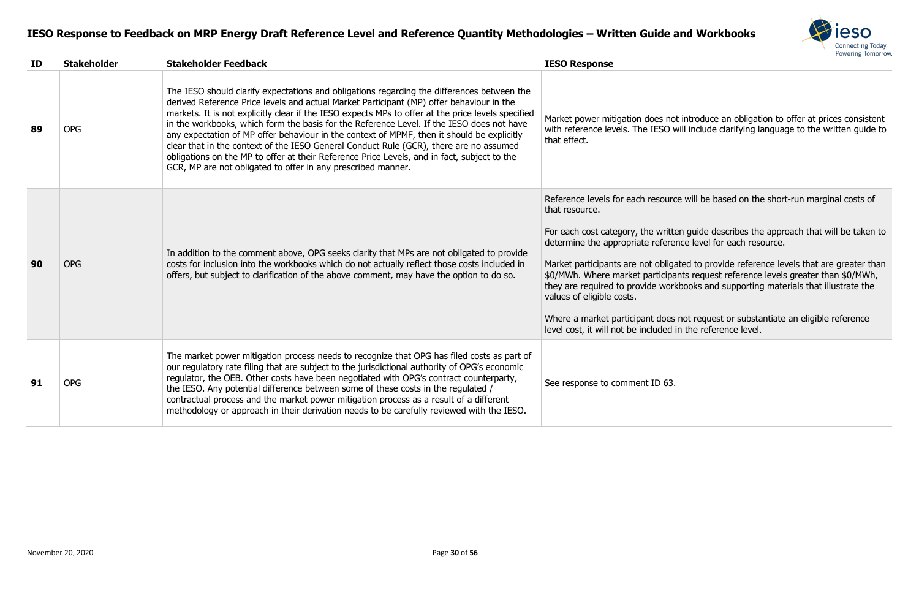

#### ot introduce an obligation to offer at prices consistent will include clarifying language to the written guide to

rce will be based on the short-run marginal costs of

ten guide describes the approach that will be taken to ence level for each resource.

ated to provide reference levels that are greater than ants request reference levels greater than  $$0/MWh$ , kbooks and supporting materials that illustrate the

mot request or substantiate an eligible reference I in the reference level.

| ID | <b>Stakeholder</b> | <b>Stakeholder Feedback</b>                                                                                                                                                                                                                                                                                                                                                                                                                                                                                                                                                                                                                                                                                                                      | <b>IESO Response</b>                                                                                                                                                                                                                                                                                                                               |
|----|--------------------|--------------------------------------------------------------------------------------------------------------------------------------------------------------------------------------------------------------------------------------------------------------------------------------------------------------------------------------------------------------------------------------------------------------------------------------------------------------------------------------------------------------------------------------------------------------------------------------------------------------------------------------------------------------------------------------------------------------------------------------------------|----------------------------------------------------------------------------------------------------------------------------------------------------------------------------------------------------------------------------------------------------------------------------------------------------------------------------------------------------|
| 89 | <b>OPG</b>         | The IESO should clarify expectations and obligations regarding the differences between the<br>derived Reference Price levels and actual Market Participant (MP) offer behaviour in the<br>markets. It is not explicitly clear if the IESO expects MPs to offer at the price levels specified<br>in the workbooks, which form the basis for the Reference Level. If the IESO does not have<br>any expectation of MP offer behaviour in the context of MPMF, then it should be explicitly<br>clear that in the context of the IESO General Conduct Rule (GCR), there are no assumed<br>obligations on the MP to offer at their Reference Price Levels, and in fact, subject to the<br>GCR, MP are not obligated to offer in any prescribed manner. | Market power mitigation does no<br>with reference levels. The IESO v<br>that effect.                                                                                                                                                                                                                                                               |
| 90 | <b>OPG</b>         | In addition to the comment above, OPG seeks clarity that MPs are not obligated to provide<br>costs for inclusion into the workbooks which do not actually reflect those costs included in<br>offers, but subject to clarification of the above comment, may have the option to do so.                                                                                                                                                                                                                                                                                                                                                                                                                                                            | Reference levels for each resourd<br>that resource.<br>For each cost category, the writte<br>determine the appropriate refere<br>Market participants are not obliga<br>\$0/MWh. Where market participa<br>they are required to provide worl<br>values of eligible costs.<br>Where a market participant does<br>level cost, it will not be included |
| 91 | <b>OPG</b>         | The market power mitigation process needs to recognize that OPG has filed costs as part of<br>our regulatory rate filing that are subject to the jurisdictional authority of OPG's economic<br>regulator, the OEB. Other costs have been negotiated with OPG's contract counterparty,<br>the IESO. Any potential difference between some of these costs in the regulated /<br>contractual process and the market power mitigation process as a result of a different<br>methodology or approach in their derivation needs to be carefully reviewed with the IESO.                                                                                                                                                                                | See response to comment ID 63.                                                                                                                                                                                                                                                                                                                     |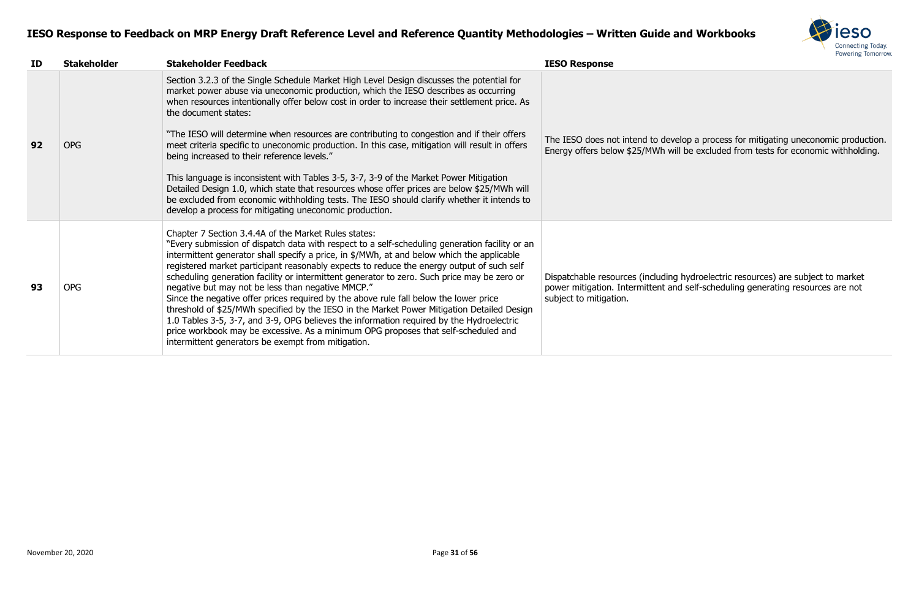

velop a process for mitigating uneconomic production. vill be excluded from tests for economic withholding.

g hydroelectric resources) are subject to market nd self-scheduling generating resources are not

| ID | <b>Stakeholder</b> | <b>Stakeholder Feedback</b>                                                                                                                                                                                                                                                                                                                                                                                                                                                                                                                                                                                                                                                                                                                                                                                                                                                                                                          | <b>IESO Response</b>                                                                             |
|----|--------------------|--------------------------------------------------------------------------------------------------------------------------------------------------------------------------------------------------------------------------------------------------------------------------------------------------------------------------------------------------------------------------------------------------------------------------------------------------------------------------------------------------------------------------------------------------------------------------------------------------------------------------------------------------------------------------------------------------------------------------------------------------------------------------------------------------------------------------------------------------------------------------------------------------------------------------------------|--------------------------------------------------------------------------------------------------|
| 92 | <b>OPG</b>         | Section 3.2.3 of the Single Schedule Market High Level Design discusses the potential for<br>market power abuse via uneconomic production, which the IESO describes as occurring<br>when resources intentionally offer below cost in order to increase their settlement price. As<br>the document states:<br>"The IESO will determine when resources are contributing to congestion and if their offers<br>meet criteria specific to uneconomic production. In this case, mitigation will result in offers<br>being increased to their reference levels."<br>This language is inconsistent with Tables 3-5, 3-7, 3-9 of the Market Power Mitigation<br>Detailed Design 1.0, which state that resources whose offer prices are below \$25/MWh will<br>be excluded from economic withholding tests. The IESO should clarify whether it intends to<br>develop a process for mitigating uneconomic production.                           | The IESO does not intend to dev<br>Energy offers below \$25/MWh w                                |
| 93 | <b>OPG</b>         | Chapter 7 Section 3.4.4A of the Market Rules states:<br>"Every submission of dispatch data with respect to a self-scheduling generation facility or an<br>intermittent generator shall specify a price, in \$/MWh, at and below which the applicable<br>registered market participant reasonably expects to reduce the energy output of such self<br>scheduling generation facility or intermittent generator to zero. Such price may be zero or<br>negative but may not be less than negative MMCP."<br>Since the negative offer prices required by the above rule fall below the lower price<br>threshold of \$25/MWh specified by the IESO in the Market Power Mitigation Detailed Design<br>1.0 Tables 3-5, 3-7, and 3-9, OPG believes the information required by the Hydroelectric<br>price workbook may be excessive. As a minimum OPG proposes that self-scheduled and<br>intermittent generators be exempt from mitigation. | Dispatchable resources (including<br>power mitigation. Intermittent ar<br>subject to mitigation. |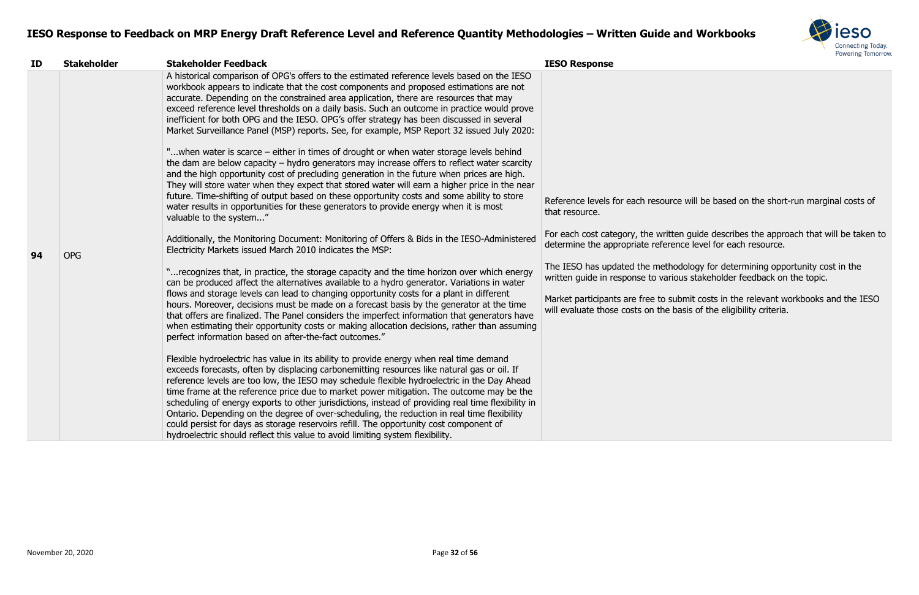

ce will be based on the short-run marginal costs of

For guide describes the approach that will be taken to ence level for each resource.

odology for determining opportunity cost in the ious stakeholder feedback on the topic.

ubmit costs in the relevant workbooks and the IESO basis of the eligibility criteria.

| ID | <b>Stakeholder</b> | <b>Stakeholder Feedback</b>                                                                                                                                                                                                                                                                                                                                                                                                                                                                                                                                                                                                                                                                                                                                                                                                                                                                                                                                                                                                                                                                                                                                                                                                                                                                                                                                                                                                                                                                                                                                                                                                                                                                                                                                                                                                                                                                                                                                                                                                                                                                                                                                                                                                                                                                                                                                                                                                                                                                                                                                                                                                                                                                                                                                           | <b>IESO Response</b>                                                                                                                                                                                                                                                              |
|----|--------------------|-----------------------------------------------------------------------------------------------------------------------------------------------------------------------------------------------------------------------------------------------------------------------------------------------------------------------------------------------------------------------------------------------------------------------------------------------------------------------------------------------------------------------------------------------------------------------------------------------------------------------------------------------------------------------------------------------------------------------------------------------------------------------------------------------------------------------------------------------------------------------------------------------------------------------------------------------------------------------------------------------------------------------------------------------------------------------------------------------------------------------------------------------------------------------------------------------------------------------------------------------------------------------------------------------------------------------------------------------------------------------------------------------------------------------------------------------------------------------------------------------------------------------------------------------------------------------------------------------------------------------------------------------------------------------------------------------------------------------------------------------------------------------------------------------------------------------------------------------------------------------------------------------------------------------------------------------------------------------------------------------------------------------------------------------------------------------------------------------------------------------------------------------------------------------------------------------------------------------------------------------------------------------------------------------------------------------------------------------------------------------------------------------------------------------------------------------------------------------------------------------------------------------------------------------------------------------------------------------------------------------------------------------------------------------------------------------------------------------------------------------------------------------|-----------------------------------------------------------------------------------------------------------------------------------------------------------------------------------------------------------------------------------------------------------------------------------|
| 94 | <b>OPG</b>         | A historical comparison of OPG's offers to the estimated reference levels based on the IESO<br>workbook appears to indicate that the cost components and proposed estimations are not<br>accurate. Depending on the constrained area application, there are resources that may<br>exceed reference level thresholds on a daily basis. Such an outcome in practice would prove<br>inefficient for both OPG and the IESO. OPG's offer strategy has been discussed in several<br>Market Surveillance Panel (MSP) reports. See, for example, MSP Report 32 issued July 2020:<br>"when water is scarce – either in times of drought or when water storage levels behind<br>the dam are below capacity $-$ hydro generators may increase offers to reflect water scarcity<br>and the high opportunity cost of precluding generation in the future when prices are high.<br>They will store water when they expect that stored water will earn a higher price in the near<br>future. Time-shifting of output based on these opportunity costs and some ability to store<br>water results in opportunities for these generators to provide energy when it is most<br>valuable to the system"<br>Additionally, the Monitoring Document: Monitoring of Offers & Bids in the IESO-Administered<br>Electricity Markets issued March 2010 indicates the MSP:<br>" recognizes that, in practice, the storage capacity and the time horizon over which energy<br>can be produced affect the alternatives available to a hydro generator. Variations in water<br>flows and storage levels can lead to changing opportunity costs for a plant in different<br>hours. Moreover, decisions must be made on a forecast basis by the generator at the time<br>that offers are finalized. The Panel considers the imperfect information that generators have<br>when estimating their opportunity costs or making allocation decisions, rather than assuming<br>perfect information based on after-the-fact outcomes."<br>Flexible hydroelectric has value in its ability to provide energy when real time demand<br>exceeds forecasts, often by displacing carbonemitting resources like natural gas or oil. If<br>reference levels are too low, the IESO may schedule flexible hydroelectric in the Day Ahead<br>time frame at the reference price due to market power mitigation. The outcome may be the<br>scheduling of energy exports to other jurisdictions, instead of providing real time flexibility in<br>Ontario. Depending on the degree of over-scheduling, the reduction in real time flexibility<br>could persist for days as storage reservoirs refill. The opportunity cost component of<br>hydroelectric should reflect this value to avoid limiting system flexibility. | Reference levels for each resourd<br>that resource.<br>For each cost category, the writte<br>determine the appropriate refere<br>The IESO has updated the metho<br>written guide in response to vario<br>Market participants are free to su<br>will evaluate those costs on the b |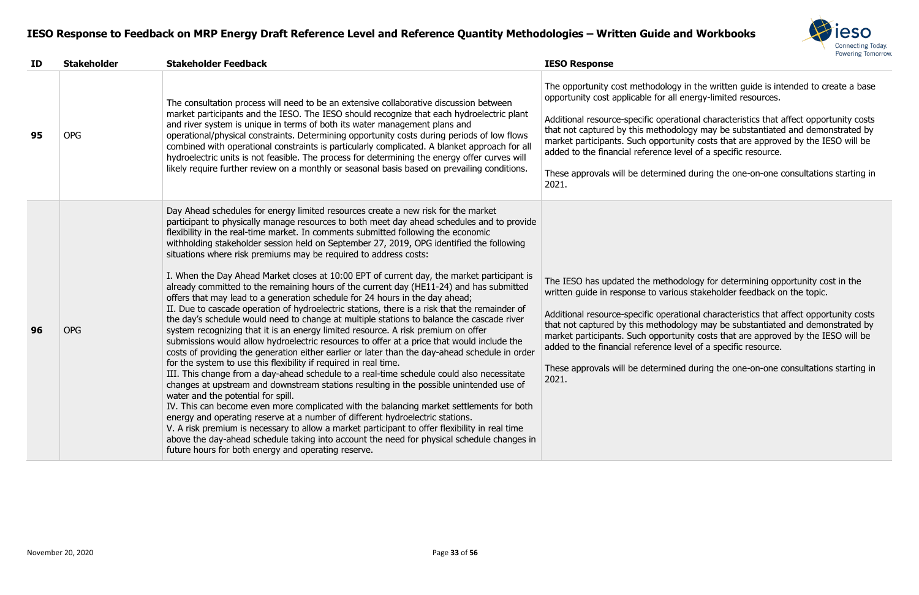

y in the written guide is intended to create a base opportunited resources.

ational characteristics that affect opportunity costs tology may be substantiated and demonstrated by unity costs that are approved by the IESO will be level of a specific resource.

ed during the one-on-one consultations starting in

odology for determining opportunity cost in the ous stakeholder feedback on the topic.

ational characteristics that affect opportunity costs tology may be substantiated and demonstrated by unity costs that are approved by the IESO will be level of a specific resource.

ed during the one-on-one consultations starting in

| ID | <b>Stakeholder</b> | <b>Stakeholder Feedback</b>                                                                                                                                                                                                                                                                                                                                                                                                                                                                                                                                                                                                                                                                                                                                                                                                                                                                                                                                                                                                                                                                                                                                                                                                                                                                                                                                                                                                                                                                                                                                                                                                                                                                                                                                                                                                                                                                                                            | <b>IESO Response</b>                                                                                                                                                                                                                                                     |
|----|--------------------|----------------------------------------------------------------------------------------------------------------------------------------------------------------------------------------------------------------------------------------------------------------------------------------------------------------------------------------------------------------------------------------------------------------------------------------------------------------------------------------------------------------------------------------------------------------------------------------------------------------------------------------------------------------------------------------------------------------------------------------------------------------------------------------------------------------------------------------------------------------------------------------------------------------------------------------------------------------------------------------------------------------------------------------------------------------------------------------------------------------------------------------------------------------------------------------------------------------------------------------------------------------------------------------------------------------------------------------------------------------------------------------------------------------------------------------------------------------------------------------------------------------------------------------------------------------------------------------------------------------------------------------------------------------------------------------------------------------------------------------------------------------------------------------------------------------------------------------------------------------------------------------------------------------------------------------|--------------------------------------------------------------------------------------------------------------------------------------------------------------------------------------------------------------------------------------------------------------------------|
| 95 | <b>OPG</b>         | The consultation process will need to be an extensive collaborative discussion between<br>market participants and the IESO. The IESO should recognize that each hydroelectric plant<br>and river system is unique in terms of both its water management plans and<br>operational/physical constraints. Determining opportunity costs during periods of low flows<br>combined with operational constraints is particularly complicated. A blanket approach for all<br>hydroelectric units is not feasible. The process for determining the energy offer curves will<br>likely require further review on a monthly or seasonal basis based on prevailing conditions.                                                                                                                                                                                                                                                                                                                                                                                                                                                                                                                                                                                                                                                                                                                                                                                                                                                                                                                                                                                                                                                                                                                                                                                                                                                                     | The opportunity cost methodolog<br>opportunity cost applicable for all<br>Additional resource-specific opera<br>that not captured by this method<br>market participants. Such opport<br>added to the financial reference I<br>These approvals will be determine<br>2021. |
| 96 | <b>OPG</b>         | Day Ahead schedules for energy limited resources create a new risk for the market<br>participant to physically manage resources to both meet day ahead schedules and to provide<br>flexibility in the real-time market. In comments submitted following the economic<br>withholding stakeholder session held on September 27, 2019, OPG identified the following<br>situations where risk premiums may be required to address costs:<br>I. When the Day Ahead Market closes at 10:00 EPT of current day, the market participant is<br>already committed to the remaining hours of the current day (HE11-24) and has submitted<br>offers that may lead to a generation schedule for 24 hours in the day ahead;<br>II. Due to cascade operation of hydroelectric stations, there is a risk that the remainder of<br>the day's schedule would need to change at multiple stations to balance the cascade river<br>system recognizing that it is an energy limited resource. A risk premium on offer<br>submissions would allow hydroelectric resources to offer at a price that would include the<br>costs of providing the generation either earlier or later than the day-ahead schedule in order<br>for the system to use this flexibility if required in real time.<br>III. This change from a day-ahead schedule to a real-time schedule could also necessitate<br>changes at upstream and downstream stations resulting in the possible unintended use of<br>water and the potential for spill.<br>IV. This can become even more complicated with the balancing market settlements for both<br>energy and operating reserve at a number of different hydroelectric stations.<br>V. A risk premium is necessary to allow a market participant to offer flexibility in real time<br>above the day-ahead schedule taking into account the need for physical schedule changes in<br>future hours for both energy and operating reserve. | The IESO has updated the metho<br>written guide in response to various<br>Additional resource-specific opera<br>that not captured by this method<br>market participants. Such opport<br>added to the financial reference I<br>These approvals will be determine<br>2021. |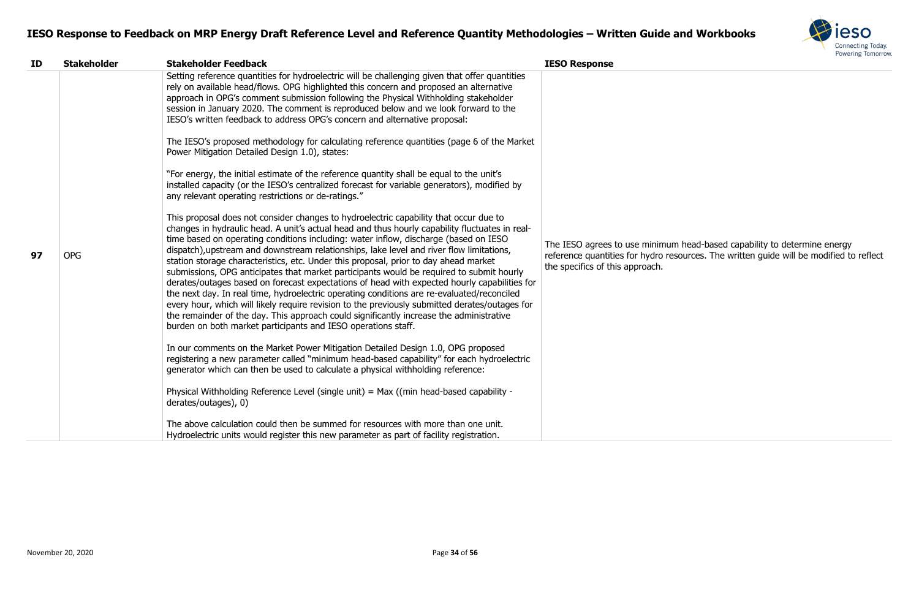

m head-based capability to determine energy esources. The written guide will be modified to reflect

| ID | <b>Stakeholder</b> | <b>Stakeholder Feedback</b>                                                                                                                                                                                                                                                                                                                                                                                                                                                                                                                                                                                                                                                                                                                                                                                                                                                                                                                                                                                                                                                                                                                                                                                                                                                                                                                                                                                                                                                                                                                                                                                                                                                                                                                                                                                                                                                                                                                                                                                                                                                                                                                                                                                                                                                                                                                                       | <b>IESO Response</b>                                                                                    |
|----|--------------------|-------------------------------------------------------------------------------------------------------------------------------------------------------------------------------------------------------------------------------------------------------------------------------------------------------------------------------------------------------------------------------------------------------------------------------------------------------------------------------------------------------------------------------------------------------------------------------------------------------------------------------------------------------------------------------------------------------------------------------------------------------------------------------------------------------------------------------------------------------------------------------------------------------------------------------------------------------------------------------------------------------------------------------------------------------------------------------------------------------------------------------------------------------------------------------------------------------------------------------------------------------------------------------------------------------------------------------------------------------------------------------------------------------------------------------------------------------------------------------------------------------------------------------------------------------------------------------------------------------------------------------------------------------------------------------------------------------------------------------------------------------------------------------------------------------------------------------------------------------------------------------------------------------------------------------------------------------------------------------------------------------------------------------------------------------------------------------------------------------------------------------------------------------------------------------------------------------------------------------------------------------------------------------------------------------------------------------------------------------------------|---------------------------------------------------------------------------------------------------------|
| 97 | <b>OPG</b>         | Setting reference quantities for hydroelectric will be challenging given that offer quantities<br>rely on available head/flows. OPG highlighted this concern and proposed an alternative<br>approach in OPG's comment submission following the Physical Withholding stakeholder<br>session in January 2020. The comment is reproduced below and we look forward to the<br>IESO's written feedback to address OPG's concern and alternative proposal:<br>The IESO's proposed methodology for calculating reference quantities (page 6 of the Market<br>Power Mitigation Detailed Design 1.0), states:<br>"For energy, the initial estimate of the reference quantity shall be equal to the unit's<br>installed capacity (or the IESO's centralized forecast for variable generators), modified by<br>any relevant operating restrictions or de-ratings."<br>This proposal does not consider changes to hydroelectric capability that occur due to<br>changes in hydraulic head. A unit's actual head and thus hourly capability fluctuates in real-<br>time based on operating conditions including: water inflow, discharge (based on IESO<br>dispatch), upstream and downstream relationships, lake level and river flow limitations,<br>station storage characteristics, etc. Under this proposal, prior to day ahead market<br>submissions, OPG anticipates that market participants would be required to submit hourly<br>derates/outages based on forecast expectations of head with expected hourly capabilities for<br>the next day. In real time, hydroelectric operating conditions are re-evaluated/reconciled<br>every hour, which will likely require revision to the previously submitted derates/outages for<br>the remainder of the day. This approach could significantly increase the administrative<br>burden on both market participants and IESO operations staff.<br>In our comments on the Market Power Mitigation Detailed Design 1.0, OPG proposed<br>registering a new parameter called "minimum head-based capability" for each hydroelectric<br>generator which can then be used to calculate a physical withholding reference:<br>Physical Withholding Reference Level (single unit) = Max ((min head-based capability -<br>derates/outages), 0)<br>The above calculation could then be summed for resources with more than one unit. | The IESO agrees to use minimun<br>reference quantities for hydro res<br>the specifics of this approach. |
|    |                    | Hydroelectric units would register this new parameter as part of facility registration.                                                                                                                                                                                                                                                                                                                                                                                                                                                                                                                                                                                                                                                                                                                                                                                                                                                                                                                                                                                                                                                                                                                                                                                                                                                                                                                                                                                                                                                                                                                                                                                                                                                                                                                                                                                                                                                                                                                                                                                                                                                                                                                                                                                                                                                                           |                                                                                                         |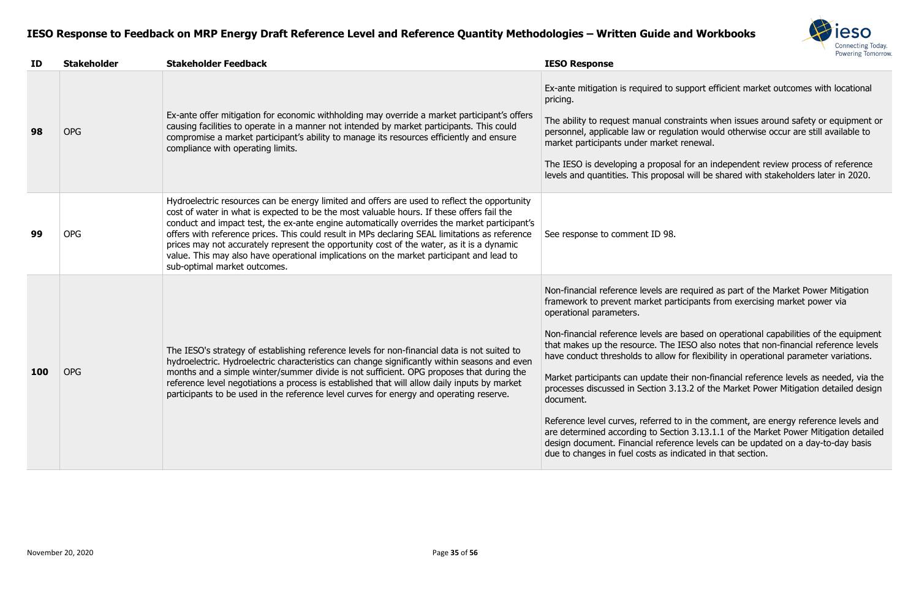

support efficient market outcomes with locational

nstraints when issues around safety or equipment or llation would otherwise occur are still available to t renewal.

al for an independent review process of reference sal will be shared with stakeholders later in 2020.

e required as part of the Market Power Mitigation rticipants from exercising market power via

e based on operational capabilities of the equipment that its makes that non-financial reference levels for flexibility in operational parameter variations.

heir non-financial reference levels as needed, via the 13.2 of the Market Power Mitigation detailed design

to in the comment, are energy reference levels and tion 3.13.1.1 of the Market Power Mitigation detailed rence levels can be updated on a day-to-day basis ndicated in that section.

| ID  | <b>Stakeholder</b> | <b>Stakeholder Feedback</b>                                                                                                                                                                                                                                                                                                                                                                                                                                                                                                                                                                                          | <b>IESO Response</b>                                                                                                                                                                                                                                                                                                                                                                                                                                      |
|-----|--------------------|----------------------------------------------------------------------------------------------------------------------------------------------------------------------------------------------------------------------------------------------------------------------------------------------------------------------------------------------------------------------------------------------------------------------------------------------------------------------------------------------------------------------------------------------------------------------------------------------------------------------|-----------------------------------------------------------------------------------------------------------------------------------------------------------------------------------------------------------------------------------------------------------------------------------------------------------------------------------------------------------------------------------------------------------------------------------------------------------|
| 98  | <b>OPG</b>         | Ex-ante offer mitigation for economic withholding may override a market participant's offers<br>causing facilities to operate in a manner not intended by market participants. This could<br>compromise a market participant's ability to manage its resources efficiently and ensure<br>compliance with operating limits.                                                                                                                                                                                                                                                                                           | Ex-ante mitigation is required to<br>pricing.<br>The ability to request manual cor<br>personnel, applicable law or regu<br>market participants under marke<br>The IESO is developing a propose<br>levels and quantities. This propos                                                                                                                                                                                                                      |
| 99  | <b>OPG</b>         | Hydroelectric resources can be energy limited and offers are used to reflect the opportunity<br>cost of water in what is expected to be the most valuable hours. If these offers fail the<br>conduct and impact test, the ex-ante engine automatically overrides the market participant's<br>offers with reference prices. This could result in MPs declaring SEAL limitations as reference<br>prices may not accurately represent the opportunity cost of the water, as it is a dynamic<br>value. This may also have operational implications on the market participant and lead to<br>sub-optimal market outcomes. | See response to comment ID 98.                                                                                                                                                                                                                                                                                                                                                                                                                            |
| 100 | <b>OPG</b>         | The IESO's strategy of establishing reference levels for non-financial data is not suited to<br>hydroelectric. Hydroelectric characteristics can change significantly within seasons and even<br>months and a simple winter/summer divide is not sufficient. OPG proposes that during the<br>reference level negotiations a process is established that will allow daily inputs by market<br>participants to be used in the reference level curves for energy and operating reserve.                                                                                                                                 | Non-financial reference levels are<br>framework to prevent market pai<br>operational parameters.<br>Non-financial reference levels are<br>that makes up the resource. The<br>have conduct thresholds to allow<br>Market participants can update th<br>processes discussed in Section 3.<br>document.<br>Reference level curves, referred t<br>are determined according to Sect<br>design document. Financial refere<br>due to changes in fuel costs as ir |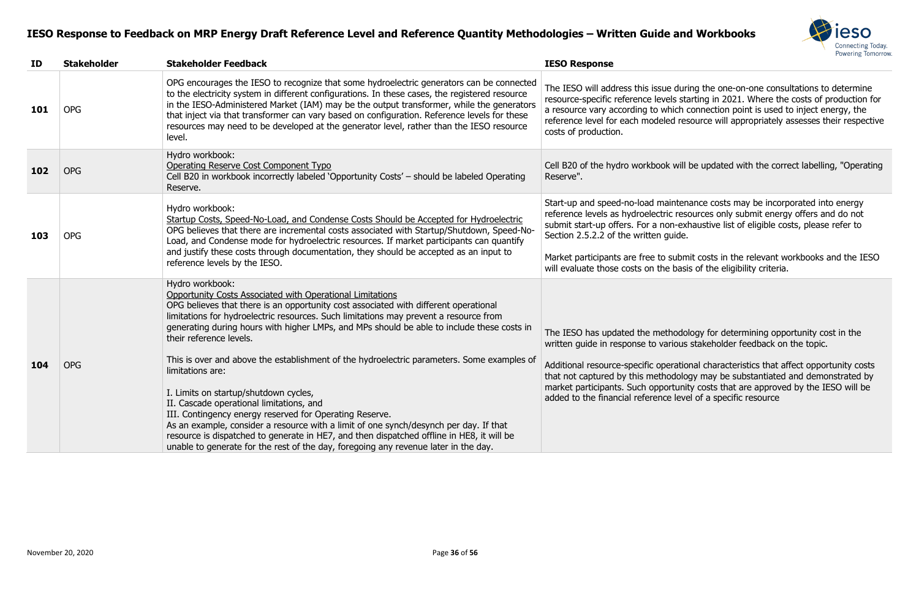

during the one-on-one consultations to determine resource-specific starting in 2021. Where the costs of production for ich connection point is used to inject energy, the resource will appropriately assesses their respective

will be updated with the correct labelling, "Operating

ntenance costs may be incorporated into energy resources only submit energy offers and do not i-exhaustive list of eligible costs, please refer to<br>ide.

abmit costs in the relevant workbooks and the IESO basis of the eligibility criteria.

odology for determining opportunity cost in the ous stakeholder feedback on the topic.

ational characteristics that affect opportunity costs tology may be substantiated and demonstrated by unity costs that are approved by the IESO will be level of a specific resource

| ID  | <b>Stakeholder</b> | <b>Stakeholder Feedback</b>                                                                                                                                                                                                                                                                                                                                                                                                                                                                                                                                                                                                                                                                                                                                                                                                                                                                                                           | <b>IESO Response</b>                                                                                                                                                                                                                          |
|-----|--------------------|---------------------------------------------------------------------------------------------------------------------------------------------------------------------------------------------------------------------------------------------------------------------------------------------------------------------------------------------------------------------------------------------------------------------------------------------------------------------------------------------------------------------------------------------------------------------------------------------------------------------------------------------------------------------------------------------------------------------------------------------------------------------------------------------------------------------------------------------------------------------------------------------------------------------------------------|-----------------------------------------------------------------------------------------------------------------------------------------------------------------------------------------------------------------------------------------------|
| 101 | <b>OPG</b>         | OPG encourages the IESO to recognize that some hydroelectric generators can be connected<br>to the electricity system in different configurations. In these cases, the registered resource<br>in the IESO-Administered Market (IAM) may be the output transformer, while the generators<br>that inject via that transformer can vary based on configuration. Reference levels for these<br>resources may need to be developed at the generator level, rather than the IESO resource<br>level.                                                                                                                                                                                                                                                                                                                                                                                                                                         | The IESO will address this issue duri<br>resource-specific reference levels sta<br>a resource vary according to which o<br>reference level for each modeled res<br>costs of production.                                                       |
| 102 | <b>OPG</b>         | Hydro workbook:<br>Operating Reserve Cost Component Typo<br>Cell B20 in workbook incorrectly labeled 'Opportunity Costs' - should be labeled Operating<br>Reserve.                                                                                                                                                                                                                                                                                                                                                                                                                                                                                                                                                                                                                                                                                                                                                                    | Cell B20 of the hydro workbook will<br>Reserve".                                                                                                                                                                                              |
| 103 | <b>OPG</b>         | Hydro workbook:<br>Startup Costs, Speed-No-Load, and Condense Costs Should be Accepted for Hydroelectric<br>OPG believes that there are incremental costs associated with Startup/Shutdown, Speed-No-<br>Load, and Condense mode for hydroelectric resources. If market participants can quantify<br>and justify these costs through documentation, they should be accepted as an input to<br>reference levels by the IESO.                                                                                                                                                                                                                                                                                                                                                                                                                                                                                                           | Start-up and speed-no-load mainten<br>reference levels as hydroelectric res<br>submit start-up offers. For a non-ex<br>Section 2.5.2.2 of the written guide.<br>Market participants are free to subm<br>will evaluate those costs on the basi |
| 104 | <b>OPG</b>         | Hydro workbook:<br>Opportunity Costs Associated with Operational Limitations<br>OPG believes that there is an opportunity cost associated with different operational<br>limitations for hydroelectric resources. Such limitations may prevent a resource from<br>generating during hours with higher LMPs, and MPs should be able to include these costs in<br>their reference levels.<br>This is over and above the establishment of the hydroelectric parameters. Some examples of<br>limitations are:<br>I. Limits on startup/shutdown cycles,<br>II. Cascade operational limitations, and<br>III. Contingency energy reserved for Operating Reserve.<br>As an example, consider a resource with a limit of one synch/desynch per day. If that<br>resource is dispatched to generate in HE7, and then dispatched offline in HE8, it will be<br>unable to generate for the rest of the day, foregoing any revenue later in the day. | The IESO has updated the methodo<br>written guide in response to various<br>Additional resource-specific operatio<br>that not captured by this methodolo<br>market participants. Such opportunit<br>added to the financial reference leve     |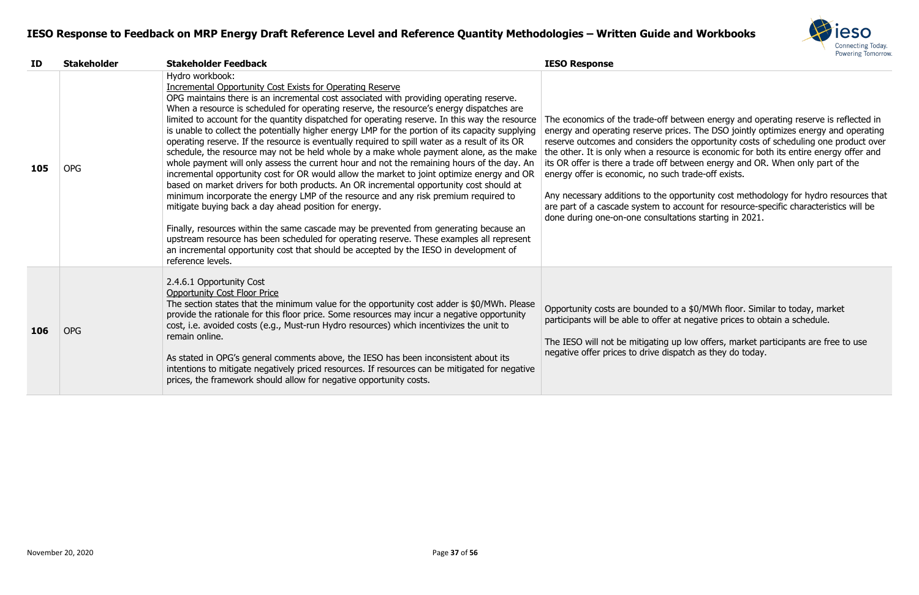

between energy and operating reserve is reflected in ices. The DSO jointly optimizes energy and operating the opportunity costs of scheduling one product over  $t$  is economic for both its entire energy offer and between energy and OR. When only part of the ch trade-off exists.

ppportunity cost methodology for hydro resources that account for resource-specific characteristics will be ations starting in 2021.

to a \$0/MWh floor. Similar to today, market at negative prices to obtain a schedule.

Ip low offers, market participants are free to use patch as they do today.

| ID  | <b>Stakeholder</b> | <b>Stakeholder Feedback</b>                                                                                                                                                                                                                                                                                                                                                                                                                                                                                                                                                                                                                                                                                                                                                                                                                                                                                                                                                                                                                                                                                                                                                                                                                                                                                                                                                                                              | <b>IESO Response</b>                                                                                                                                                                                                                                                                                                                   |
|-----|--------------------|--------------------------------------------------------------------------------------------------------------------------------------------------------------------------------------------------------------------------------------------------------------------------------------------------------------------------------------------------------------------------------------------------------------------------------------------------------------------------------------------------------------------------------------------------------------------------------------------------------------------------------------------------------------------------------------------------------------------------------------------------------------------------------------------------------------------------------------------------------------------------------------------------------------------------------------------------------------------------------------------------------------------------------------------------------------------------------------------------------------------------------------------------------------------------------------------------------------------------------------------------------------------------------------------------------------------------------------------------------------------------------------------------------------------------|----------------------------------------------------------------------------------------------------------------------------------------------------------------------------------------------------------------------------------------------------------------------------------------------------------------------------------------|
| 105 | <b>OPG</b>         | Hydro workbook:<br><b>Incremental Opportunity Cost Exists for Operating Reserve</b><br>OPG maintains there is an incremental cost associated with providing operating reserve.<br>When a resource is scheduled for operating reserve, the resource's energy dispatches are<br>limited to account for the quantity dispatched for operating reserve. In this way the resource<br>is unable to collect the potentially higher energy LMP for the portion of its capacity supplying<br>operating reserve. If the resource is eventually required to spill water as a result of its OR<br>schedule, the resource may not be held whole by a make whole payment alone, as the make<br>whole payment will only assess the current hour and not the remaining hours of the day. An<br>incremental opportunity cost for OR would allow the market to joint optimize energy and OR<br>based on market drivers for both products. An OR incremental opportunity cost should at<br>minimum incorporate the energy LMP of the resource and any risk premium required to<br>mitigate buying back a day ahead position for energy.<br>Finally, resources within the same cascade may be prevented from generating because an<br>upstream resource has been scheduled for operating reserve. These examples all represent<br>an incremental opportunity cost that should be accepted by the IESO in development of<br>reference levels. | The economics of the trade-off b<br>energy and operating reserve pri<br>reserve outcomes and considers<br>the other. It is only when a resour<br>its OR offer is there a trade off b<br>energy offer is economic, no sucl<br>Any necessary additions to the of<br>are part of a cascade system to a<br>done during one-on-one consulta |
| 106 | <b>OPG</b>         | 2.4.6.1 Opportunity Cost<br><b>Opportunity Cost Floor Price</b><br>The section states that the minimum value for the opportunity cost adder is \$0/MWh. Please<br>provide the rationale for this floor price. Some resources may incur a negative opportunity<br>cost, i.e. avoided costs (e.g., Must-run Hydro resources) which incentivizes the unit to<br>remain online.<br>As stated in OPG's general comments above, the IESO has been inconsistent about its<br>intentions to mitigate negatively priced resources. If resources can be mitigated for negative<br>prices, the framework should allow for negative opportunity costs.                                                                                                                                                                                                                                                                                                                                                                                                                                                                                                                                                                                                                                                                                                                                                                               | Opportunity costs are bounded to<br>participants will be able to offer a<br>The IESO will not be mitigating u<br>negative offer prices to drive disp                                                                                                                                                                                   |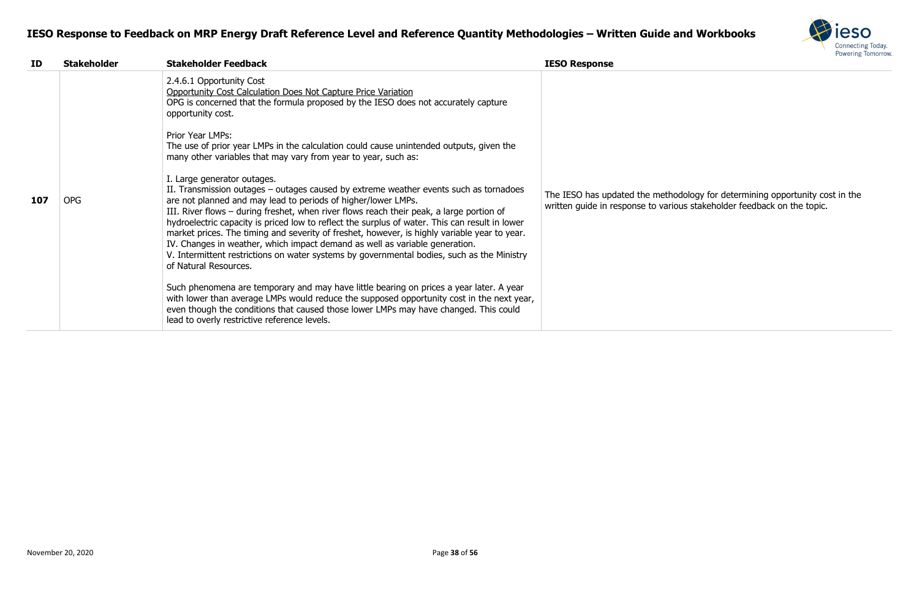

| ID  | <b>Stakeholder</b> | <b>Stakeholder Feedback</b>                                                                                                                                                                                                                                                                                                                                                                                                                                                                                                                                                                                                                                                                                                                                                  | <b>IESO Response</b>                                                 |
|-----|--------------------|------------------------------------------------------------------------------------------------------------------------------------------------------------------------------------------------------------------------------------------------------------------------------------------------------------------------------------------------------------------------------------------------------------------------------------------------------------------------------------------------------------------------------------------------------------------------------------------------------------------------------------------------------------------------------------------------------------------------------------------------------------------------------|----------------------------------------------------------------------|
| 107 | <b>OPG</b>         | 2.4.6.1 Opportunity Cost<br>Opportunity Cost Calculation Does Not Capture Price Variation<br>OPG is concerned that the formula proposed by the IESO does not accurately capture<br>opportunity cost.<br>Prior Year LMPs:<br>The use of prior year LMPs in the calculation could cause unintended outputs, given the<br>many other variables that may vary from year to year, such as:<br>I. Large generator outages.<br>II. Transmission outages - outages caused by extreme weather events such as tornadoes<br>are not planned and may lead to periods of higher/lower LMPs.<br>III. River flows – during freshet, when river flows reach their peak, a large portion of<br>hydroelectric capacity is priced low to reflect the surplus of water. This can result in lower | The IESO has updated the metho<br>written guide in response to vario |
|     |                    | market prices. The timing and severity of freshet, however, is highly variable year to year.<br>IV. Changes in weather, which impact demand as well as variable generation.<br>V. Intermittent restrictions on water systems by governmental bodies, such as the Ministry<br>of Natural Resources.                                                                                                                                                                                                                                                                                                                                                                                                                                                                           |                                                                      |
|     |                    | Such phenomena are temporary and may have little bearing on prices a year later. A year<br>with lower than average LMPs would reduce the supposed opportunity cost in the next year,<br>even though the conditions that caused those lower LMPs may have changed. This could<br>lead to overly restrictive reference levels.                                                                                                                                                                                                                                                                                                                                                                                                                                                 |                                                                      |

The IESO has updated the methodology for determining opportunity cost in the written guide in response to various stakeholder feedback on the topic.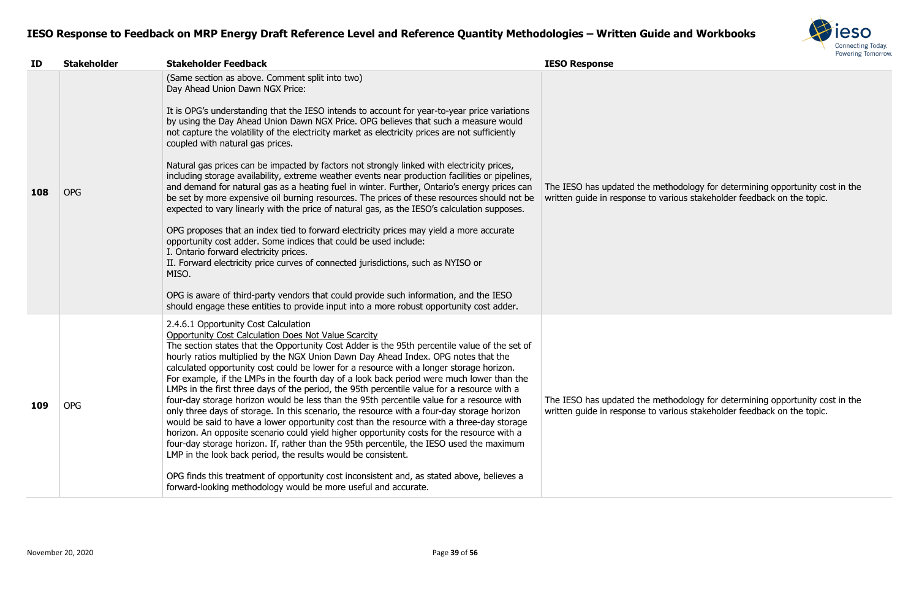

| ID  | <b>Stakeholder</b> | <b>Stakeholder Feedback</b>                                                                                                                                                                                                                                                                                                                                                                                                                                                                                                                                                                                                                                                                                                                                                                                                                                                                                                                                                                                                                                                                                                                                                                                                                                                                                                                                                                                  | <b>IESO Response</b>                                                 |
|-----|--------------------|--------------------------------------------------------------------------------------------------------------------------------------------------------------------------------------------------------------------------------------------------------------------------------------------------------------------------------------------------------------------------------------------------------------------------------------------------------------------------------------------------------------------------------------------------------------------------------------------------------------------------------------------------------------------------------------------------------------------------------------------------------------------------------------------------------------------------------------------------------------------------------------------------------------------------------------------------------------------------------------------------------------------------------------------------------------------------------------------------------------------------------------------------------------------------------------------------------------------------------------------------------------------------------------------------------------------------------------------------------------------------------------------------------------|----------------------------------------------------------------------|
| 108 | <b>OPG</b>         | (Same section as above. Comment split into two)<br>Day Ahead Union Dawn NGX Price:<br>It is OPG's understanding that the IESO intends to account for year-to-year price variations<br>by using the Day Ahead Union Dawn NGX Price. OPG believes that such a measure would<br>not capture the volatility of the electricity market as electricity prices are not sufficiently<br>coupled with natural gas prices.<br>Natural gas prices can be impacted by factors not strongly linked with electricity prices,<br>including storage availability, extreme weather events near production facilities or pipelines,<br>and demand for natural gas as a heating fuel in winter. Further, Ontario's energy prices can<br>be set by more expensive oil burning resources. The prices of these resources should not be<br>expected to vary linearly with the price of natural gas, as the IESO's calculation supposes.<br>OPG proposes that an index tied to forward electricity prices may yield a more accurate<br>opportunity cost adder. Some indices that could be used include:<br>I. Ontario forward electricity prices.<br>II. Forward electricity price curves of connected jurisdictions, such as NYISO or<br>MISO.<br>OPG is aware of third-party vendors that could provide such information, and the IESO<br>should engage these entities to provide input into a more robust opportunity cost adder. | The IESO has updated the meth<br>written guide in response to varie  |
| 109 | <b>OPG</b>         | 2.4.6.1 Opportunity Cost Calculation<br><b>Opportunity Cost Calculation Does Not Value Scarcity</b><br>The section states that the Opportunity Cost Adder is the 95th percentile value of the set of<br>hourly ratios multiplied by the NGX Union Dawn Day Ahead Index. OPG notes that the<br>calculated opportunity cost could be lower for a resource with a longer storage horizon.<br>For example, if the LMPs in the fourth day of a look back period were much lower than the<br>LMPs in the first three days of the period, the 95th percentile value for a resource with a<br>four-day storage horizon would be less than the 95th percentile value for a resource with<br>only three days of storage. In this scenario, the resource with a four-day storage horizon<br>would be said to have a lower opportunity cost than the resource with a three-day storage<br>horizon. An opposite scenario could yield higher opportunity costs for the resource with a<br>four-day storage horizon. If, rather than the 95th percentile, the IESO used the maximum<br>LMP in the look back period, the results would be consistent.<br>OPG finds this treatment of opportunity cost inconsistent and, as stated above, believes a<br>forward-looking methodology would be more useful and accurate.                                                                                                        | The IESO has updated the methe<br>written guide in response to varie |

#### The IESO has updated the methodology for determining opportunity cost in the written guide in response to various stakeholder feedback on the topic.

nodology for determining opportunity cost in the weiting, in the stamming uppertunity of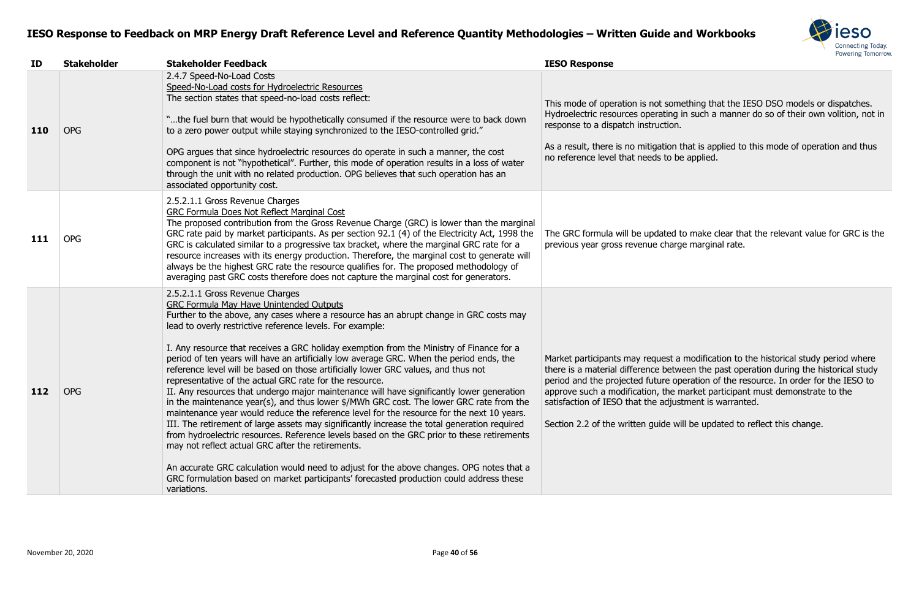

Imething that the IESO DSO models or dispatches. g in such a manner do so of their own volition, not in

n that is applied to this mode of operation and thus be applied.

d to make clear that the relevant value for GRC is the arge marginal rate.

a modification to the historical study period where tween the past operation during the historical study operation of the resource. In order for the IESO to alprove frontant a modification and the market participant must demonstrate to the ustment is warranted.

will be updated to reflect this change.

| ID  | <b>Stakeholder</b> | <b>Stakeholder Feedback</b>                                                                                                                                                                                                                                                                                                                                                                                                                                                                                                                                                                                                                                                                                                                                                                                                                                                                                                                                                                                                                                                                                                                                                                                                                                                                                                     | <b>IESO Response</b>                                                                                                                                                                                                                   |
|-----|--------------------|---------------------------------------------------------------------------------------------------------------------------------------------------------------------------------------------------------------------------------------------------------------------------------------------------------------------------------------------------------------------------------------------------------------------------------------------------------------------------------------------------------------------------------------------------------------------------------------------------------------------------------------------------------------------------------------------------------------------------------------------------------------------------------------------------------------------------------------------------------------------------------------------------------------------------------------------------------------------------------------------------------------------------------------------------------------------------------------------------------------------------------------------------------------------------------------------------------------------------------------------------------------------------------------------------------------------------------|----------------------------------------------------------------------------------------------------------------------------------------------------------------------------------------------------------------------------------------|
| 110 | <b>OPG</b>         | 2.4.7 Speed-No-Load Costs<br>Speed-No-Load costs for Hydroelectric Resources<br>The section states that speed-no-load costs reflect:<br>"the fuel burn that would be hypothetically consumed if the resource were to back down<br>to a zero power output while staying synchronized to the IESO-controlled grid."                                                                                                                                                                                                                                                                                                                                                                                                                                                                                                                                                                                                                                                                                                                                                                                                                                                                                                                                                                                                               | This mode of operation is not some<br>Hydroelectric resources operating in<br>response to a dispatch instruction.                                                                                                                      |
|     |                    | OPG argues that since hydroelectric resources do operate in such a manner, the cost<br>component is not "hypothetical". Further, this mode of operation results in a loss of water<br>through the unit with no related production. OPG believes that such operation has an<br>associated opportunity cost.                                                                                                                                                                                                                                                                                                                                                                                                                                                                                                                                                                                                                                                                                                                                                                                                                                                                                                                                                                                                                      | As a result, there is no mitigation th<br>no reference level that needs to be                                                                                                                                                          |
| 111 | <b>OPG</b>         | 2.5.2.1.1 Gross Revenue Charges<br><b>GRC Formula Does Not Reflect Marginal Cost</b><br>The proposed contribution from the Gross Revenue Charge (GRC) is lower than the marginal<br>GRC rate paid by market participants. As per section 92.1 (4) of the Electricity Act, 1998 the<br>GRC is calculated similar to a progressive tax bracket, where the marginal GRC rate for a<br>resource increases with its energy production. Therefore, the marginal cost to generate will<br>always be the highest GRC rate the resource qualifies for. The proposed methodology of<br>averaging past GRC costs therefore does not capture the marginal cost for generators.                                                                                                                                                                                                                                                                                                                                                                                                                                                                                                                                                                                                                                                              | The GRC formula will be updated to<br>previous year gross revenue charge                                                                                                                                                               |
| 112 | <b>OPG</b>         | 2.5.2.1.1 Gross Revenue Charges<br><b>GRC Formula May Have Unintended Outputs</b><br>Further to the above, any cases where a resource has an abrupt change in GRC costs may<br>lead to overly restrictive reference levels. For example:<br>I. Any resource that receives a GRC holiday exemption from the Ministry of Finance for a<br>period of ten years will have an artificially low average GRC. When the period ends, the<br>reference level will be based on those artificially lower GRC values, and thus not<br>representative of the actual GRC rate for the resource.<br>II. Any resources that undergo major maintenance will have significantly lower generation<br>in the maintenance year(s), and thus lower \$/MWh GRC cost. The lower GRC rate from the<br>maintenance year would reduce the reference level for the resource for the next 10 years.<br>III. The retirement of large assets may significantly increase the total generation required<br>from hydroelectric resources. Reference levels based on the GRC prior to these retirements<br>may not reflect actual GRC after the retirements.<br>An accurate GRC calculation would need to adjust for the above changes. OPG notes that a<br>GRC formulation based on market participants' forecasted production could address these<br>variations. | Market participants may request a<br>there is a material difference betwe<br>period and the projected future ope<br>approve such a modification, the m<br>satisfaction of IESO that the adjust<br>Section 2.2 of the written guide wil |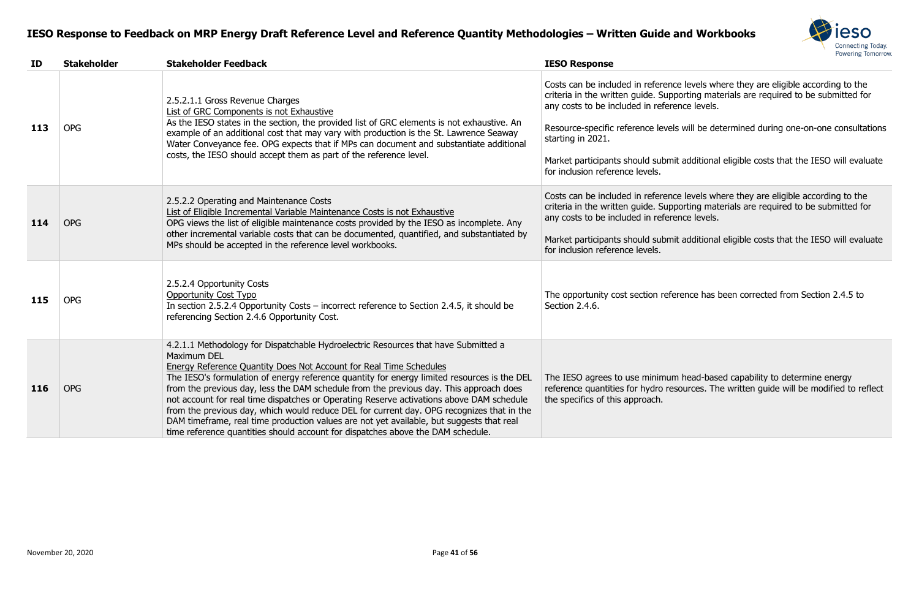| November 20, 2020 | Page 41 of 56 |
|-------------------|---------------|
|-------------------|---------------|

Costs can be included in reference levels where they are eligible according to the criteria in the written guide. Supporting materials are required to be submitted for rence levels.

els will be determined during one-on-one consultations

mit additional eligible costs that the IESO will evaluate

nce levels where they are eligible according to the pporting materials are required to be submitted for rence levels.

mit additional eligible costs that the IESO will evaluate

ference has been corrected from Section 2.4.5 to

Im head-based capability to determine energy resources. The written guide will be modified to reflect

# **ID Stakeholder Stakeholder Feedback IESO Response 1**: 2.5.2.1.1 Gross Revenue Charges List of GRC Components is not Exhaustive As the IESO states in the section, the provided list of GRC elements is not exhaustive. An example of an additional cost that may vary with production is the St. Lawrence Seaway Water Conveyance fee. OPG expects that if MPs can document and substantiate additional costs, the IESO should accept them as part of the reference level. starting in 2021. for inclusion reference levels.

| 113 | <b>OPG</b> | 2.5.2.1.1 Gross Revenue Charges<br>List of GRC Components is not Exhaustive<br>As the IESO states in the section, the provided list of GRC elements is not exhaustive. An<br>example of an additional cost that may vary with production is the St. Lawrence Seaway<br>Water Conveyance fee. OPG expects that if MPs can document and substantiate additional<br>costs, the IESO should accept them as part of the reference level.                                                                                                                                                                                                                                                                                                             | criteria in the written guide. Sup<br>any costs to be included in refer<br>Resource-specific reference leve<br>starting in 2021.<br>Market participants should subn<br>for inclusion reference levels. |
|-----|------------|-------------------------------------------------------------------------------------------------------------------------------------------------------------------------------------------------------------------------------------------------------------------------------------------------------------------------------------------------------------------------------------------------------------------------------------------------------------------------------------------------------------------------------------------------------------------------------------------------------------------------------------------------------------------------------------------------------------------------------------------------|--------------------------------------------------------------------------------------------------------------------------------------------------------------------------------------------------------|
| 114 | <b>OPG</b> | 2.5.2.2 Operating and Maintenance Costs<br>List of Eligible Incremental Variable Maintenance Costs is not Exhaustive<br>OPG views the list of eligible maintenance costs provided by the IESO as incomplete. Any<br>other incremental variable costs that can be documented, quantified, and substantiated by<br>MPs should be accepted in the reference level workbooks.                                                                                                                                                                                                                                                                                                                                                                       | Costs can be included in referer<br>criteria in the written guide. Sup<br>any costs to be included in refer<br>Market participants should subn<br>for inclusion reference levels.                      |
| 115 | <b>OPG</b> | 2.5.2.4 Opportunity Costs<br><b>Opportunity Cost Typo</b><br>In section 2.5.2.4 Opportunity Costs – incorrect reference to Section 2.4.5, it should be<br>referencing Section 2.4.6 Opportunity Cost.                                                                                                                                                                                                                                                                                                                                                                                                                                                                                                                                           | The opportunity cost section ref<br>Section 2.4.6.                                                                                                                                                     |
| 116 | <b>OPG</b> | 4.2.1.1 Methodology for Dispatchable Hydroelectric Resources that have Submitted a<br>Maximum DEL<br><b>Energy Reference Quantity Does Not Account for Real Time Schedules</b><br>The IESO's formulation of energy reference quantity for energy limited resources is the DEL<br>from the previous day, less the DAM schedule from the previous day. This approach does<br>not account for real time dispatches or Operating Reserve activations above DAM schedule<br>from the previous day, which would reduce DEL for current day. OPG recognizes that in the<br>DAM timeframe, real time production values are not yet available, but suggests that real<br>time reference quantities should account for dispatches above the DAM schedule. | The IESO agrees to use minimu<br>reference quantities for hydro re<br>the specifics of this approach.                                                                                                  |

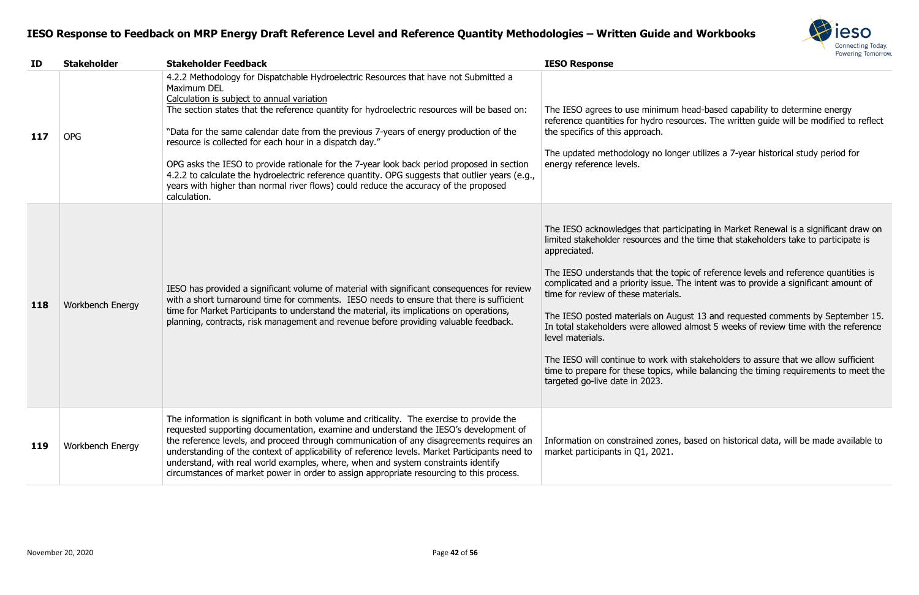

#### m head-based capability to determine energy sources. The written guide will be modified to reflect

nger utilizes a 7-year historical study period for

ticipating in Market Renewal is a significant draw on d the time that stakeholders take to participate is

topic of reference levels and reference quantities is The intent was to provide a significant amount of

Igust 13 and requested comments by September 15. In total most 5 weeks of review time with the reference

ith stakeholders to assure that we allow sufficient while balancing the timing requirements to meet the

es, based on historical data, will be made available to

| ID  | <b>Stakeholder</b>      | <b>Stakeholder Feedback</b>                                                                                                                                                                                                                                                                                                                                                                                                                                                                                                                                                                                                                                                                                     | <b>IESO Response</b>                                                                                                                                                                                                                                                                                                                                                                                                        |
|-----|-------------------------|-----------------------------------------------------------------------------------------------------------------------------------------------------------------------------------------------------------------------------------------------------------------------------------------------------------------------------------------------------------------------------------------------------------------------------------------------------------------------------------------------------------------------------------------------------------------------------------------------------------------------------------------------------------------------------------------------------------------|-----------------------------------------------------------------------------------------------------------------------------------------------------------------------------------------------------------------------------------------------------------------------------------------------------------------------------------------------------------------------------------------------------------------------------|
| 117 | <b>OPG</b>              | 4.2.2 Methodology for Dispatchable Hydroelectric Resources that have not Submitted a<br>Maximum DEL<br>Calculation is subject to annual variation<br>The section states that the reference quantity for hydroelectric resources will be based on:<br>"Data for the same calendar date from the previous 7-years of energy production of the<br>resource is collected for each hour in a dispatch day."<br>OPG asks the IESO to provide rationale for the 7-year look back period proposed in section<br>4.2.2 to calculate the hydroelectric reference quantity. OPG suggests that outlier years (e.g.,<br>years with higher than normal river flows) could reduce the accuracy of the proposed<br>calculation. | The IESO agrees to use minimum h<br>reference quantities for hydro resor<br>the specifics of this approach.<br>The updated methodology no longe<br>energy reference levels.                                                                                                                                                                                                                                                 |
| 118 | <b>Workbench Energy</b> | IESO has provided a significant volume of material with significant consequences for review<br>with a short turnaround time for comments. IESO needs to ensure that there is sufficient<br>time for Market Participants to understand the material, its implications on operations,<br>planning, contracts, risk management and revenue before providing valuable feedback.                                                                                                                                                                                                                                                                                                                                     | The IESO acknowledges that partic<br>limited stakeholder resources and t<br>appreciated.<br>The IESO understands that the top<br>complicated and a priority issue. Th<br>time for review of these materials.<br>The IESO posted materials on Augu<br>In total stakeholders were allowed<br>level materials.<br>The IESO will continue to work with<br>time to prepare for these topics, w<br>targeted go-live date in 2023. |
| 119 | Workbench Energy        | The information is significant in both volume and criticality. The exercise to provide the<br>requested supporting documentation, examine and understand the IESO's development of<br>the reference levels, and proceed through communication of any disagreements requires an<br>understanding of the context of applicability of reference levels. Market Participants need to<br>understand, with real world examples, where, when and system constraints identify<br>circumstances of market power in order to assign appropriate resourcing to this process.                                                                                                                                               | Information on constrained zones,<br>market participants in Q1, 2021.                                                                                                                                                                                                                                                                                                                                                       |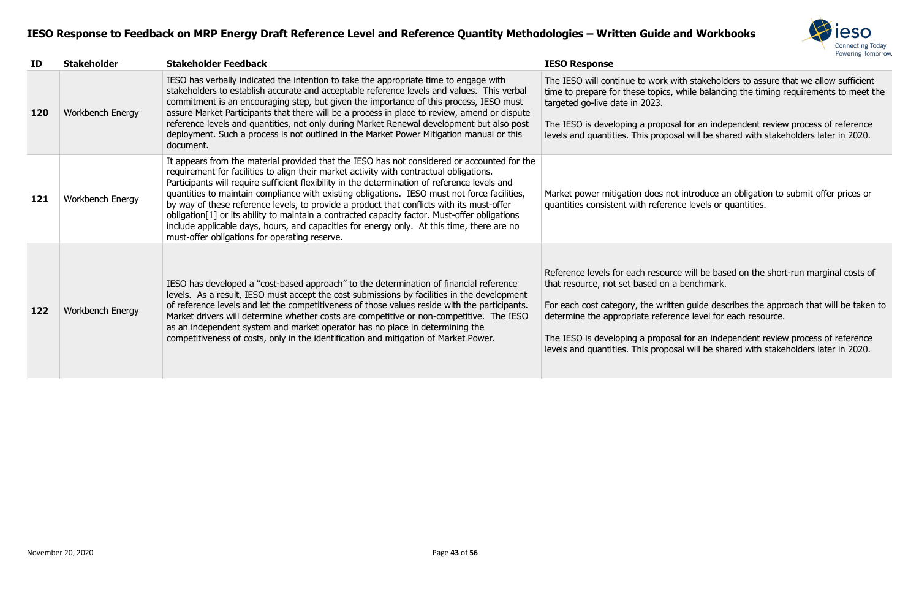

vith stakeholders to assure that we allow sufficient while balancing the timing requirements to meet the

al for an independent review process of reference sal will be shared with stakeholders later in 2020.

ot introduce an obligation to submit offer prices or nce levels or quantities.

ce will be based on the short-run marginal costs of benchmark.

en guide describes the approach that will be taken to nce level for each resource.

al for an independent review process of reference sal will be shared with stakeholders later in 2020.

| ID  | <b>Stakeholder</b>      | <b>Stakeholder Feedback</b>                                                                                                                                                                                                                                                                                                                                                                                                                                                                                                                                                                                                                                                                                                          | <b>IESO Response</b>                                                                                                                                                                                                       |
|-----|-------------------------|--------------------------------------------------------------------------------------------------------------------------------------------------------------------------------------------------------------------------------------------------------------------------------------------------------------------------------------------------------------------------------------------------------------------------------------------------------------------------------------------------------------------------------------------------------------------------------------------------------------------------------------------------------------------------------------------------------------------------------------|----------------------------------------------------------------------------------------------------------------------------------------------------------------------------------------------------------------------------|
| 120 | <b>Workbench Energy</b> | IESO has verbally indicated the intention to take the appropriate time to engage with<br>stakeholders to establish accurate and acceptable reference levels and values. This verbal<br>commitment is an encouraging step, but given the importance of this process, IESO must<br>assure Market Participants that there will be a process in place to review, amend or dispute<br>reference levels and quantities, not only during Market Renewal development but also post<br>deployment. Such a process is not outlined in the Market Power Mitigation manual or this<br>document.                                                                                                                                                  | The IESO will continue to work w<br>time to prepare for these topics,<br>targeted go-live date in 2023.<br>The IESO is developing a proposa<br>levels and quantities. This propos                                          |
| 121 | Workbench Energy        | It appears from the material provided that the IESO has not considered or accounted for the<br>requirement for facilities to align their market activity with contractual obligations.<br>Participants will require sufficient flexibility in the determination of reference levels and<br>quantities to maintain compliance with existing obligations. IESO must not force facilities,<br>by way of these reference levels, to provide a product that conflicts with its must-offer<br>obligation[1] or its ability to maintain a contracted capacity factor. Must-offer obligations<br>include applicable days, hours, and capacities for energy only. At this time, there are no<br>must-offer obligations for operating reserve. | Market power mitigation does no<br>quantities consistent with referer                                                                                                                                                      |
| 122 | Workbench Energy        | IESO has developed a "cost-based approach" to the determination of financial reference<br>levels. As a result, IESO must accept the cost submissions by facilities in the development<br>of reference levels and let the competitiveness of those values reside with the participants.<br>Market drivers will determine whether costs are competitive or non-competitive. The IESO<br>as an independent system and market operator has no place in determining the<br>competitiveness of costs, only in the identification and mitigation of Market Power.                                                                                                                                                                           | Reference levels for each resourd<br>that resource, not set based on a<br>For each cost category, the writte<br>determine the appropriate refere<br>The IESO is developing a proposa<br>levels and quantities. This propos |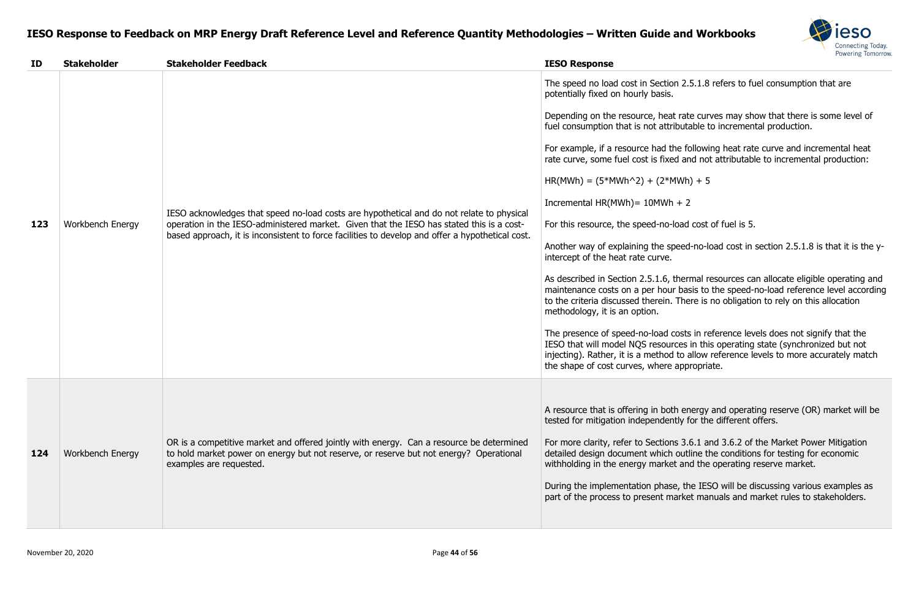

on 2.5.1.8 refers to fuel consumption that are

no tate curves may show that there is some level of ibutable to incremental production.

he following heat rate curve and incremental heat rate and not attributable to incremental production:

 $4Wh$ ) + 5

load cost of fuel is 5.

beed-no-load cost in section 2.5.1.8 is that it is the y-

thermal resources can allocate eligible operating and basis to the speed-no-load reference level according There is no obligation to rely on this allocation

costs in reference levels does not signify that the rces in this operating state (synchronized but not I to allow reference levels to more accurately match appropriate.

h energy and operating reserve (OR) market will be tly for the different offers.

Is 3.6.1 and 3.6.2 of the Market Power Mitigation outline the conditions for testing for economic t and the operating reserve market.

e, the IESO will be discussing various examples as arket manuals and market rules to stakeholders.

| ID  | <b>Stakeholder</b>      | <b>Stakeholder Feedback</b>                                                                                                                                                                                                                                                                | <b>IESO Response</b>                                                                                                                                                                                                                                                                                                                                                                                                                                                                                                                                                                                                                                                                                                                                                     |
|-----|-------------------------|--------------------------------------------------------------------------------------------------------------------------------------------------------------------------------------------------------------------------------------------------------------------------------------------|--------------------------------------------------------------------------------------------------------------------------------------------------------------------------------------------------------------------------------------------------------------------------------------------------------------------------------------------------------------------------------------------------------------------------------------------------------------------------------------------------------------------------------------------------------------------------------------------------------------------------------------------------------------------------------------------------------------------------------------------------------------------------|
| 123 | <b>Workbench Energy</b> | IESO acknowledges that speed no-load costs are hypothetical and do not relate to physical<br>operation in the IESO-administered market. Given that the IESO has stated this is a cost-<br>based approach, it is inconsistent to force facilities to develop and offer a hypothetical cost. | The speed no load cost in Section 2.<br>potentially fixed on hourly basis.<br>Depending on the resource, heat rate<br>fuel consumption that is not attribute<br>For example, if a resource had the fo<br>rate curve, some fuel cost is fixed are<br>$HR(MWh) = (5*MWh^2) + (2*MWh)$<br>Incremental HR(MWh) = $10$ MWh + 2<br>For this resource, the speed-no-load<br>Another way of explaining the speed<br>intercept of the heat rate curve.<br>As described in Section 2.5.1.6, then<br>maintenance costs on a per hour base<br>to the criteria discussed therein. The<br>methodology, it is an option.<br>The presence of speed-no-load costs<br>IESO that will model NQS resources<br>injecting). Rather, it is a method to a<br>the shape of cost curves, where app |
| 124 | <b>Workbench Energy</b> | OR is a competitive market and offered jointly with energy. Can a resource be determined<br>to hold market power on energy but not reserve, or reserve but not energy? Operational<br>examples are requested.                                                                              | A resource that is offering in both en<br>tested for mitigation independently f<br>For more clarity, refer to Sections 3.<br>detailed design document which outl<br>withholding in the energy market and<br>During the implementation phase, th<br>part of the process to present marke                                                                                                                                                                                                                                                                                                                                                                                                                                                                                  |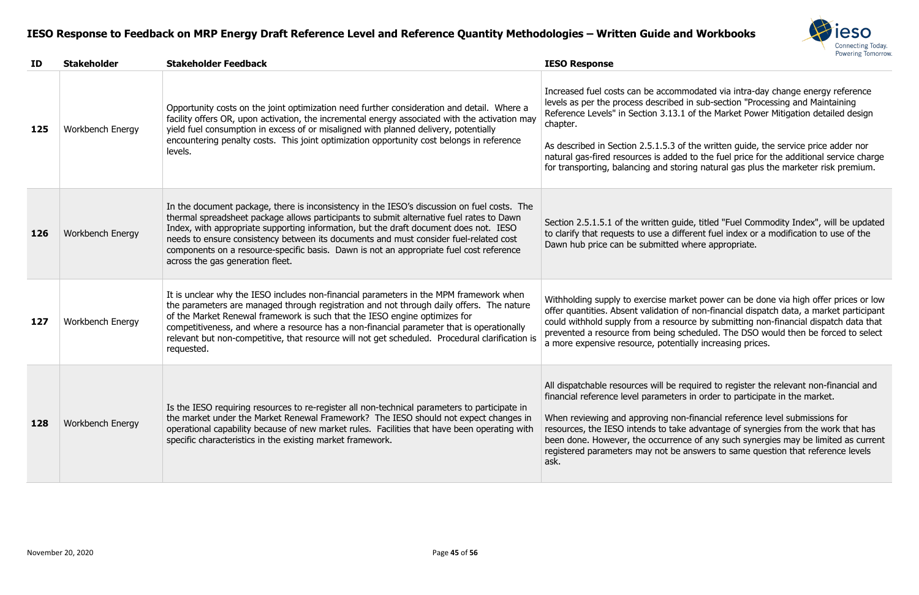

Increased via intra-day change energy reference led in sub-section "Processing and Maintaining 3.1 of the Market Power Mitigation detailed design

of the written guide, the service price adder nor ded to the fuel price for the additional service charge storing natural gas plus the marketer risk premium.

juide, titled "Fuel Commodity Index", will be updated different fuel index or a modification to use of the d where appropriate.

narket power can be done via high offer prices or low In of non-financial dispatch data, a market participant source by submitting non-financial dispatch data that scheduled. The DSO would then be forced to select entially increasing prices.

required to register the relevant non-financial and fiers in order to participate in the market.

on-financial reference level submissions for ake advantage of synergies from the work that has ence of any such synergies may be limited as current registere answers to same question that reference levels

| ID  | <b>Stakeholder</b>      | <b>Stakeholder Feedback</b>                                                                                                                                                                                                                                                                                                                                                                                                                                                                              | <b>IESO Response</b>                                                                                                                                                                                                                      |
|-----|-------------------------|----------------------------------------------------------------------------------------------------------------------------------------------------------------------------------------------------------------------------------------------------------------------------------------------------------------------------------------------------------------------------------------------------------------------------------------------------------------------------------------------------------|-------------------------------------------------------------------------------------------------------------------------------------------------------------------------------------------------------------------------------------------|
| 125 | Workbench Energy        | Opportunity costs on the joint optimization need further consideration and detail. Where a<br>facility offers OR, upon activation, the incremental energy associated with the activation may<br>yield fuel consumption in excess of or misaligned with planned delivery, potentially<br>encountering penalty costs. This joint optimization opportunity cost belongs in reference<br>levels.                                                                                                             | Increased fuel costs can be accor<br>levels as per the process describe<br>Reference Levels" in Section 3.13<br>chapter.<br>As described in Section 2.5.1.5.3<br>natural gas-fired resources is add<br>for transporting, balancing and st |
| 126 | <b>Workbench Energy</b> | In the document package, there is inconsistency in the IESO's discussion on fuel costs. The<br>thermal spreadsheet package allows participants to submit alternative fuel rates to Dawn<br>Index, with appropriate supporting information, but the draft document does not. IESO<br>needs to ensure consistency between its documents and must consider fuel-related cost<br>components on a resource-specific basis. Dawn is not an appropriate fuel cost reference<br>across the gas generation fleet. | Section 2.5.1.5.1 of the written of<br>to clarify that requests to use a c<br>Dawn hub price can be submitted                                                                                                                             |
| 127 | <b>Workbench Energy</b> | It is unclear why the IESO includes non-financial parameters in the MPM framework when<br>the parameters are managed through registration and not through daily offers. The nature<br>of the Market Renewal framework is such that the IESO engine optimizes for<br>competitiveness, and where a resource has a non-financial parameter that is operationally<br>relevant but non-competitive, that resource will not get scheduled. Procedural clarification is<br>requested.                           | Withholding supply to exercise m<br>offer quantities. Absent validation<br>could withhold supply from a res<br>prevented a resource from being<br>a more expensive resource, pote                                                         |
| 128 | <b>Workbench Energy</b> | Is the IESO requiring resources to re-register all non-technical parameters to participate in<br>the market under the Market Renewal Framework? The IESO should not expect changes in<br>operational capability because of new market rules. Facilities that have been operating with<br>specific characteristics in the existing market framework.                                                                                                                                                      | All dispatchable resources will be<br>financial reference level parameter<br>When reviewing and approving n<br>resources, the IESO intends to ta<br>been done. However, the occurre<br>registered parameters may not b<br>ask.            |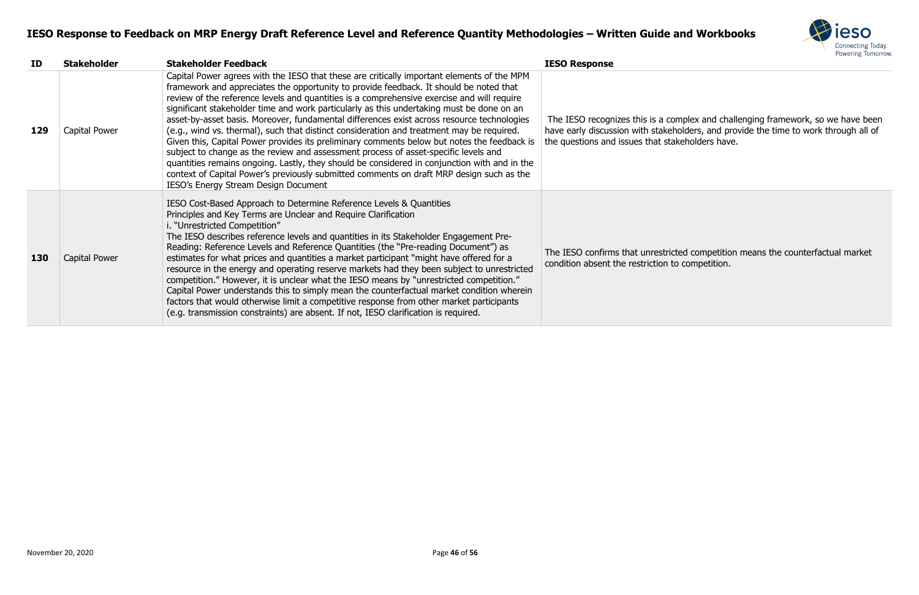

omplex and challenging framework, so we have been holders, and provide the time to work through all of akeholders have.

cted competition means the counterfactual market to competition.

| ID  | <b>Stakeholder</b> | <b>Stakeholder Feedback</b>                                                                                                                                                                                                                                                                                                                                                                                                                                                                                                                                                                                                                                                                                                                                                                                                                                                                                                                                                                          | <b>IESO Response</b>                                                                                       |
|-----|--------------------|------------------------------------------------------------------------------------------------------------------------------------------------------------------------------------------------------------------------------------------------------------------------------------------------------------------------------------------------------------------------------------------------------------------------------------------------------------------------------------------------------------------------------------------------------------------------------------------------------------------------------------------------------------------------------------------------------------------------------------------------------------------------------------------------------------------------------------------------------------------------------------------------------------------------------------------------------------------------------------------------------|------------------------------------------------------------------------------------------------------------|
| 129 | Capital Power      | Capital Power agrees with the IESO that these are critically important elements of the MPM<br>framework and appreciates the opportunity to provide feedback. It should be noted that<br>review of the reference levels and quantities is a comprehensive exercise and will require<br>significant stakeholder time and work particularly as this undertaking must be done on an<br>asset-by-asset basis. Moreover, fundamental differences exist across resource technologies<br>(e.g., wind vs. thermal), such that distinct consideration and treatment may be required.<br>Given this, Capital Power provides its preliminary comments below but notes the feedback is<br>subject to change as the review and assessment process of asset-specific levels and<br>quantities remains ongoing. Lastly, they should be considered in conjunction with and in the<br>context of Capital Power's previously submitted comments on draft MRP design such as the<br>IESO's Energy Stream Design Document | The IESO recognizes this is a co<br>have early discussion with stakeh<br>the questions and issues that sta |
| 130 | Capital Power      | IESO Cost-Based Approach to Determine Reference Levels & Quantities<br>Principles and Key Terms are Unclear and Require Clarification<br>i. "Unrestricted Competition"<br>The IESO describes reference levels and quantities in its Stakeholder Engagement Pre-<br>Reading: Reference Levels and Reference Quantities (the "Pre-reading Document") as<br>estimates for what prices and quantities a market participant "might have offered for a<br>resource in the energy and operating reserve markets had they been subject to unrestricted<br>competition." However, it is unclear what the IESO means by "unrestricted competition."<br>Capital Power understands this to simply mean the counterfactual market condition wherein<br>factors that would otherwise limit a competitive response from other market participants<br>(e.g. transmission constraints) are absent. If not, IESO clarification is required.                                                                            | The IESO confirms that unrestric<br>condition absent the restriction to                                    |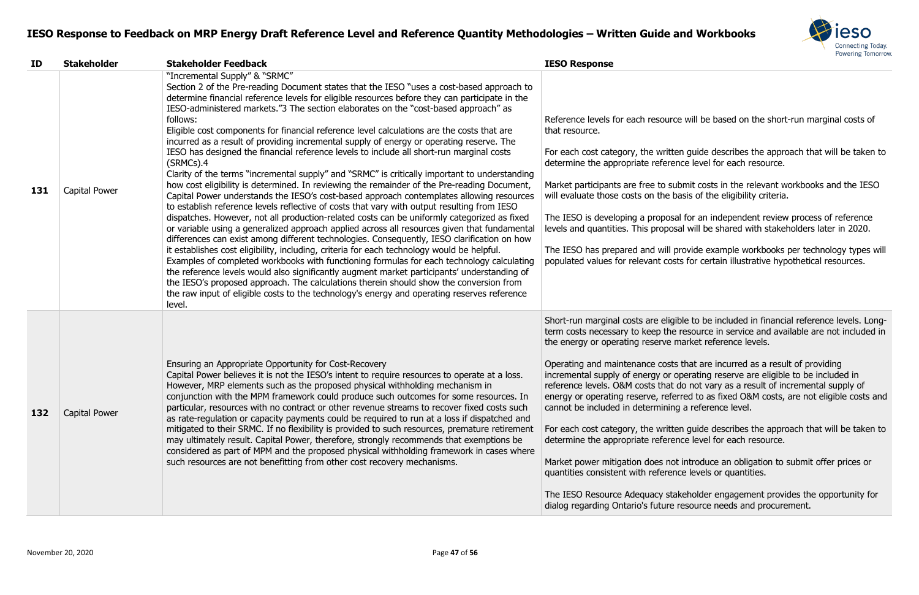

ce will be based on the short-run marginal costs of

en guide describes the approach that will be taken to nce level for each resource.

Ibmit costs in the relevant workbooks and the IESO basis of the eligibility criteria.

al for an independent review process of reference al will be shared with stakeholders later in 2020.

provide example workbooks per technology types will sts for certain illustrative hypothetical resources.

ible to be included in financial reference levels. Longtersource in service and available are not included in market reference levels.

s that are incurred as a result of providing operating reserve are eligible to be included in do not vary as a result of incremental supply of erred to as fixed O&M costs, are not eligible costs and g a reference level.

en guide describes the approach that will be taken to nce level for each resource.

t introduce an obligation to submit offer prices or nce levels or quantities.

akeholder engagement provides the opportunity for resource needs and procurement.

| ID  | <b>Stakeholder</b> | <b>Stakeholder Feedback</b>                                                                                                                                                                                                                                                                                                                                                                                                                                                                                                                                                                                                                                                                                                                                                                                                                                                                                                                                                                                                                                                                                                                                                                                                                                                                                                                                                                                                                                                                                                                                                                                                                                                                                                                                                                                                 | <b>IESO Response</b>                                                                                                                                                                                                                                                                                                                                                                                                                                                                                                            |
|-----|--------------------|-----------------------------------------------------------------------------------------------------------------------------------------------------------------------------------------------------------------------------------------------------------------------------------------------------------------------------------------------------------------------------------------------------------------------------------------------------------------------------------------------------------------------------------------------------------------------------------------------------------------------------------------------------------------------------------------------------------------------------------------------------------------------------------------------------------------------------------------------------------------------------------------------------------------------------------------------------------------------------------------------------------------------------------------------------------------------------------------------------------------------------------------------------------------------------------------------------------------------------------------------------------------------------------------------------------------------------------------------------------------------------------------------------------------------------------------------------------------------------------------------------------------------------------------------------------------------------------------------------------------------------------------------------------------------------------------------------------------------------------------------------------------------------------------------------------------------------|---------------------------------------------------------------------------------------------------------------------------------------------------------------------------------------------------------------------------------------------------------------------------------------------------------------------------------------------------------------------------------------------------------------------------------------------------------------------------------------------------------------------------------|
| 131 | Capital Power      | "Incremental Supply" & "SRMC"<br>Section 2 of the Pre-reading Document states that the IESO "uses a cost-based approach to<br>determine financial reference levels for eligible resources before they can participate in the<br>IESO-administered markets."3 The section elaborates on the "cost-based approach" as<br>follows:<br>Eligible cost components for financial reference level calculations are the costs that are<br>incurred as a result of providing incremental supply of energy or operating reserve. The<br>IESO has designed the financial reference levels to include all short-run marginal costs<br>$(SRMCs)$ .4<br>Clarity of the terms "incremental supply" and "SRMC" is critically important to understanding<br>how cost eligibility is determined. In reviewing the remainder of the Pre-reading Document,<br>Capital Power understands the IESO's cost-based approach contemplates allowing resources<br>to establish reference levels reflective of costs that vary with output resulting from IESO<br>dispatches. However, not all production-related costs can be uniformly categorized as fixed<br>or variable using a generalized approach applied across all resources given that fundamental<br>differences can exist among different technologies. Consequently, IESO clarification on how<br>it establishes cost eligibility, including, criteria for each technology would be helpful.<br>Examples of completed workbooks with functioning formulas for each technology calculating<br>the reference levels would also significantly augment market participants' understanding of<br>the IESO's proposed approach. The calculations therein should show the conversion from<br>the raw input of eligible costs to the technology's energy and operating reserves reference<br>level. | Reference levels for each resourc<br>that resource.<br>For each cost category, the writte<br>determine the appropriate referer<br>Market participants are free to su<br>will evaluate those costs on the b<br>The IESO is developing a proposa<br>levels and quantities. This propos<br>The IESO has prepared and will p<br>populated values for relevant cos                                                                                                                                                                   |
| 132 | Capital Power      | Ensuring an Appropriate Opportunity for Cost-Recovery<br>Capital Power believes it is not the IESO's intent to require resources to operate at a loss.<br>However, MRP elements such as the proposed physical withholding mechanism in<br>conjunction with the MPM framework could produce such outcomes for some resources. In<br>particular, resources with no contract or other revenue streams to recover fixed costs such<br>as rate-regulation or capacity payments could be required to run at a loss if dispatched and<br>mitigated to their SRMC. If no flexibility is provided to such resources, premature retirement<br>may ultimately result. Capital Power, therefore, strongly recommends that exemptions be<br>considered as part of MPM and the proposed physical withholding framework in cases where<br>such resources are not benefitting from other cost recovery mechanisms.                                                                                                                                                                                                                                                                                                                                                                                                                                                                                                                                                                                                                                                                                                                                                                                                                                                                                                                          | Short-run marginal costs are eligi<br>term costs necessary to keep the<br>the energy or operating reserve r<br>Operating and maintenance costs<br>incremental supply of energy or o<br>reference levels. O&M costs that<br>energy or operating reserve, refer-<br>cannot be included in determining<br>For each cost category, the writte<br>determine the appropriate referer<br>Market power mitigation does not<br>quantities consistent with referen<br>The IESO Resource Adequacy sta<br>dialog regarding Ontario's future |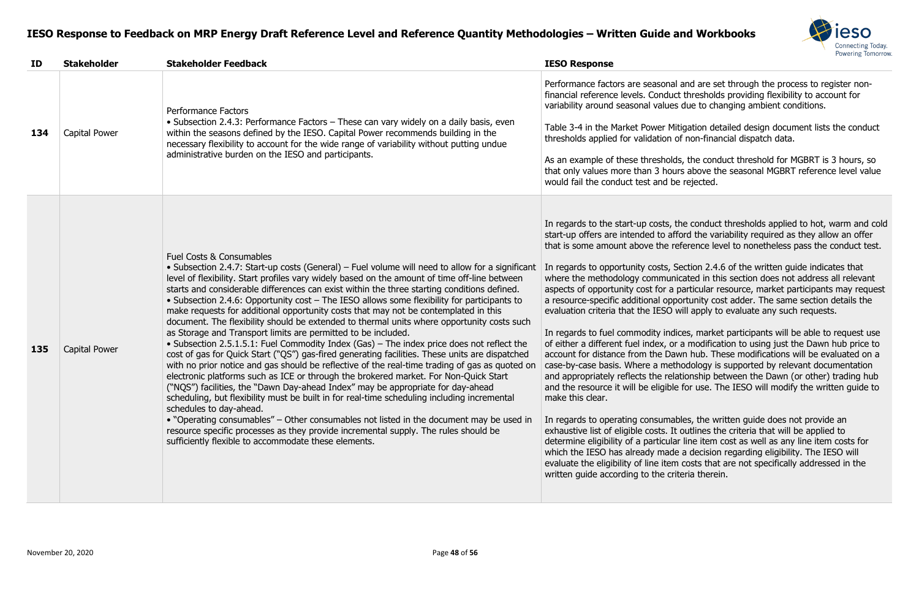

and are set through the process to register non-Ict thresholds providing flexibility to account for es due to changing ambient conditions.

itigation detailed design document lists the conduct of non-financial dispatch data.

ds, the conduct threshold for MGBRT is 3 hours, so irs above the seasonal MGBRT reference level value e rejected.

the conduct thresholds applied to hot, warm and cold ford the variability required as they allow an offer eference level to nonetheless pass the conduct test.

Section 2.4.6 of the written guide indicates that icated in this section does not address all relevant particular resource, market participants may request portunity cost adder. The same section details the will apply to evaluate any such requests.

ices, market participants will be able to request use r a modification to using just the Dawn hub price to wn hub. These modifications will be evaluated on a hodology is supported by relevant documentation ationship between the Dawn (or other) trading hub e for use. The IESO will modify the written guide to

bles, the written guide does not provide an t outlines the criteria that will be applied to ar line item cost as well as any line item costs for e a decision regarding eligibility. The IESO will n costs that are not specifically addressed in the iteria therein.

| ID  | <b>Stakeholder</b> | <b>Stakeholder Feedback</b>                                                                                                                                                                                                                                                                                                                                                                                                                                                                                                                                                                                                                                                                                                                                                                                                                                                                                                                                                                                                                                                                                                                                                                                                                                                                                                                                                                                                                                                                                                                 | <b>IESO Response</b>                                                                                                                                                                                                                                                                                                                                                                                                                                                                                                                                                                                                                                                                                                                                                                          |
|-----|--------------------|---------------------------------------------------------------------------------------------------------------------------------------------------------------------------------------------------------------------------------------------------------------------------------------------------------------------------------------------------------------------------------------------------------------------------------------------------------------------------------------------------------------------------------------------------------------------------------------------------------------------------------------------------------------------------------------------------------------------------------------------------------------------------------------------------------------------------------------------------------------------------------------------------------------------------------------------------------------------------------------------------------------------------------------------------------------------------------------------------------------------------------------------------------------------------------------------------------------------------------------------------------------------------------------------------------------------------------------------------------------------------------------------------------------------------------------------------------------------------------------------------------------------------------------------|-----------------------------------------------------------------------------------------------------------------------------------------------------------------------------------------------------------------------------------------------------------------------------------------------------------------------------------------------------------------------------------------------------------------------------------------------------------------------------------------------------------------------------------------------------------------------------------------------------------------------------------------------------------------------------------------------------------------------------------------------------------------------------------------------|
| 134 | Capital Power      | <b>Performance Factors</b><br>• Subsection 2.4.3: Performance Factors – These can vary widely on a daily basis, even<br>within the seasons defined by the IESO. Capital Power recommends building in the<br>necessary flexibility to account for the wide range of variability without putting undue<br>administrative burden on the IESO and participants.                                                                                                                                                                                                                                                                                                                                                                                                                                                                                                                                                                                                                                                                                                                                                                                                                                                                                                                                                                                                                                                                                                                                                                                 | Performance factors are seasona<br>financial reference levels. Conduc<br>variability around seasonal values<br>Table 3-4 in the Market Power M<br>thresholds applied for validation<br>As an example of these threshold<br>that only values more than 3 hou<br>would fail the conduct test and b                                                                                                                                                                                                                                                                                                                                                                                                                                                                                              |
| 135 | Capital Power      | <b>Fuel Costs &amp; Consumables</b><br>• Subsection 2.4.7: Start-up costs (General) – Fuel volume will need to allow for a significant<br>level of flexibility. Start profiles vary widely based on the amount of time off-line between<br>starts and considerable differences can exist within the three starting conditions defined.<br>• Subsection 2.4.6: Opportunity cost - The IESO allows some flexibility for participants to<br>make requests for additional opportunity costs that may not be contemplated in this<br>document. The flexibility should be extended to thermal units where opportunity costs such<br>as Storage and Transport limits are permitted to be included.<br>• Subsection 2.5.1.5.1: Fuel Commodity Index (Gas) – The index price does not reflect the<br>cost of gas for Quick Start ("QS") gas-fired generating facilities. These units are dispatched<br>with no prior notice and gas should be reflective of the real-time trading of gas as quoted on<br>electronic platforms such as ICE or through the brokered market. For Non-Quick Start<br>("NQS") facilities, the "Dawn Day-ahead Index" may be appropriate for day-ahead<br>scheduling, but flexibility must be built in for real-time scheduling including incremental<br>schedules to day-ahead.<br>• "Operating consumables" – Other consumables not listed in the document may be used in<br>resource specific processes as they provide incremental supply. The rules should be<br>sufficiently flexible to accommodate these elements. | In regards to the start-up costs,<br>start-up offers are intended to af<br>that is some amount above the re<br>In regards to opportunity costs, 9<br>where the methodology commun<br>aspects of opportunity cost for a<br>a resource-specific additional opp<br>evaluation criteria that the IESO<br>In regards to fuel commodity ind<br>of either a different fuel index, or<br>account for distance from the Da<br>case-by-case basis. Where a met<br>and appropriately reflects the rela<br>and the resource it will be eligible<br>make this clear.<br>In regards to operating consuma<br>exhaustive list of eligible costs. It<br>determine eligibility of a particula<br>which the IESO has already made<br>evaluate the eligibility of line iten<br>written guide according to the cri |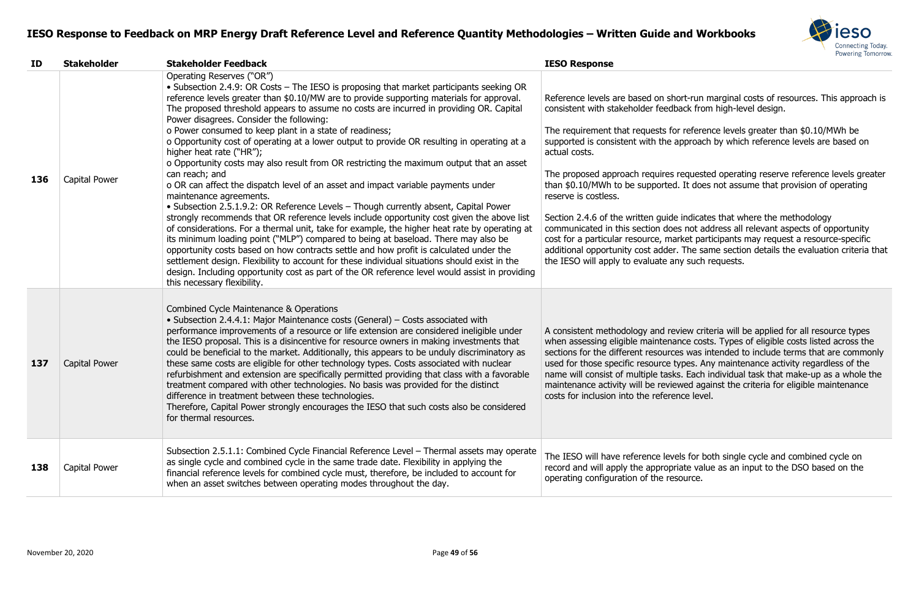

ort-run marginal costs of resources. This approach is back from high-level design.

or reference levels greater than \$0.10/MWh be approach by which reference levels are based on

requested operating reserve reference levels greater 1. It does not assume that provision of operating

e indicates that where the methodology es not address all relevant aspects of opportunity arket participants may request a resource-specific . The same section details the evaluation criteria that ny such requests.

view criteria will be applied for all resource types ance costs. Types of eligible costs listed across the es was intended to include terms that are commonly types. Any maintenance activity regardless of the  $ns.$  Each individual task that make-up as a whole the ewed against the criteria for eligible maintenance nce level.

els for both single cycle and combined cycle on riate value as an input to the DSO based on the source.

| ID  | <b>Stakeholder</b> | <b>Stakeholder Feedback</b>                                                                                                                                                                                                                                                                                                                                                                                                                                                                                                                                                                                                                                                                                                                                                                                                                                                                                                                                                                                                                                                                                                                                                                                                                                                                                                                                                                                                                                                            | <b>IESO Response</b>                                                                                                                                                                                                                                                                                                                                                                                                                                       |
|-----|--------------------|----------------------------------------------------------------------------------------------------------------------------------------------------------------------------------------------------------------------------------------------------------------------------------------------------------------------------------------------------------------------------------------------------------------------------------------------------------------------------------------------------------------------------------------------------------------------------------------------------------------------------------------------------------------------------------------------------------------------------------------------------------------------------------------------------------------------------------------------------------------------------------------------------------------------------------------------------------------------------------------------------------------------------------------------------------------------------------------------------------------------------------------------------------------------------------------------------------------------------------------------------------------------------------------------------------------------------------------------------------------------------------------------------------------------------------------------------------------------------------------|------------------------------------------------------------------------------------------------------------------------------------------------------------------------------------------------------------------------------------------------------------------------------------------------------------------------------------------------------------------------------------------------------------------------------------------------------------|
| 136 | Capital Power      | Operating Reserves ("OR")<br>• Subsection 2.4.9: OR Costs – The IESO is proposing that market participants seeking OR<br>reference levels greater than \$0.10/MW are to provide supporting materials for approval.<br>The proposed threshold appears to assume no costs are incurred in providing OR. Capital<br>Power disagrees. Consider the following:<br>o Power consumed to keep plant in a state of readiness;<br>o Opportunity cost of operating at a lower output to provide OR resulting in operating at a<br>higher heat rate ("HR");<br>o Opportunity costs may also result from OR restricting the maximum output that an asset<br>can reach; and<br>o OR can affect the dispatch level of an asset and impact variable payments under<br>maintenance agreements.<br>• Subsection 2.5.1.9.2: OR Reference Levels - Though currently absent, Capital Power<br>strongly recommends that OR reference levels include opportunity cost given the above list<br>of considerations. For a thermal unit, take for example, the higher heat rate by operating at<br>its minimum loading point ("MLP") compared to being at baseload. There may also be<br>opportunity costs based on how contracts settle and how profit is calculated under the<br>settlement design. Flexibility to account for these individual situations should exist in the<br>design. Including opportunity cost as part of the OR reference level would assist in providing<br>this necessary flexibility. | Reference levels are based on she<br>consistent with stakeholder feedb<br>The requirement that requests fo<br>supported is consistent with the a<br>actual costs.<br>The proposed approach requires<br>than \$0.10/MWh to be supported<br>reserve is costless.<br>Section 2.4.6 of the written guide<br>communicated in this section doe<br>cost for a particular resource, ma<br>additional opportunity cost adder<br>the IESO will apply to evaluate are |
| 137 | Capital Power      | Combined Cycle Maintenance & Operations<br>• Subsection 2.4.4.1: Major Maintenance costs (General) - Costs associated with<br>performance improvements of a resource or life extension are considered ineligible under<br>the IESO proposal. This is a disincentive for resource owners in making investments that<br>could be beneficial to the market. Additionally, this appears to be unduly discriminatory as<br>these same costs are eligible for other technology types. Costs associated with nuclear<br>refurbishment and extension are specifically permitted providing that class with a favorable<br>treatment compared with other technologies. No basis was provided for the distinct<br>difference in treatment between these technologies.<br>Therefore, Capital Power strongly encourages the IESO that such costs also be considered<br>for thermal resources.                                                                                                                                                                                                                                                                                                                                                                                                                                                                                                                                                                                                       | A consistent methodology and re-<br>when assessing eligible maintena<br>sections for the different resource<br>used for those specific resource t<br>name will consist of multiple task<br>maintenance activity will be revie<br>costs for inclusion into the refere                                                                                                                                                                                       |
| 138 | Capital Power      | Subsection 2.5.1.1: Combined Cycle Financial Reference Level - Thermal assets may operate<br>as single cycle and combined cycle in the same trade date. Flexibility in applying the<br>financial reference levels for combined cycle must, therefore, be included to account for<br>when an asset switches between operating modes throughout the day.                                                                                                                                                                                                                                                                                                                                                                                                                                                                                                                                                                                                                                                                                                                                                                                                                                                                                                                                                                                                                                                                                                                                 | The IESO will have reference leve<br>record and will apply the appropr<br>operating configuration of the res                                                                                                                                                                                                                                                                                                                                               |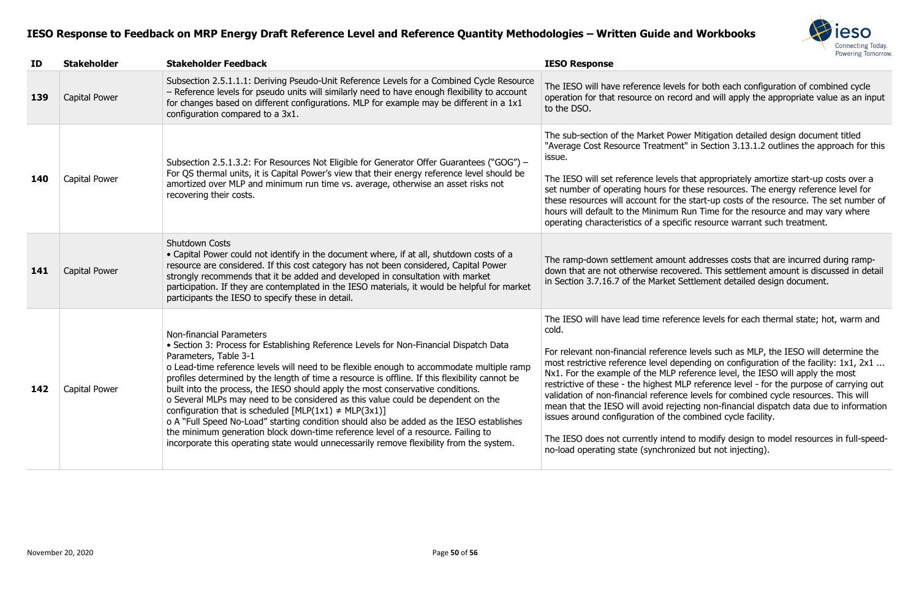

rels for both each configuration of combined cycle ecord and will apply the appropriate value as an input

ower Mitigation detailed design document titled ent" in Section 3.13.1.2 outlines the approach for this

Is that appropriately amortize start-up costs over a or these resources. The energy reference level for the start-up costs of the resource. The set number of m Run Time for the resource and may vary where ecific resource warrant such treatment.

unt addresses costs that are incurred during rampovered. This settlement amount is discussed in detail Settlement detailed design document.

erence levels for each thermal state; hot, warm and

nce levels such as MLP, the IESO will determine the depending on configuration of the facility:  $1x1, 2x1$  ... reference level, the IESO will apply the most MLP reference level - for the purpose of carrying out nce levels for combined cycle resources. This will jecting non-financial dispatch data due to information ne combined cycle facility.

end to modify design to model resources in full-speednized but not injecting).

| ID  | <b>Stakeholder</b>   | <b>Stakeholder Feedback</b>                                                                                                                                                                                                                                                                                                                                                                                                                                                                                                                                                                                                                                                                                                                                                                                                                                 | <b>IESO Response</b>                                                                                                                                                                                                                                                                                                                                                                     |
|-----|----------------------|-------------------------------------------------------------------------------------------------------------------------------------------------------------------------------------------------------------------------------------------------------------------------------------------------------------------------------------------------------------------------------------------------------------------------------------------------------------------------------------------------------------------------------------------------------------------------------------------------------------------------------------------------------------------------------------------------------------------------------------------------------------------------------------------------------------------------------------------------------------|------------------------------------------------------------------------------------------------------------------------------------------------------------------------------------------------------------------------------------------------------------------------------------------------------------------------------------------------------------------------------------------|
| 139 | Capital Power        | Subsection 2.5.1.1.1: Deriving Pseudo-Unit Reference Levels for a Combined Cycle Resource<br>- Reference levels for pseudo units will similarly need to have enough flexibility to account<br>for changes based on different configurations. MLP for example may be different in a 1x1<br>configuration compared to a 3x1.                                                                                                                                                                                                                                                                                                                                                                                                                                                                                                                                  | The IESO will have reference leve<br>operation for that resource on re<br>to the DSO.                                                                                                                                                                                                                                                                                                    |
| 140 | Capital Power        | Subsection 2.5.1.3.2: For Resources Not Eligible for Generator Offer Guarantees ("GOG") -<br>For QS thermal units, it is Capital Power's view that their energy reference level should be<br>amortized over MLP and minimum run time vs. average, otherwise an asset risks not<br>recovering their costs.                                                                                                                                                                                                                                                                                                                                                                                                                                                                                                                                                   | The sub-section of the Market Po<br>"Average Cost Resource Treatme<br>issue.<br>The IESO will set reference levels<br>set number of operating hours fo<br>these resources will account for t<br>hours will default to the Minimun<br>operating characteristics of a spe                                                                                                                  |
| 141 | <b>Capital Power</b> | <b>Shutdown Costs</b><br>• Capital Power could not identify in the document where, if at all, shutdown costs of a<br>resource are considered. If this cost category has not been considered, Capital Power<br>strongly recommends that it be added and developed in consultation with market<br>participation. If they are contemplated in the IESO materials, it would be helpful for market<br>participants the IESO to specify these in detail.                                                                                                                                                                                                                                                                                                                                                                                                          | The ramp-down settlement amou<br>down that are not otherwise reco<br>in Section 3.7.16.7 of the Market                                                                                                                                                                                                                                                                                   |
| 142 | Capital Power        | Non-financial Parameters<br>• Section 3: Process for Establishing Reference Levels for Non-Financial Dispatch Data<br>Parameters, Table 3-1<br>o Lead-time reference levels will need to be flexible enough to accommodate multiple ramp<br>profiles determined by the length of time a resource is offline. If this flexibility cannot be<br>built into the process, the IESO should apply the most conservative conditions.<br>o Several MLPs may need to be considered as this value could be dependent on the<br>configuration that is scheduled [MLP(1x1) $\neq$ MLP(3x1)]<br>o A "Full Speed No-Load" starting condition should also be added as the IESO establishes<br>the minimum generation block down-time reference level of a resource. Failing to<br>incorporate this operating state would unnecessarily remove flexibility from the system. | The IESO will have lead time refe<br>cold.<br>For relevant non-financial referer<br>most restrictive reference level d<br>Nx1. For the example of the MLP<br>restrictive of these - the highest<br>validation of non-financial referer<br>mean that the IESO will avoid rej<br>issues around configuration of th<br>The IESO does not currently inte<br>no-load operating state (synchro |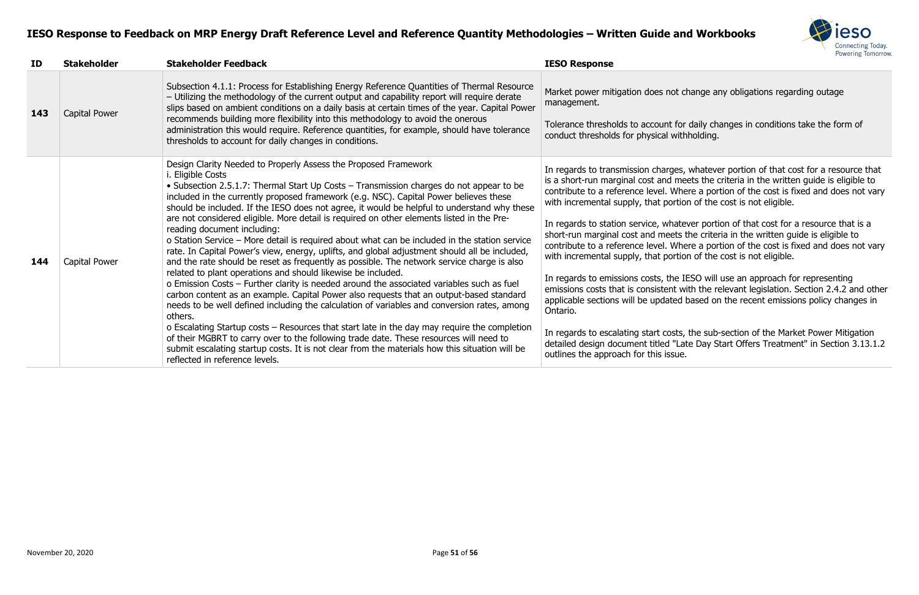

t change any obligations regarding outage

for daily changes in conditions take the form of vithholding.

es, whatever portion of that cost for a resource that meets the criteria in the written guide is eligible to Where a portion of the cost is fixed and does not vary rtion of the cost is not eligible.

atever portion of that cost for a resource that is a ets the criteria in the written guide is eligible to Where a portion of the cost is fixed and does not vary rtion of the cost is not eligible.

In IESO will use an approach for representing  $\epsilon$  with the relevant legislation. Section 2.4.2 and other ed based on the recent emissions policy changes in

Its, the sub-section of the Market Power Mitigation "Late Day Start Offers Treatment" in Section 3.13.1.2

| ID  | <b>Stakeholder</b> | <b>Stakeholder Feedback</b>                                                                                                                                                                                                                                                                                                                                                                                                                                                                                                                                                                                                                                                                                                                                                                                                                                                                                                                                                                                                                                                                                                                                                                                                                                                                                                                                                                                                                                                                                | <b>IESO Response</b>                                                                                                                                                                                                                                                                                                                                                                                                                                                                                                                                                                                  |
|-----|--------------------|------------------------------------------------------------------------------------------------------------------------------------------------------------------------------------------------------------------------------------------------------------------------------------------------------------------------------------------------------------------------------------------------------------------------------------------------------------------------------------------------------------------------------------------------------------------------------------------------------------------------------------------------------------------------------------------------------------------------------------------------------------------------------------------------------------------------------------------------------------------------------------------------------------------------------------------------------------------------------------------------------------------------------------------------------------------------------------------------------------------------------------------------------------------------------------------------------------------------------------------------------------------------------------------------------------------------------------------------------------------------------------------------------------------------------------------------------------------------------------------------------------|-------------------------------------------------------------------------------------------------------------------------------------------------------------------------------------------------------------------------------------------------------------------------------------------------------------------------------------------------------------------------------------------------------------------------------------------------------------------------------------------------------------------------------------------------------------------------------------------------------|
| 143 | Capital Power      | Subsection 4.1.1: Process for Establishing Energy Reference Quantities of Thermal Resource<br>- Utilizing the methodology of the current output and capability report will require derate<br>slips based on ambient conditions on a daily basis at certain times of the year. Capital Power<br>recommends building more flexibility into this methodology to avoid the onerous<br>administration this would require. Reference quantities, for example, should have tolerance<br>thresholds to account for daily changes in conditions.                                                                                                                                                                                                                                                                                                                                                                                                                                                                                                                                                                                                                                                                                                                                                                                                                                                                                                                                                                    | Market power mitigation does not ch<br>management.<br>Tolerance thresholds to account for<br>conduct thresholds for physical with                                                                                                                                                                                                                                                                                                                                                                                                                                                                     |
| 144 | Capital Power      | Design Clarity Needed to Properly Assess the Proposed Framework<br><i>i.</i> Eligible Costs<br>• Subsection 2.5.1.7: Thermal Start Up Costs – Transmission charges do not appear to be<br>included in the currently proposed framework (e.g. NSC). Capital Power believes these<br>should be included. If the IESO does not agree, it would be helpful to understand why these<br>are not considered eligible. More detail is required on other elements listed in the Pre-<br>reading document including:<br>o Station Service - More detail is required about what can be included in the station service<br>rate. In Capital Power's view, energy, uplifts, and global adjustment should all be included,<br>and the rate should be reset as frequently as possible. The network service charge is also<br>related to plant operations and should likewise be included.<br>o Emission Costs - Further clarity is needed around the associated variables such as fuel<br>carbon content as an example. Capital Power also requests that an output-based standard<br>needs to be well defined including the calculation of variables and conversion rates, among<br>others.<br>o Escalating Startup costs – Resources that start late in the day may require the completion<br>of their MGBRT to carry over to the following trade date. These resources will need to<br>submit escalating startup costs. It is not clear from the materials how this situation will be<br>reflected in reference levels. | In regards to transmission charges,<br>is a short-run marginal cost and mee<br>contribute to a reference level. When<br>with incremental supply, that portion<br>In regards to station service, whatev<br>short-run marginal cost and meets th<br>contribute to a reference level. When<br>with incremental supply, that portion<br>In regards to emissions costs, the IE<br>emissions costs that is consistent wit<br>applicable sections will be updated b<br>Ontario.<br>In regards to escalating start costs, t<br>detailed design document titled "Late<br>outlines the approach for this issue. |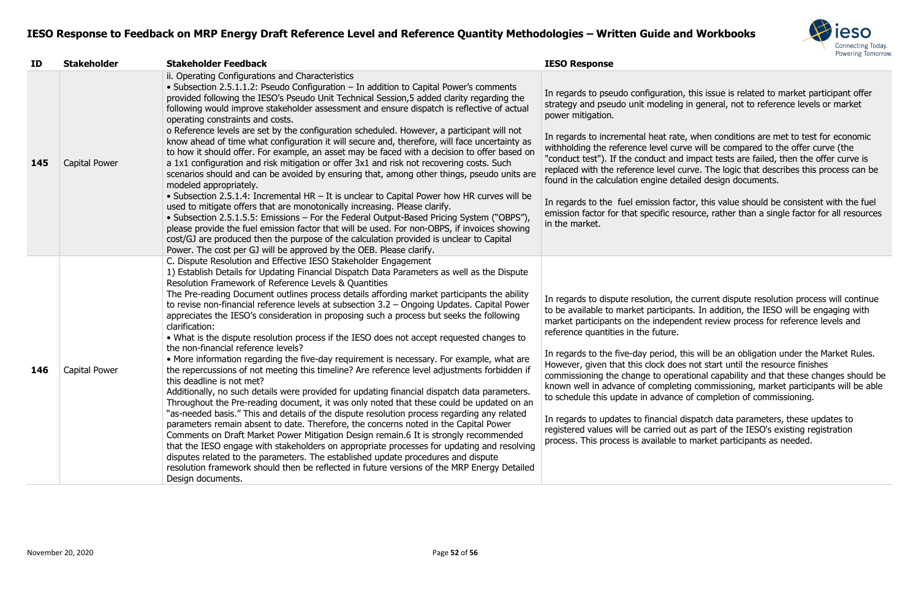

on, this issue is related to market participant offer ng in general, not to reference levels or market

Ite, when conditions are met to test for economic urve will be compared to the offer curve (the nd impact tests are failed, then the offer curve is curve. The logic that describes this process can be etailed design documents.

iactor, this value should be consistent with the fuel esource, rather than a single factor for all resources

the current dispute resolution process will continue bants. In addition, the IESO will be engaging with endent review process for reference levels and

In this will be an obligation under the Market Rules. bes not start until the resource finishes erational capability and that these changes should be eting commissioning, market participants will be able the of completion of commissioning.

dispatch data parameters, these updates to out as part of the IESO's existing registration to market participants as needed.

| ID  | <b>Stakeholder</b> | <b>Stakeholder Feedback</b>                                                                                                                                                                                                                                                                                                                                                                                                                                                                                                                                                                                                                                                                                                                                                                                                                                                                                                                                                                                                                                                                                                                                                                                                                                                                                                                                                                                                                                                                                                                                                                                                                                                                                                                                  | <b>IESO Response</b>                                                                                                                                                                                                                                                                                                                                                                                                                                             |
|-----|--------------------|--------------------------------------------------------------------------------------------------------------------------------------------------------------------------------------------------------------------------------------------------------------------------------------------------------------------------------------------------------------------------------------------------------------------------------------------------------------------------------------------------------------------------------------------------------------------------------------------------------------------------------------------------------------------------------------------------------------------------------------------------------------------------------------------------------------------------------------------------------------------------------------------------------------------------------------------------------------------------------------------------------------------------------------------------------------------------------------------------------------------------------------------------------------------------------------------------------------------------------------------------------------------------------------------------------------------------------------------------------------------------------------------------------------------------------------------------------------------------------------------------------------------------------------------------------------------------------------------------------------------------------------------------------------------------------------------------------------------------------------------------------------|------------------------------------------------------------------------------------------------------------------------------------------------------------------------------------------------------------------------------------------------------------------------------------------------------------------------------------------------------------------------------------------------------------------------------------------------------------------|
| 145 | Capital Power      | ii. Operating Configurations and Characteristics<br>• Subsection 2.5.1.1.2: Pseudo Configuration - In addition to Capital Power's comments<br>provided following the IESO's Pseudo Unit Technical Session, 5 added clarity regarding the<br>following would improve stakeholder assessment and ensure dispatch is reflective of actual<br>operating constraints and costs.<br>o Reference levels are set by the configuration scheduled. However, a participant will not<br>know ahead of time what configuration it will secure and, therefore, will face uncertainty as<br>to how it should offer. For example, an asset may be faced with a decision to offer based on<br>a 1x1 configuration and risk mitigation or offer 3x1 and risk not recovering costs. Such<br>scenarios should and can be avoided by ensuring that, among other things, pseudo units are<br>modeled appropriately.<br>• Subsection 2.5.1.4: Incremental HR - It is unclear to Capital Power how HR curves will be<br>used to mitigate offers that are monotonically increasing. Please clarify.<br>• Subsection 2.5.1.5.5: Emissions – For the Federal Output-Based Pricing System ("OBPS"),<br>please provide the fuel emission factor that will be used. For non-OBPS, if invoices showing<br>cost/GJ are produced then the purpose of the calculation provided is unclear to Capital                                                                                                                                                                                                                                                                                                                                                                                           | In regards to pseudo configuratio<br>strategy and pseudo unit modelin<br>power mitigation.<br>In regards to incremental heat rat<br>withholding the reference level cu<br>"conduct test"). If the conduct an<br>replaced with the reference level<br>found in the calculation engine de<br>In regards to the fuel emission fa<br>emission factor for that specific re<br>in the market.                                                                          |
| 146 | Capital Power      | Power. The cost per GJ will be approved by the OEB. Please clarify.<br>C. Dispute Resolution and Effective IESO Stakeholder Engagement<br>1) Establish Details for Updating Financial Dispatch Data Parameters as well as the Dispute<br>Resolution Framework of Reference Levels & Quantities<br>The Pre-reading Document outlines process details affording market participants the ability<br>to revise non-financial reference levels at subsection $3.2$ – Ongoing Updates. Capital Power<br>appreciates the IESO's consideration in proposing such a process but seeks the following<br>clarification:<br>• What is the dispute resolution process if the IESO does not accept requested changes to<br>the non-financial reference levels?<br>• More information regarding the five-day requirement is necessary. For example, what are<br>the repercussions of not meeting this timeline? Are reference level adjustments forbidden if<br>this deadline is not met?<br>Additionally, no such details were provided for updating financial dispatch data parameters.<br>Throughout the Pre-reading document, it was only noted that these could be updated on an<br>"as-needed basis." This and details of the dispute resolution process regarding any related<br>parameters remain absent to date. Therefore, the concerns noted in the Capital Power<br>Comments on Draft Market Power Mitigation Design remain.6 It is strongly recommended<br>that the IESO engage with stakeholders on appropriate processes for updating and resolving<br>disputes related to the parameters. The established update procedures and dispute<br>resolution framework should then be reflected in future versions of the MRP Energy Detailed<br>Design documents. | In regards to dispute resolution, t<br>to be available to market participa<br>market participants on the indepe<br>reference quantities in the future.<br>In regards to the five-day period,<br>However, given that this clock do<br>commissioning the change to ope<br>known well in advance of complet<br>to schedule this update in advanc<br>In regards to updates to financial<br>registered values will be carried o<br>process. This process is available |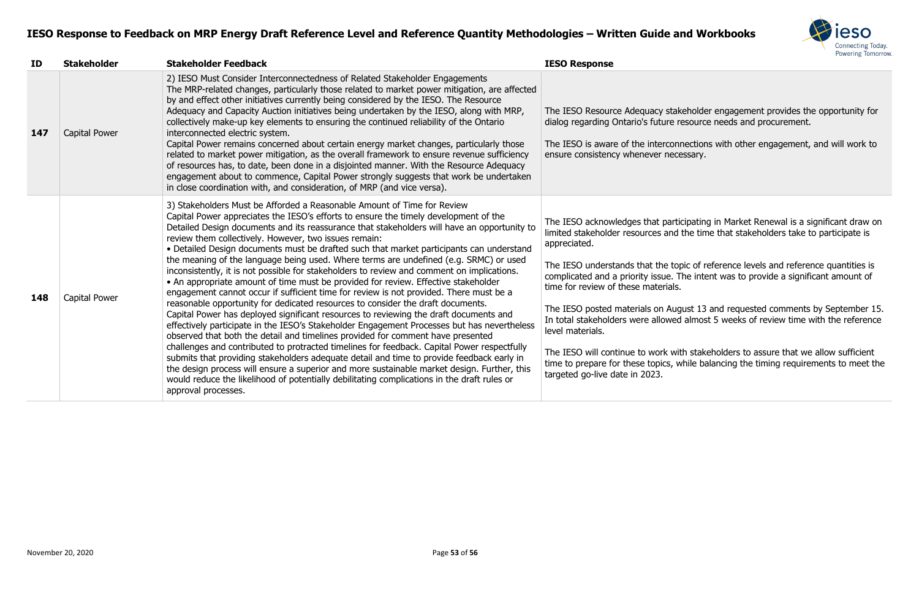

akeholder engagement provides the opportunity for resource needs and procurement.

nnections with other engagement, and will work to cessary.

rticipating in Market Renewal is a significant draw on Id the time that stakeholders take to participate is

topic of reference levels and reference quantities is The intent was to provide a significant amount of

Igust 13 and requested comments by September 15. ed almost 5 weeks of review time with the reference

vith stakeholders to assure that we allow sufficient while balancing the timing requirements to meet the

| ID  | <b>Stakeholder</b> | <b>Stakeholder Feedback</b>                                                                                                                                                                                                                                                                                                                                                                                                                                                                                                                                                                                                                                                                                                                                                                                                                                                                                                                                                                                                                                                                                                                                                                                                                                                                                                                                                                                                                                                                                                                                               | <b>IESO Response</b>                                                                                                                                                                                                                                                                                                                                                                                                        |
|-----|--------------------|---------------------------------------------------------------------------------------------------------------------------------------------------------------------------------------------------------------------------------------------------------------------------------------------------------------------------------------------------------------------------------------------------------------------------------------------------------------------------------------------------------------------------------------------------------------------------------------------------------------------------------------------------------------------------------------------------------------------------------------------------------------------------------------------------------------------------------------------------------------------------------------------------------------------------------------------------------------------------------------------------------------------------------------------------------------------------------------------------------------------------------------------------------------------------------------------------------------------------------------------------------------------------------------------------------------------------------------------------------------------------------------------------------------------------------------------------------------------------------------------------------------------------------------------------------------------------|-----------------------------------------------------------------------------------------------------------------------------------------------------------------------------------------------------------------------------------------------------------------------------------------------------------------------------------------------------------------------------------------------------------------------------|
| 147 | Capital Power      | 2) IESO Must Consider Interconnectedness of Related Stakeholder Engagements<br>The MRP-related changes, particularly those related to market power mitigation, are affected<br>by and effect other initiatives currently being considered by the IESO. The Resource<br>Adequacy and Capacity Auction initiatives being undertaken by the IESO, along with MRP,<br>collectively make-up key elements to ensuring the continued reliability of the Ontario<br>interconnected electric system.<br>Capital Power remains concerned about certain energy market changes, particularly those<br>related to market power mitigation, as the overall framework to ensure revenue sufficiency<br>of resources has, to date, been done in a disjointed manner. With the Resource Adequacy<br>engagement about to commence, Capital Power strongly suggests that work be undertaken<br>in close coordination with, and consideration, of MRP (and vice versa).                                                                                                                                                                                                                                                                                                                                                                                                                                                                                                                                                                                                                       | The IESO Resource Adequacy stake<br>dialog regarding Ontario's future re<br>The IESO is aware of the interconn<br>ensure consistency whenever nece                                                                                                                                                                                                                                                                          |
| 148 | Capital Power      | 3) Stakeholders Must be Afforded a Reasonable Amount of Time for Review<br>Capital Power appreciates the IESO's efforts to ensure the timely development of the<br>Detailed Design documents and its reassurance that stakeholders will have an opportunity to<br>review them collectively. However, two issues remain:<br>• Detailed Design documents must be drafted such that market participants can understand<br>the meaning of the language being used. Where terms are undefined (e.g. SRMC) or used<br>inconsistently, it is not possible for stakeholders to review and comment on implications.<br>• An appropriate amount of time must be provided for review. Effective stakeholder<br>engagement cannot occur if sufficient time for review is not provided. There must be a<br>reasonable opportunity for dedicated resources to consider the draft documents.<br>Capital Power has deployed significant resources to reviewing the draft documents and<br>effectively participate in the IESO's Stakeholder Engagement Processes but has nevertheless<br>observed that both the detail and timelines provided for comment have presented<br>challenges and contributed to protracted timelines for feedback. Capital Power respectfully<br>submits that providing stakeholders adequate detail and time to provide feedback early in<br>the design process will ensure a superior and more sustainable market design. Further, this<br>would reduce the likelihood of potentially debilitating complications in the draft rules or<br>approval processes. | The IESO acknowledges that partic<br>limited stakeholder resources and t<br>appreciated.<br>The IESO understands that the top<br>complicated and a priority issue. Th<br>time for review of these materials.<br>The IESO posted materials on Augu<br>In total stakeholders were allowed<br>level materials.<br>The IESO will continue to work with<br>time to prepare for these topics, w<br>targeted go-live date in 2023. |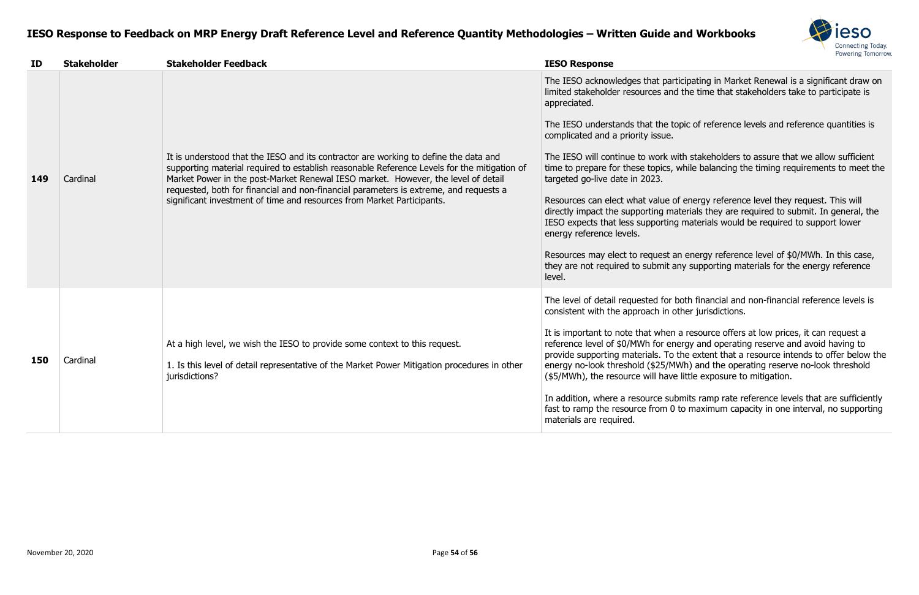

ticipating in Market Renewal is a significant draw on d the time that stakeholders take to participate is

topic of reference levels and reference quantities is

with stakeholders to assure that we allow sufficient while balancing the timing requirements to meet the

of energy reference level they request. This will aterials they are required to submit. In general, the Ig materials would be required to support lower

an energy reference level of \$0/MWh. In this case, any supporting materials for the energy reference

both financial and non-financial reference levels is other jurisdictions.

a resource offers at low prices, it can request a nergy and operating reserve and avoid having to the extent that a resource intends to offer below the 1Wh) and the operating reserve no-look threshold e little exposure to mitigation.

Ibmits ramp rate reference levels that are sufficiently to maximum capacity in one interval, no supporting

| ID  | <b>Stakeholder</b> | <b>Stakeholder Feedback</b>                                                                                                                                                                                                                                                                                                                                                                                                                 | <b>IESO Response</b>                                                                                                                                                                                                                                                                                                                                                                                                                                                                                   |
|-----|--------------------|---------------------------------------------------------------------------------------------------------------------------------------------------------------------------------------------------------------------------------------------------------------------------------------------------------------------------------------------------------------------------------------------------------------------------------------------|--------------------------------------------------------------------------------------------------------------------------------------------------------------------------------------------------------------------------------------------------------------------------------------------------------------------------------------------------------------------------------------------------------------------------------------------------------------------------------------------------------|
| 149 | Cardinal           | It is understood that the IESO and its contractor are working to define the data and<br>supporting material required to establish reasonable Reference Levels for the mitigation of<br>Market Power in the post-Market Renewal IESO market. However, the level of detail<br>requested, both for financial and non-financial parameters is extreme, and requests a<br>significant investment of time and resources from Market Participants. | The IESO acknowledges that part<br>limited stakeholder resources and<br>appreciated.<br>The IESO understands that the to<br>complicated and a priority issue.<br>The IESO will continue to work w<br>time to prepare for these topics,<br>targeted go-live date in 2023.<br>Resources can elect what value of<br>directly impact the supporting ma<br>IESO expects that less supporting<br>energy reference levels.<br>Resources may elect to request a<br>they are not required to submit a<br>level. |
| 150 | Cardinal           | At a high level, we wish the IESO to provide some context to this request.<br>1. Is this level of detail representative of the Market Power Mitigation procedures in other<br>jurisdictions?                                                                                                                                                                                                                                                | The level of detail requested for I<br>consistent with the approach in o<br>It is important to note that when<br>reference level of \$0/MWh for en<br>provide supporting materials. To<br>energy no-look threshold (\$25/M<br>(\$5/MWh), the resource will have<br>In addition, where a resource sul<br>fast to ramp the resource from 0<br>materials are required.                                                                                                                                    |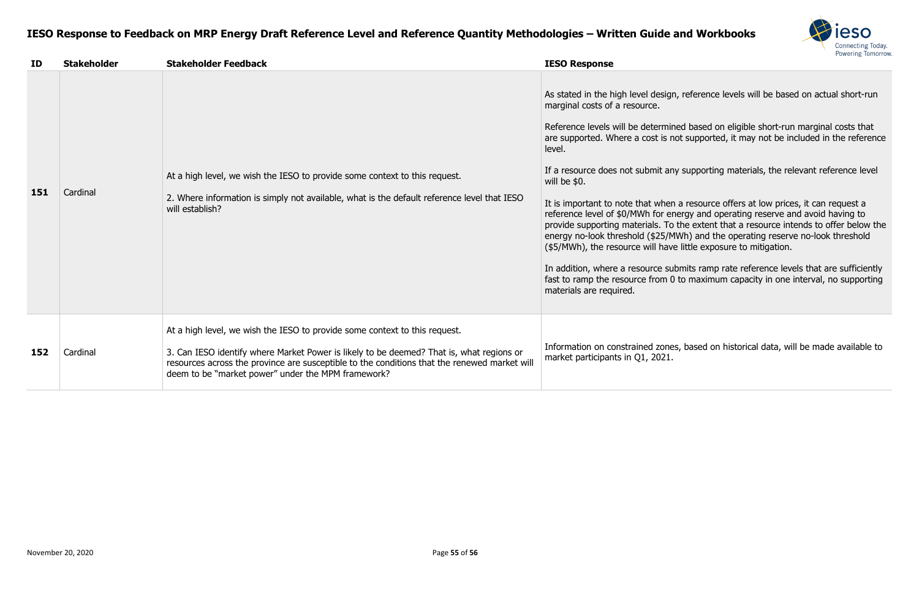

, reference levels will be based on actual short-run

ed based on eligible short-run marginal costs that  $\overline{\text{a}}$  cot supported, it may not be included in the reference

y supporting materials, the relevant reference level

a resource offers at low prices, it can request a reference and operating reserve and avoid having to the extent that a resource intends to offer below the IWh) and the operating reserve no-look threshold e little exposure to mitigation.

bmits ramp rate reference levels that are sufficiently to maximum capacity in one interval, no supporting

es, based on historical data, will be made available to

| ID  | <b>Stakeholder</b> | <b>Stakeholder Feedback</b>                                                                                                                                                                                                                                                                                                  | <b>IESO Response</b>                                                                                                                                                                                                                                                                                                                                                                                                                                                                                   |
|-----|--------------------|------------------------------------------------------------------------------------------------------------------------------------------------------------------------------------------------------------------------------------------------------------------------------------------------------------------------------|--------------------------------------------------------------------------------------------------------------------------------------------------------------------------------------------------------------------------------------------------------------------------------------------------------------------------------------------------------------------------------------------------------------------------------------------------------------------------------------------------------|
| 151 | Cardinal           | At a high level, we wish the IESO to provide some context to this request.<br>2. Where information is simply not available, what is the default reference level that IESO<br>will establish?                                                                                                                                 | As stated in the high level design<br>marginal costs of a resource.<br>Reference levels will be determin<br>are supported. Where a cost is no<br>level.<br>If a resource does not submit an<br>will be \$0.<br>It is important to note that when<br>reference level of \$0/MWh for en<br>provide supporting materials. To<br>energy no-look threshold (\$25/M<br>(\$5/MWh), the resource will have<br>In addition, where a resource sul<br>fast to ramp the resource from 0<br>materials are required. |
| 152 | Cardinal           | At a high level, we wish the IESO to provide some context to this request.<br>3. Can IESO identify where Market Power is likely to be deemed? That is, what regions or<br>resources across the province are susceptible to the conditions that the renewed market will<br>deem to be "market power" under the MPM framework? | Information on constrained zones<br>market participants in Q1, 2021.                                                                                                                                                                                                                                                                                                                                                                                                                                   |